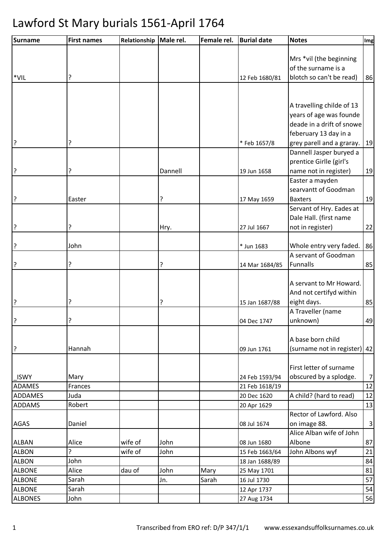| <b>Surname</b>                | <b>First names</b> | Relationship | Male rel. | Female rel.   | <b>Burial date</b>         | <b>Notes</b>                                         | Img                     |
|-------------------------------|--------------------|--------------|-----------|---------------|----------------------------|------------------------------------------------------|-------------------------|
|                               |                    |              |           |               |                            |                                                      |                         |
|                               |                    |              |           |               |                            | Mrs *vil (the beginning                              |                         |
|                               |                    |              |           |               |                            | of the surname is a                                  |                         |
| *VIL                          | ?                  |              |           |               | 12 Feb 1680/81             | blotch so can't be read)                             | 86                      |
|                               |                    |              |           |               |                            |                                                      |                         |
|                               |                    |              |           |               |                            |                                                      |                         |
|                               |                    |              |           |               |                            | A travelling childe of 13<br>years of age was founde |                         |
|                               |                    |              |           |               |                            | deade in a drift of snowe                            |                         |
|                               |                    |              |           |               |                            | feberuary 13 day in a                                |                         |
| ?                             | ?                  |              |           |               | * Feb 1657/8               | grey parell and a graray.                            | 19                      |
|                               |                    |              |           |               |                            | Dannell Jasper buryed a                              |                         |
|                               |                    |              |           |               |                            | prentice Girlle (girl's                              |                         |
| ?                             | ?                  |              | Dannell   |               | 19 Jun 1658                | name not in register)                                | 19                      |
|                               |                    |              |           |               |                            | Easter a mayden                                      |                         |
|                               |                    |              |           |               |                            | searvantt of Goodman                                 |                         |
| ?                             | Easter             |              | ?         |               | 17 May 1659                | <b>Baxters</b>                                       | 19                      |
|                               |                    |              |           |               |                            | Servant of Hry. Eades at                             |                         |
|                               |                    |              |           |               |                            | Dale Hall. (first name                               |                         |
| ?                             | ?                  |              | Hry.      |               | 27 Jul 1667                | not in register)                                     | 22                      |
|                               |                    |              |           |               |                            |                                                      |                         |
| ?                             | John               |              |           |               | * Jun 1683                 | Whole entry very faded.                              | 86                      |
|                               |                    |              |           |               |                            | A servant of Goodman                                 |                         |
| ?                             | ?                  |              | ?         |               | 14 Mar 1684/85             | <b>Funnalls</b>                                      | 85                      |
|                               |                    |              |           |               |                            |                                                      |                         |
|                               |                    |              |           |               |                            | A servant to Mr Howard.                              |                         |
|                               |                    |              |           |               |                            | And not certifyd within                              |                         |
| ?                             | 7                  |              | 5.        |               | 15 Jan 1687/88             | eight days.<br>A Traveller (name                     | 85                      |
| $\overline{?}$                | ?                  |              |           |               | 04 Dec 1747                | unknown)                                             | 49                      |
|                               |                    |              |           |               |                            |                                                      |                         |
|                               |                    |              |           |               |                            | A base born child                                    |                         |
| 3                             | Hannah             |              |           |               | 09 Jun 1761                | (surname not in register) 42                         |                         |
|                               |                    |              |           |               |                            |                                                      |                         |
|                               |                    |              |           |               |                            | First letter of surname                              |                         |
| <b>ISWY</b>                   | Mary               |              |           |               | 24 Feb 1593/94             | obscured by a splodge.                               | 7 <sup>1</sup>          |
| ADAMES                        | Frances            |              |           |               | 21 Feb 1618/19             |                                                      | 12                      |
| <b>ADDAMES</b>                | Juda               |              |           |               | 20 Dec 1620                | A child? (hard to read)                              | 12                      |
| <b>ADDAMS</b>                 | Robert             |              |           |               | 20 Apr 1629                |                                                      | 13                      |
|                               |                    |              |           |               |                            | Rector of Lawford. Also                              |                         |
| <b>AGAS</b>                   | Daniel             |              |           |               | 08 Jul 1674                | on image 88.                                         | $\overline{\mathbf{3}}$ |
|                               |                    |              |           |               |                            | Alice Alban wife of John                             |                         |
| <b>ALBAN</b>                  | Alice              | wife of      | John      |               | 08 Jun 1680                | Albone                                               | 87                      |
| <b>ALBON</b>                  | ?                  | wife of      | John      |               | 15 Feb 1663/64             | John Albons wyf                                      | 21                      |
| <b>ALBON</b><br><b>ALBONE</b> | John<br>Alice      | dau of       | John      |               | 18 Jan 1688/89             |                                                      | 84<br>81                |
| <b>ALBONE</b>                 | Sarah              |              | Jn.       | Mary<br>Sarah | 25 May 1701<br>16 Jul 1730 |                                                      | 57                      |
| <b>ALBONE</b>                 | Sarah              |              |           |               | 12 Apr 1737                |                                                      | 54                      |
| <b>ALBONES</b>                | John               |              |           |               | 27 Aug 1734                |                                                      | 56                      |
|                               |                    |              |           |               |                            |                                                      |                         |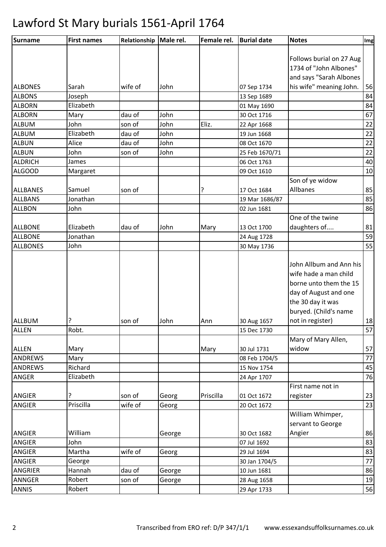| Surname         | <b>First names</b> | Relationship Male rel. |        | Female rel. | <b>Burial date</b> | <b>Notes</b>             | Img |
|-----------------|--------------------|------------------------|--------|-------------|--------------------|--------------------------|-----|
|                 |                    |                        |        |             |                    |                          |     |
|                 |                    |                        |        |             |                    | Follows burial on 27 Aug |     |
|                 |                    |                        |        |             |                    | 1734 of "John Albones"   |     |
|                 |                    |                        |        |             |                    | and says "Sarah Albones  |     |
| <b>ALBONES</b>  | Sarah              | wife of                | John   |             | 07 Sep 1734        | his wife" meaning John.  | 56  |
| <b>ALBONS</b>   | Joseph             |                        |        |             | 13 Sep 1689        |                          | 84  |
| <b>ALBORN</b>   | Elizabeth          |                        |        |             | 01 May 1690        |                          | 84  |
| <b>ALBORN</b>   | Mary               | dau of                 | John   |             | 30 Oct 1716        |                          | 67  |
| ALBUM           | John               | son of                 | John   | Eliz.       | 22 Apr 1668        |                          | 22  |
| <b>ALBUM</b>    | Elizabeth          | dau of                 | John   |             | 19 Jun 1668        |                          | 22  |
| <b>ALBUN</b>    | Alice              | dau of                 | John   |             | 08 Oct 1670        |                          | 22  |
| <b>ALBUN</b>    | John               | son of                 | John   |             | 25 Feb 1670/71     |                          | 22  |
| <b>ALDRICH</b>  | James              |                        |        |             | 06 Oct 1763        |                          | 40  |
| <b>ALGOOD</b>   | Margaret           |                        |        |             | 09 Oct 1610        |                          | 10  |
|                 |                    |                        |        |             |                    | Son of ye widow          |     |
| <b>ALLBANES</b> | Samuel             | son of                 |        | ?           | 17 Oct 1684        | Allbanes                 | 85  |
| <b>ALLBANS</b>  | Jonathan           |                        |        |             | 19 Mar 1686/87     |                          | 85  |
| <b>ALLBON</b>   | John               |                        |        |             | 02 Jun 1681        |                          | 86  |
|                 |                    |                        |        |             |                    | One of the twine         |     |
| <b>ALLBONE</b>  | Elizabeth          | dau of                 | John   | Mary        | 13 Oct 1700        | daughters of             | 81  |
| <b>ALLBONE</b>  | Jonathan           |                        |        |             | 24 Aug 1728        |                          | 59  |
| <b>ALLBONES</b> | John               |                        |        |             | 30 May 1736        |                          | 55  |
|                 |                    |                        |        |             |                    |                          |     |
|                 |                    |                        |        |             |                    | John Allbum and Ann his  |     |
|                 |                    |                        |        |             |                    | wife hade a man child    |     |
|                 |                    |                        |        |             |                    | borne unto them the 15   |     |
|                 |                    |                        |        |             |                    | day of August and one    |     |
|                 |                    |                        |        |             |                    | the 30 day it was        |     |
|                 |                    |                        |        |             |                    | buryed. (Child's name    |     |
| ALLBUM          | ?                  | son of                 | John   | Ann         | 30 Aug 1657        | not in register)         | 18  |
| <b>ALLEN</b>    | Robt.              |                        |        |             | 15 Dec 1730        |                          | 57  |
|                 |                    |                        |        |             |                    | Mary of Mary Allen,      |     |
| <b>ALLEN</b>    | Mary               |                        |        | Mary        | 30 Jul 1731        | widow                    | 57  |
| ANDREWS         | Mary               |                        |        |             | 08 Feb 1704/5      |                          | 77  |
| <b>ANDREWS</b>  | Richard            |                        |        |             | 15 Nov 1754        |                          | 45  |
| ANGER           | Elizabeth          |                        |        |             | 24 Apr 1707        |                          | 76  |
|                 |                    |                        |        |             |                    | First name not in        |     |
| ANGIER          | ?                  | son of                 | Georg  | Priscilla   | 01 Oct 1672        | register                 | 23  |
| ANGIER          | Priscilla          | wife of                | Georg  |             | 20 Oct 1672        |                          | 23  |
|                 |                    |                        |        |             |                    | William Whimper,         |     |
|                 |                    |                        |        |             |                    | servant to George        |     |
| <b>ANGIER</b>   | William            |                        | George |             | 30 Oct 1682        | Angier                   | 86  |
| ANGIER          | John               |                        |        |             | 07 Jul 1692        |                          | 83  |
| ANGIER          | Martha             | wife of                | Georg  |             | 29 Jul 1694        |                          | 83  |
| ANGIER          | George             |                        |        |             | 30 Jan 1704/5      |                          | 77  |
| ANGRIER         | Hannah             | dau of                 | George |             | 10 Jun 1681        |                          | 86  |
| ANNGER          | Robert             | son of                 | George |             | 28 Aug 1658        |                          | 19  |
| <b>ANNIS</b>    | Robert             |                        |        |             | 29 Apr 1733        |                          | 56  |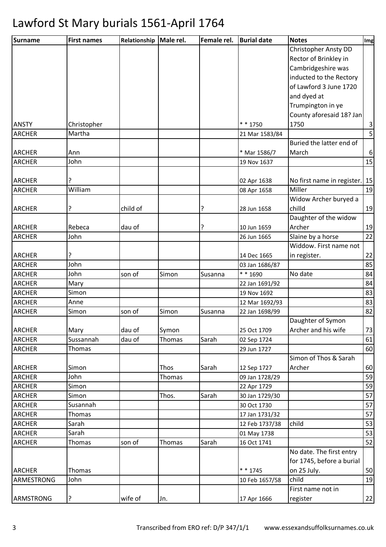| Surname                        | <b>First names</b> | Relationship   Male rel. |               | Female rel. | <b>Burial date</b>            | <b>Notes</b>               | Img                     |
|--------------------------------|--------------------|--------------------------|---------------|-------------|-------------------------------|----------------------------|-------------------------|
|                                |                    |                          |               |             |                               | Christopher Ansty DD       |                         |
|                                |                    |                          |               |             |                               | Rector of Brinkley in      |                         |
|                                |                    |                          |               |             |                               | Cambridgeshire was         |                         |
|                                |                    |                          |               |             |                               | inducted to the Rectory    |                         |
|                                |                    |                          |               |             |                               | of Lawford 3 June 1720     |                         |
|                                |                    |                          |               |             |                               | and dyed at                |                         |
|                                |                    |                          |               |             |                               | Trumpington in ye          |                         |
|                                |                    |                          |               |             |                               | County aforesaid 18? Jan   |                         |
| <b>ANSTY</b>                   | Christopher        |                          |               |             | $* * 1750$                    | 1750                       | 3                       |
| <b>ARCHER</b>                  | Martha             |                          |               |             | 21 Mar 1583/84                |                            | $\overline{\mathsf{5}}$ |
|                                |                    |                          |               |             |                               | Buried the latter end of   |                         |
| <b>ARCHER</b>                  | Ann                |                          |               |             | * Mar 1586/7                  | March                      | $6 \mid$                |
| <b>ARCHER</b>                  | John               |                          |               |             | 19 Nov 1637                   |                            | 15                      |
|                                |                    |                          |               |             |                               |                            |                         |
| <b>ARCHER</b>                  | ?                  |                          |               |             | 02 Apr 1638                   | No first name in register. | 15                      |
| <b>ARCHER</b>                  | William            |                          |               |             | 08 Apr 1658                   | Miller                     | 19                      |
|                                |                    |                          |               |             |                               | Widow Archer buryed a      |                         |
| <b>ARCHER</b>                  | ?                  | child of                 |               | ?           | 28 Jun 1658                   | chilld                     | 19                      |
|                                |                    |                          |               |             |                               | Daughter of the widow      |                         |
| <b>ARCHER</b>                  | Rebeca             | dau of                   |               | ?           | 10 Jun 1659                   | Archer                     | 19                      |
| <b>ARCHER</b>                  | John               |                          |               |             | 26 Jun 1665                   | Slaine by a horse          | 22                      |
|                                |                    |                          |               |             |                               | Widdow. First name not     |                         |
| <b>ARCHER</b>                  | ŗ                  |                          |               |             | 14 Dec 1665                   | in register.               | 22                      |
| <b>ARCHER</b>                  | John               |                          |               |             | 03 Jan 1686/87                |                            | 85                      |
| <b>ARCHER</b>                  | John               | son of                   | Simon         | Susanna     | * * 1690                      | No date                    | 84                      |
| <b>ARCHER</b>                  | Mary               |                          |               |             | 22 Jan 1691/92                |                            | 84                      |
| <b>ARCHER</b>                  | Simon              |                          |               |             | 19 Nov 1692                   |                            | 83                      |
| <b>ARCHER</b>                  | Anne               |                          |               |             | 12 Mar 1692/93                |                            | 83                      |
| <b>ARCHER</b>                  | Simon              | son of                   | Simon         | Susanna     | 22 Jan 1698/99                |                            | 82                      |
|                                |                    |                          |               |             |                               | Daughter of Symon          |                         |
| <b>ARCHER</b>                  | Mary               | dau of                   | Symon         |             | 25 Oct 1709                   | Archer and his wife        | 73                      |
| <b>ARCHER</b>                  | Sussannah          | dau of                   | <b>Thomas</b> | Sarah       | 02 Sep 1724                   |                            | 61                      |
| <b>ARCHER</b>                  | Thomas             |                          |               |             | 29 Jun 1727                   |                            | 60                      |
|                                |                    |                          |               |             |                               | Simon of Thos & Sarah      |                         |
| <b>ARCHER</b>                  | Simon              |                          | Thos          | Sarah       | 12 Sep 1727                   | Archer                     | 60                      |
| <b>ARCHER</b>                  | John               |                          | Thomas        |             | 09 Jan 1728/29                |                            | 59                      |
| <b>ARCHER</b>                  | Simon              |                          |               |             | 22 Apr 1729                   |                            | 59                      |
| <b>ARCHER</b>                  | Simon              |                          | Thos.         | Sarah       | 30 Jan 1729/30                |                            | 57                      |
| <b>ARCHER</b>                  | Susannah           |                          |               |             | 30 Oct 1730                   |                            | 57<br>57                |
| <b>ARCHER</b>                  | Thomas<br>Sarah    |                          |               |             | 17 Jan 1731/32                | child                      | 53                      |
| <b>ARCHER</b><br><b>ARCHER</b> | Sarah              |                          |               |             | 12 Feb 1737/38<br>01 May 1738 |                            | 53                      |
| <b>ARCHER</b>                  | Thomas             | son of                   | <b>Thomas</b> | Sarah       | 16 Oct 1741                   |                            | 52                      |
|                                |                    |                          |               |             |                               | No date. The first entry   |                         |
|                                |                    |                          |               |             |                               | for 1745, before a burial  |                         |
| <b>ARCHER</b>                  | Thomas             |                          |               |             | $* * 1745$                    | on 25 July.                | 50                      |
| ARMESTRONG                     | John               |                          |               |             | 10 Feb 1657/58                | child                      | 19                      |
|                                |                    |                          |               |             |                               | First name not in          |                         |
| ARMSTRONG                      | ?                  | wife of                  |               |             | 17 Apr 1666                   | register                   |                         |
|                                |                    |                          | Jn.           |             |                               |                            | 22                      |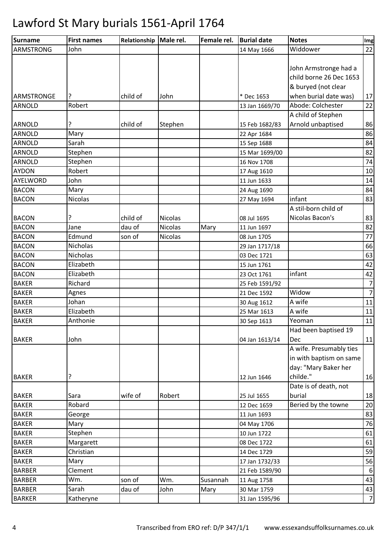| Surname           | <b>First names</b> | Relationship   Male rel. |         | Female rel. | <b>Burial date</b> | <b>Notes</b>            | Img            |
|-------------------|--------------------|--------------------------|---------|-------------|--------------------|-------------------------|----------------|
| <b>ARMSTRONG</b>  | John               |                          |         |             | 14 May 1666        | Widdower                | 22             |
|                   |                    |                          |         |             |                    |                         |                |
|                   |                    |                          |         |             |                    | John Armstronge had a   |                |
|                   |                    |                          |         |             |                    | child borne 26 Dec 1653 |                |
|                   |                    |                          |         |             |                    | & buryed (not clear     |                |
| <b>ARMSTRONGE</b> |                    | child of                 | John    |             | * Dec 1653         | when burial date was)   | 17             |
| <b>ARNOLD</b>     | Robert             |                          |         |             | 13 Jan 1669/70     | Abode: Colchester       | 22             |
|                   |                    |                          |         |             |                    | A child of Stephen      |                |
| <b>ARNOLD</b>     | ?                  | child of                 | Stephen |             | 15 Feb 1682/83     | Arnold unbaptised       | 86             |
| <b>ARNOLD</b>     | Mary               |                          |         |             | 22 Apr 1684        |                         | 86             |
| <b>ARNOLD</b>     | Sarah              |                          |         |             | 15 Sep 1688        |                         | 84             |
| <b>ARNOLD</b>     | Stephen            |                          |         |             | 15 Mar 1699/00     |                         | 82             |
| <b>ARNOLD</b>     | Stephen            |                          |         |             | 16 Nov 1708        |                         | 74             |
| <b>AYDON</b>      | Robert             |                          |         |             | 17 Aug 1610        |                         | $10\,$         |
| AYELWORD          | John               |                          |         |             | 11 Jun 1633        |                         | 14             |
| <b>BACON</b>      | Mary               |                          |         |             | 24 Aug 1690        |                         | 84             |
| <b>BACON</b>      | <b>Nicolas</b>     |                          |         |             | 27 May 1694        | infant                  | 83             |
|                   |                    |                          |         |             |                    | A stil-born child of    |                |
| <b>BACON</b>      | ?                  | child of                 | Nicolas |             | 08 Jul 1695        | Nicolas Bacon's         | 83             |
| <b>BACON</b>      | Jane               | dau of                   | Nicolas | Mary        | 11 Jun 1697        |                         | 82             |
| <b>BACON</b>      | Edmund             | son of                   | Nicolas |             | 08 Jun 1705        |                         | 77             |
| <b>BACON</b>      | <b>Nicholas</b>    |                          |         |             | 29 Jan 1717/18     |                         | 66             |
| <b>BACON</b>      | Nicholas           |                          |         |             | 03 Dec 1721        |                         | 63             |
| <b>BACON</b>      | Elizabeth          |                          |         |             | 15 Jun 1761        |                         | 42             |
| <b>BACON</b>      | Elizabeth          |                          |         |             | 23 Oct 1761        | infant                  | 42             |
| <b>BAKER</b>      | Richard            |                          |         |             | 25 Feb 1591/92     |                         | $\overline{7}$ |
| <b>BAKER</b>      | Agnes              |                          |         |             | 21 Dec 1592        | Widow                   | $\overline{7}$ |
| <b>BAKER</b>      | Johan              |                          |         |             | 30 Aug 1612        | A wife                  | 11             |
| <b>BAKER</b>      | Elizabeth          |                          |         |             | 25 Mar 1613        | A wife                  | $11\,$         |
| <b>BAKER</b>      | Anthonie           |                          |         |             | 30 Sep 1613        | Yeoman                  | 11             |
|                   |                    |                          |         |             |                    | Had been baptised 19    |                |
| <b>BAKER</b>      | John               |                          |         |             | 04 Jan 1613/14     | Dec                     | 11             |
|                   |                    |                          |         |             |                    | A wife. Presumably ties |                |
|                   |                    |                          |         |             |                    | in with baptism on same |                |
|                   |                    |                          |         |             |                    | day: "Mary Baker her    |                |
| <b>BAKER</b>      | ?                  |                          |         |             | 12 Jun 1646        | childe."                | 16             |
|                   |                    |                          |         |             |                    | Date is of death, not   |                |
| <b>BAKER</b>      | Sara               | wife of                  | Robert  |             | 25 Jul 1655        | burial                  | 18             |
| <b>BAKER</b>      | Robard             |                          |         |             | 12 Dec 1659        | Beried by the towne     | 20             |
| <b>BAKER</b>      | George             |                          |         |             | 11 Jun 1693        |                         | 83             |
| <b>BAKER</b>      | Mary               |                          |         |             | 04 May 1706        |                         | 76             |
| <b>BAKER</b>      | Stephen            |                          |         |             | 10 Jun 1722        |                         | 61             |
| <b>BAKER</b>      | Margarett          |                          |         |             | 08 Dec 1722        |                         | 61             |
| <b>BAKER</b>      | Christian          |                          |         |             | 14 Dec 1729        |                         | 59             |
| <b>BAKER</b>      | Mary               |                          |         |             | 17 Jan 1732/33     |                         | 56             |
| <b>BARBER</b>     | Clement            |                          |         |             | 21 Feb 1589/90     |                         | 6              |
| <b>BARBER</b>     | Wm.                | son of                   | Wm.     | Susannah    | 11 Aug 1758        |                         | 43             |
| <b>BARBER</b>     | Sarah              | dau of                   | John    | Mary        | 30 Mar 1759        |                         | 43             |
| <b>BARKER</b>     | Katheryne          |                          |         |             | 31 Jan 1595/96     |                         | $\overline{7}$ |
|                   |                    |                          |         |             |                    |                         |                |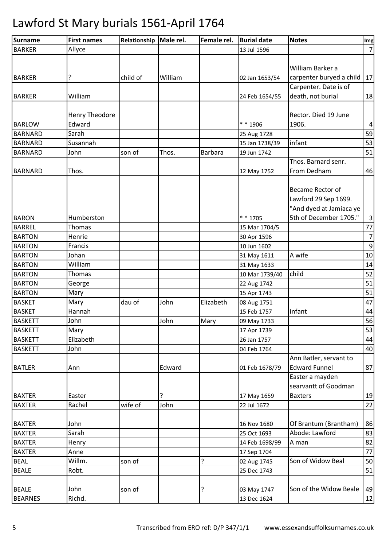| <b>Surname</b>                 | <b>First names</b> | Relationship | Male rel. | Female rel. | <b>Burial date</b>         | <b>Notes</b>             | Img            |
|--------------------------------|--------------------|--------------|-----------|-------------|----------------------------|--------------------------|----------------|
| <b>BARKER</b>                  | Allyce             |              |           |             | 13 Jul 1596                |                          | $\overline{7}$ |
|                                |                    |              |           |             |                            |                          |                |
|                                |                    |              |           |             |                            | William Barker a         |                |
| <b>BARKER</b>                  | ?                  | child of     | William   |             | 02 Jan 1653/54             | carpenter buryed a child | 17             |
|                                |                    |              |           |             |                            | Carpenter. Date is of    |                |
| <b>BARKER</b>                  | William            |              |           |             | 24 Feb 1654/55             | death, not burial        | 18             |
|                                |                    |              |           |             |                            |                          |                |
|                                | Henry Theodore     |              |           |             |                            | Rector. Died 19 June     |                |
| <b>BARLOW</b>                  | Edward             |              |           |             | $* * 1906$                 | 1906.                    | $\overline{4}$ |
| <b>BARNARD</b>                 | Sarah              |              |           |             | 25 Aug 1728                |                          | 59             |
| <b>BARNARD</b>                 | Susannah           |              |           |             | 15 Jan 1738/39             | infant                   | 53             |
| <b>BARNARD</b>                 | John               | son of       | Thos.     | Barbara     | 19 Jun 1742                |                          | 51             |
|                                |                    |              |           |             |                            | Thos. Barnard senr.      |                |
| <b>BARNARD</b>                 | Thos.              |              |           |             | 12 May 1752                | From Dedham              | 46             |
|                                |                    |              |           |             |                            |                          |                |
|                                |                    |              |           |             |                            | Became Rector of         |                |
|                                |                    |              |           |             |                            | Lawford 29 Sep 1699.     |                |
|                                |                    |              |           |             |                            | "And dyed at Jamiaca ye  |                |
| <b>BARON</b>                   | Humberston         |              |           |             | $* * 1705$                 | 5th of December 1705."   | $\mathsf{3}$   |
| <b>BARREL</b>                  | Thomas             |              |           |             | 15 Mar 1704/5              |                          | $77$           |
| <b>BARTON</b>                  | Henrie             |              |           |             | 30 Apr 1596                |                          | $\overline{7}$ |
| <b>BARTON</b>                  | Francis            |              |           |             | 10 Jun 1602                |                          | $9\,$          |
| <b>BARTON</b>                  | Johan              |              |           |             | 31 May 1611                | A wife                   | 10             |
| <b>BARTON</b>                  | William            |              |           |             | 31 May 1633                |                          | 14             |
| <b>BARTON</b>                  | Thomas             |              |           |             | 10 Mar 1739/40             | child                    | 52             |
| <b>BARTON</b>                  | George             |              |           |             | 22 Aug 1742                |                          | 51             |
| <b>BARTON</b>                  | Mary               |              |           |             | 15 Apr 1743                |                          | 51             |
| <b>BASKET</b>                  | Mary               | dau of       | John      | Elizabeth   | 08 Aug 1751                |                          | 47             |
| <b>BASKET</b>                  | Hannah             |              |           |             | 15 Feb 1757                | infant                   | 44             |
| <b>BASKETT</b>                 | John               |              | John      | Mary        | 09 May 1733                |                          | 56             |
| <b>BASKETT</b>                 | Mary               |              |           |             | 17 Apr 1739                |                          | 53             |
| <b>BASKETT</b>                 | Elizabeth          |              |           |             | 26 Jan 1757                |                          | 44             |
| <b>BASKETT</b>                 | John               |              |           |             | 04 Feb 1764                |                          | 40             |
|                                |                    |              |           |             |                            | Ann Batler, servant to   |                |
| <b>BATLER</b>                  | Ann                |              | Edward    |             | 01 Feb 1678/79             | <b>Edward Funnel</b>     | 87             |
|                                |                    |              |           |             |                            | Easter a mayden          |                |
|                                |                    |              |           |             |                            | searvantt of Goodman     |                |
| <b>BAXTER</b>                  | Easter             |              | ?         |             | 17 May 1659                | <b>Baxters</b>           | 19             |
| <b>BAXTER</b>                  | Rachel             | wife of      | John      |             | 22 Jul 1672                |                          | 22             |
|                                |                    |              |           |             |                            |                          |                |
|                                | John               |              |           |             |                            | Of Brantum (Brantham)    | 86             |
| <b>BAXTER</b><br><b>BAXTER</b> | Sarah              |              |           |             | 16 Nov 1680<br>25 Oct 1693 | Abode: Lawford           | 83             |
| <b>BAXTER</b>                  |                    |              |           |             |                            |                          | 82             |
|                                | Henry              |              |           |             | 14 Feb 1698/99             | A man                    |                |
| <b>BAXTER</b>                  | Anne               |              |           |             | 17 Sep 1704                |                          | 77             |
| <b>BEAL</b>                    | Willm.             | son of       |           | ?           | 02 Aug 1745                | Son of Widow Beal        | 50             |
| <b>BEALE</b>                   | Robt.              |              |           |             | 25 Dec 1743                |                          | 51             |
|                                |                    |              |           |             |                            |                          |                |
| <b>BEALE</b>                   | John               | son of       |           | ?           | 03 May 1747                | Son of the Widow Beale   | 49             |
| <b>BEARNES</b>                 | Richd.             |              |           |             | 13 Dec 1624                |                          | 12             |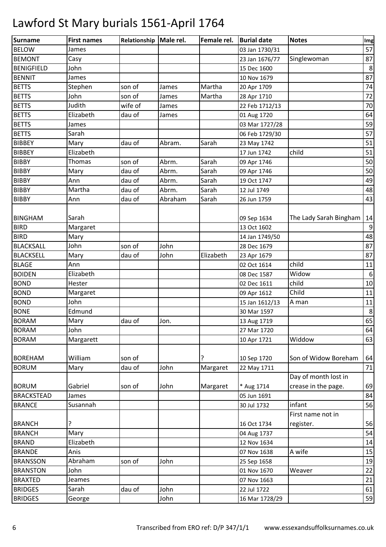| Surname           | <b>First names</b> | Relationship Male rel. |         | Female rel. | <b>Burial date</b> | <b>Notes</b>           | Img              |
|-------------------|--------------------|------------------------|---------|-------------|--------------------|------------------------|------------------|
| <b>BELOW</b>      | James              |                        |         |             | 03 Jan 1730/31     |                        | 57               |
| <b>BEMONT</b>     | Casy               |                        |         |             | 23 Jan 1676/77     | Singlewoman            | 87               |
| <b>BENIGFIELD</b> | John               |                        |         |             | 15 Dec 1600        |                        | 8                |
| <b>BENNIT</b>     | James              |                        |         |             | 10 Nov 1679        |                        | 87               |
| <b>BETTS</b>      | Stephen            | son of                 | James   | Martha      | 20 Apr 1709        |                        | 74               |
| <b>BETTS</b>      | John               | son of                 | James   | Martha      | 28 Apr 1710        |                        | 72               |
| <b>BETTS</b>      | Judith             | wife of                | James   |             | 22 Feb 1712/13     |                        | 70               |
| <b>BETTS</b>      | Elizabeth          | dau of                 | James   |             | 01 Aug 1720        |                        | 64               |
| <b>BETTS</b>      | James              |                        |         |             | 03 Mar 1727/28     |                        | 59               |
| <b>BETTS</b>      | Sarah              |                        |         |             | 06 Feb 1729/30     |                        | 57               |
| <b>BIBBEY</b>     | Mary               | dau of                 | Abram.  | Sarah       | 23 May 1742        |                        | 51               |
| <b>BIBBEY</b>     | Elizabeth          |                        |         |             | 17 Jun 1742        | child                  | 51               |
| <b>BIBBY</b>      | Thomas             | son of                 | Abrm.   | Sarah       | 09 Apr 1746        |                        | 50               |
| <b>BIBBY</b>      | Mary               | dau of                 | Abrm.   | Sarah       | 09 Apr 1746        |                        | 50               |
| <b>BIBBY</b>      | Ann                | dau of                 | Abrm.   | Sarah       | 19 Oct 1747        |                        | 49               |
| <b>BIBBY</b>      | Martha             | dau of                 | Abrm.   | Sarah       | 12 Jul 1749        |                        | 48               |
| <b>BIBBY</b>      | Ann                | dau of                 | Abraham | Sarah       | 26 Jun 1759        |                        | 43               |
|                   |                    |                        |         |             |                    |                        |                  |
| <b>BINGHAM</b>    | Sarah              |                        |         |             | 09 Sep 1634        | The Lady Sarah Bingham | 14               |
| <b>BIRD</b>       | Margaret           |                        |         |             | 13 Oct 1602        |                        | 9                |
| <b>BIRD</b>       | Mary               |                        |         |             | 14 Jan 1749/50     |                        | 48               |
| <b>BLACKSALL</b>  | John               | son of                 | John    |             | 28 Dec 1679        |                        | 87               |
| <b>BLACKSELL</b>  | Mary               | dau of                 | John    | Elizabeth   | 23 Apr 1679        |                        | 87               |
| <b>BLAGE</b>      | Ann                |                        |         |             | 02 Oct 1614        | child                  | 11               |
| <b>BOIDEN</b>     | Elizabeth          |                        |         |             | 08 Dec 1587        | Widow                  | $\boldsymbol{6}$ |
| <b>BOND</b>       | Hester             |                        |         |             | 02 Dec 1611        | child                  | 10               |
| <b>BOND</b>       | Margaret           |                        |         |             | 09 Apr 1612        | Child                  | 11               |
| <b>BOND</b>       | John               |                        |         |             | 15 Jan 1612/13     | A man                  | 11               |
| <b>BONE</b>       | Edmund             |                        |         |             | 30 Mar 1597        |                        | 8                |
| <b>BORAM</b>      | Mary               | dau of                 | Jon.    |             | 13 Aug 1719        |                        | 65               |
| <b>BORAM</b>      | John               |                        |         |             | 27 Mar 1720        |                        | 64               |
| <b>BORAM</b>      | Margarett          |                        |         |             | 10 Apr 1721        | Widdow                 | 63               |
|                   |                    |                        |         |             |                    |                        |                  |
| <b>BOREHAM</b>    | William            | son of                 |         |             | 10 Sep 1720        | Son of Widow Boreham   | 64               |
| <b>BORUM</b>      | Mary               | dau of                 | John    | Margaret    | 22 May 1711        |                        | 71               |
|                   |                    |                        |         |             |                    | Day of month lost in   |                  |
| <b>BORUM</b>      | Gabriel            | son of                 | John    | Margaret    | * Aug 1714         | crease in the page.    | 69               |
| <b>BRACKSTEAD</b> | James              |                        |         |             | 05 Jun 1691        |                        | 84               |
| <b>BRANCE</b>     | Susannah           |                        |         |             | 30 Jul 1732        | infant                 | 56               |
|                   |                    |                        |         |             |                    | First name not in      |                  |
| <b>BRANCH</b>     | ?                  |                        |         |             | 16 Oct 1734        | register.              | 56               |
| <b>BRANCH</b>     | Mary               |                        |         |             | 04 Aug 1737        |                        | 54               |
| <b>BRAND</b>      | Elizabeth          |                        |         |             | 12 Nov 1634        |                        | 14               |
| <b>BRANDE</b>     | Anis               |                        |         |             | 07 Nov 1638        | A wife                 | 15               |
| <b>BRANSSON</b>   | Abraham            | son of                 | John    |             | 25 Sep 1658        |                        | 19               |
| <b>BRANSTON</b>   | John               |                        |         |             | 01 Nov 1670        | Weaver                 | 22               |
| <b>BRAXTED</b>    | Jeames             |                        |         |             | 07 Nov 1663        |                        | 21               |
| <b>BRIDGES</b>    | Sarah              | dau of                 | John    |             | 22 Jul 1722        |                        | 61               |
| <b>BRIDGES</b>    | George             |                        | John    |             | 16 Mar 1728/29     |                        | 59               |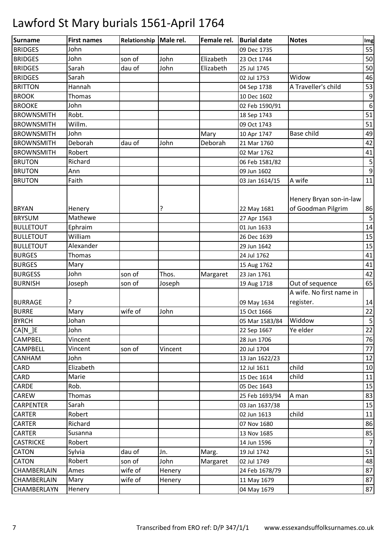| <b>Surname</b>                | <b>First names</b> | Relationship Male rel. |         | Female rel. | <b>Burial date</b>         | <b>Notes</b>                                  | Img              |
|-------------------------------|--------------------|------------------------|---------|-------------|----------------------------|-----------------------------------------------|------------------|
| <b>BRIDGES</b>                | John               |                        |         |             | 09 Dec 1735                |                                               | 55               |
| <b>BRIDGES</b>                | John               | son of                 | John    | Elizabeth   | 23 Oct 1744                |                                               | 50               |
| <b>BRIDGES</b>                | Sarah              | dau of                 | John    | Elizabeth   | 25 Jul 1745                |                                               | 50               |
| <b>BRIDGES</b>                | Sarah              |                        |         |             | 02 Jul 1753                | Widow                                         | 46               |
| <b>BRITTON</b>                | Hannah             |                        |         |             | 04 Sep 1738                | A Traveller's child                           | 53               |
| <b>BROOK</b>                  | Thomas             |                        |         |             | 10 Dec 1602                |                                               | 9                |
| <b>BROOKE</b>                 | John               |                        |         |             | 02 Feb 1590/91             |                                               | $\boldsymbol{6}$ |
| <b>BROWNSMITH</b>             | Robt.              |                        |         |             | 18 Sep 1743                |                                               | 51               |
| <b>BROWNSMITH</b>             | Willm.             |                        |         |             | 09 Oct 1743                |                                               | 51               |
| <b>BROWNSMITH</b>             | John               |                        |         | Mary        | 10 Apr 1747                | <b>Base child</b>                             | 49               |
| <b>BROWNSMITH</b>             | Deborah            | dau of                 | John    | Deborah     | 21 Mar 1760                |                                               | 42               |
| <b>BROWNSMITH</b>             | Robert             |                        |         |             | 02 Mar 1762                |                                               | 41               |
| <b>BRUTON</b>                 | Richard            |                        |         |             | 06 Feb 1581/82             |                                               | 5                |
| <b>BRUTON</b>                 | Ann                |                        |         |             | 09 Jun 1602                |                                               | 9                |
| <b>BRUTON</b>                 | Faith              |                        |         |             | 03 Jan 1614/15             | A wife                                        | 11               |
| <b>BRYAN</b><br><b>BRYSUM</b> | Henery<br>Mathewe  |                        | ?       |             | 22 May 1681<br>27 Apr 1563 | Henery Bryan son-in-law<br>of Goodman Pilgrim | 86<br>5          |
| <b>BULLETOUT</b>              | Ephraim            |                        |         |             | 01 Jun 1633                |                                               | 14               |
| <b>BULLETOUT</b>              | William            |                        |         |             | 26 Dec 1639                |                                               | 15               |
| <b>BULLETOUT</b>              | Alexander          |                        |         |             | 29 Jun 1642                |                                               | 15               |
| <b>BURGES</b>                 | Thomas             |                        |         |             | 24 Jul 1762                |                                               | 41               |
| <b>BURGES</b>                 | Mary               |                        |         |             | 15 Aug 1762                |                                               | 41               |
| <b>BURGESS</b>                | John               | son of                 | Thos.   | Margaret    | 23 Jan 1761                |                                               | 42               |
| <b>BURNISH</b>                | Joseph             | son of                 | Joseph  |             | 19 Aug 1718                | Out of sequence                               | 65               |
|                               |                    |                        |         |             |                            | A wife. No first name in                      |                  |
| <b>BURRAGE</b>                | 5.                 |                        |         |             | 09 May 1634                | register.                                     | 14               |
| <b>BURRE</b>                  | Mary               | wife of                | John    |             | 15 Oct 1666                |                                               | 22               |
| <b>BYRCH</b>                  | Johan              |                        |         |             | 05 Mar 1583/84             | Widdow                                        | 5                |
| CA[N]E                        | John               |                        |         |             | 22 Sep 1667                | Ye elder                                      | 22               |
| <b>CAMPBEL</b>                | Vincent            |                        |         |             | 28 Jun 1706                |                                               | 76               |
| <b>CAMPBELL</b>               | Vincent            | son of                 | Vincent |             | 20 Jul 1704                |                                               | 77               |
| CANHAM                        | John               |                        |         |             | 13 Jan 1622/23             |                                               | 12               |
| CARD                          | Elizabeth          |                        |         |             | 12 Jul 1611                | child                                         | 10               |
| CARD                          | Marie              |                        |         |             | 15 Dec 1614                | child                                         | 11               |
| CARDE                         | Rob.               |                        |         |             | 05 Dec 1643                |                                               | 15               |
| CAREW                         | Thomas             |                        |         |             | 25 Feb 1693/94             | A man                                         | 83               |
| <b>CARPENTER</b>              | Sarah              |                        |         |             | 03 Jan 1637/38             |                                               | 15               |
| <b>CARTER</b>                 | Robert             |                        |         |             | 02 Jun 1613                | child                                         | 11               |
| <b>CARTER</b>                 | Richard            |                        |         |             | 07 Nov 1680                |                                               | 86               |
| <b>CARTER</b>                 | Susanna            |                        |         |             | 13 Nov 1685                |                                               | 85               |
| <b>CASTRICKE</b>              | Robert             |                        |         |             | 14 Jun 1596                |                                               | $\overline{7}$   |
| CATON                         | Sylvia             | dau of                 | Jn.     | Marg.       | 19 Jul 1742                |                                               | 51               |
| <b>CATON</b>                  | Robert             | son of                 | John    | Margaret    | 02 Jul 1749                |                                               | 48               |
| CHAMBERLAIN                   | Ames               | wife of                | Henery  |             | 24 Feb 1678/79             |                                               | 87               |
| <b>CHAMBERLAIN</b>            | Mary               | wife of                | Henery  |             | 11 May 1679                |                                               | 87               |
| CHAMBERLAYN                   | Henery             |                        |         |             | 04 May 1679                |                                               | 87               |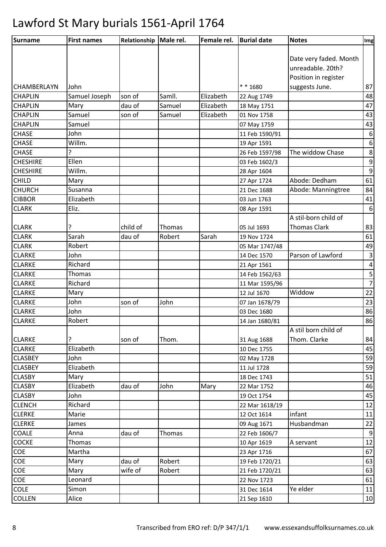| Surname            | <b>First names</b> | Relationship Male rel. |        | Female rel. | <b>Burial date</b> | <b>Notes</b>           | Img              |
|--------------------|--------------------|------------------------|--------|-------------|--------------------|------------------------|------------------|
|                    |                    |                        |        |             |                    |                        |                  |
|                    |                    |                        |        |             |                    | Date very faded. Month |                  |
|                    |                    |                        |        |             |                    | unreadable. 20th?      |                  |
|                    |                    |                        |        |             |                    | Position in register   |                  |
| <b>CHAMBERLAYN</b> | John               |                        |        |             | $* * 1680$         | suggests June.         | 87               |
| <b>CHAPLIN</b>     | Samuel Joseph      | son of                 | Samll. | Elizabeth   | 22 Aug 1749        |                        | 48               |
| <b>CHAPLIN</b>     | Mary               | dau of                 | Samuel | Elizabeth   | 18 May 1751        |                        | 47               |
| <b>CHAPLIN</b>     | Samuel             | son of                 | Samuel | Elizabeth   | 01 Nov 1758        |                        | 43               |
| <b>CHAPLIN</b>     | Samuel             |                        |        |             | 07 May 1759        |                        | 43               |
| <b>CHASE</b>       | John               |                        |        |             | 11 Feb 1590/91     |                        | $\boldsymbol{6}$ |
| <b>CHASE</b>       | Willm.             |                        |        |             | 19 Apr 1591        |                        | $\boldsymbol{6}$ |
| <b>CHASE</b>       | P                  |                        |        |             | 26 Feb 1597/98     | The widdow Chase       | $\bf 8$          |
| <b>CHESHIRE</b>    | Ellen              |                        |        |             | 03 Feb 1602/3      |                        | $\boldsymbol{9}$ |
| <b>CHESHIRE</b>    | Willm.             |                        |        |             | 28 Apr 1604        |                        | $\boldsymbol{9}$ |
| <b>CHILD</b>       | Mary               |                        |        |             | 27 Apr 1724        | Abode: Dedham          | 61               |
| <b>CHURCH</b>      | Susanna            |                        |        |             | 21 Dec 1688        | Abode: Manningtree     | 84               |
| <b>CIBBOR</b>      | Elizabeth          |                        |        |             | 03 Jun 1763        |                        | 41               |
| <b>CLARK</b>       | Eliz.              |                        |        |             | 08 Apr 1591        |                        | $6\,$            |
|                    |                    |                        |        |             |                    | A stil-born child of   |                  |
| <b>CLARK</b>       | ?                  | child of               | Thomas |             | 05 Jul 1693        | <b>Thomas Clark</b>    | 83               |
| <b>CLARK</b>       | Sarah              | dau of                 | Robert | Sarah       | 19 Nov 1724        |                        | 61               |
| <b>CLARK</b>       | Robert             |                        |        |             | 05 Mar 1747/48     |                        | 49               |
| <b>CLARKE</b>      | John               |                        |        |             | 14 Dec 1570        | Parson of Lawford      | $\mathsf 3$      |
| <b>CLARKE</b>      | Richard            |                        |        |             | 21 Apr 1561        |                        | 4                |
| <b>CLARKE</b>      | Thomas             |                        |        |             | 14 Feb 1562/63     |                        | $\sf 5$          |
| <b>CLARKE</b>      | Richard            |                        |        |             | 11 Mar 1595/96     |                        | $\overline{7}$   |
| <b>CLARKE</b>      | Mary               |                        |        |             | 12 Jul 1670        | Widdow                 | 22               |
| <b>CLARKE</b>      | John               | son of                 | John   |             | 07 Jan 1678/79     |                        | 23               |
| <b>CLARKE</b>      | John               |                        |        |             | 03 Dec 1680        |                        | 86               |
| <b>CLARKE</b>      | Robert             |                        |        |             | 14 Jan 1680/81     |                        | 86               |
|                    |                    |                        |        |             |                    | A stil born child of   |                  |
| <b>CLARKE</b>      | ?                  | son of                 | Thom.  |             | 31 Aug 1688        | Thom. Clarke           | 84               |
| <b>CLARKE</b>      | Elizabeth          |                        |        |             | 10 Dec 1755        |                        | 45               |
| <b>CLASBEY</b>     | John               |                        |        |             | 02 May 1728        |                        | 59               |
| <b>CLASBEY</b>     | Elizabeth          |                        |        |             | 11 Jul 1728        |                        | 59               |
| <b>CLASBY</b>      | Mary               |                        |        |             | 18 Dec 1743        |                        | 51               |
| <b>CLASBY</b>      | Elizabeth          | dau of                 | John   | Mary        | 22 Mar 1752        |                        | 46               |
| <b>CLASBY</b>      | John               |                        |        |             | 19 Oct 1754        |                        | 45               |
| <b>CLENCH</b>      | Richard            |                        |        |             | 22 Mar 1618/19     |                        | 12               |
| <b>CLERKE</b>      | Marie              |                        |        |             | 12 Oct 1614        | infant                 | 11               |
| <b>CLERKE</b>      | James              |                        |        |             | 09 Aug 1671        | Husbandman             | 22               |
| <b>COALE</b>       | Anna               | dau of                 | Thomas |             | 22 Feb 1606/7      |                        | $9\,$            |
| <b>COCKE</b>       | Thomas             |                        |        |             | 10 Apr 1619        | A servant              | 12               |
| COE                | Martha             |                        |        |             | 23 Apr 1716        |                        | 67               |
| COE                | Mary               | dau of                 | Robert |             | 19 Feb 1720/21     |                        | 63               |
| COE                | Mary               | wife of                | Robert |             | 21 Feb 1720/21     |                        | 63               |
| COE                | Leonard            |                        |        |             | 22 Nov 1723        |                        | 61               |
| <b>COLE</b>        | Simon              |                        |        |             | 31 Dec 1614        | Ye elder               | 11               |
| <b>COLLEN</b>      | Alice              |                        |        |             | 21 Sep 1610        |                        | 10               |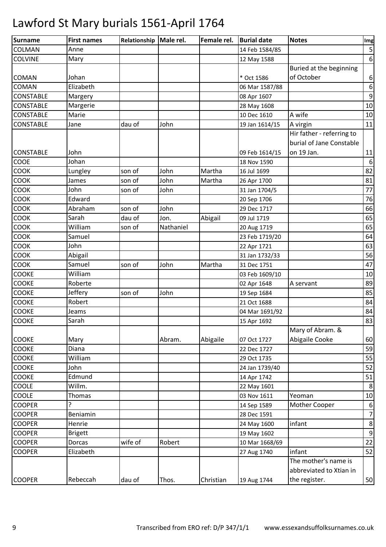| <b>Surname</b>   | <b>First names</b> | Relationship   Male rel. |           | Female rel. | <b>Burial date</b> | <b>Notes</b>              | Img                     |
|------------------|--------------------|--------------------------|-----------|-------------|--------------------|---------------------------|-------------------------|
| COLMAN           | Anne               |                          |           |             | 14 Feb 1584/85     |                           | $\overline{\mathbf{5}}$ |
| <b>COLVINE</b>   | Mary               |                          |           |             | 12 May 1588        |                           | $\boldsymbol{6}$        |
|                  |                    |                          |           |             |                    | Buried at the beginning   |                         |
| <b>COMAN</b>     | Johan              |                          |           |             | * Oct 1586         | of October                | $\boldsymbol{6}$        |
| <b>COMAN</b>     | Elizabeth          |                          |           |             | 06 Mar 1587/88     |                           | $\boldsymbol{6}$        |
| <b>CONSTABLE</b> | Margery            |                          |           |             | 08 Apr 1607        |                           | $9\,$                   |
| <b>CONSTABLE</b> | Margerie           |                          |           |             | 28 May 1608        |                           | $10\,$                  |
| <b>CONSTABLE</b> | Marie              |                          |           |             | 10 Dec 1610        | A wife                    | 10                      |
| <b>CONSTABLE</b> | Jane               | dau of                   | John      |             | 19 Jan 1614/15     | A virgin                  | 11                      |
|                  |                    |                          |           |             |                    | Hir father - referring to |                         |
|                  |                    |                          |           |             |                    | burial of Jane Constable  |                         |
| <b>CONSTABLE</b> | John               |                          |           |             | 09 Feb 1614/15     | on 19 Jan.                | 11                      |
| COOE             | Johan              |                          |           |             | 18 Nov 1590        |                           | $\boldsymbol{6}$        |
| <b>COOK</b>      | Lungley            | son of                   | John      | Martha      | 16 Jul 1699        |                           | 82                      |
| COOK             | James              | son of                   | John      | Martha      | 26 Apr 1700        |                           | 81                      |
| COOK             | John               | son of                   | John      |             | 31 Jan 1704/5      |                           | 77                      |
| COOK             | Edward             |                          |           |             | 20 Sep 1706        |                           | 76                      |
| COOK             | Abraham            | son of                   | John      |             | 29 Dec 1717        |                           | 66                      |
| <b>COOK</b>      | Sarah              | dau of                   | Jon.      | Abigail     | 09 Jul 1719        |                           | 65                      |
| COOK             | William            | son of                   | Nathaniel |             | 20 Aug 1719        |                           | 65                      |
| COOK             | Samuel             |                          |           |             | 23 Feb 1719/20     |                           | 64                      |
| COOK             | John               |                          |           |             | 22 Apr 1721        |                           | 63                      |
| COOK             | Abigail            |                          |           |             | 31 Jan 1732/33     |                           | 56                      |
| <b>COOK</b>      | Samuel             | son of                   | John      | Martha      | 31 Dec 1751        |                           | 47                      |
| COOKE            | William            |                          |           |             | 03 Feb 1609/10     |                           | 10                      |
| COOKE            | Roberte            |                          |           |             | 02 Apr 1648        | A servant                 | 89                      |
| COOKE            | Jeffery            | son of                   | John      |             | 19 Sep 1684        |                           | 85                      |
| <b>COOKE</b>     | Robert             |                          |           |             | 21 Oct 1688        |                           | 84                      |
| <b>COOKE</b>     | Jeams              |                          |           |             | 04 Mar 1691/92     |                           | 84                      |
| <b>COOKE</b>     | Sarah              |                          |           |             | 15 Apr 1692        |                           | 83                      |
|                  |                    |                          |           |             |                    | Mary of Abram. &          |                         |
| <b>COOKE</b>     | Mary               |                          | Abram.    | Abigaile    | 07 Oct 1727        | Abigaile Cooke            | 60                      |
| COOKE            | Diana              |                          |           |             | 22 Dec 1727        |                           | 59                      |
| COOKE            | William            |                          |           |             | 29 Oct 1735        |                           | 55                      |
| COOKE            | John               |                          |           |             | 24 Jan 1739/40     |                           | 52                      |
| COOKE            | Edmund             |                          |           |             | 14 Apr 1742        |                           | 51                      |
| COOLE            | Willm.             |                          |           |             | 22 May 1601        |                           | $\,8\,$                 |
| COOLE            | Thomas             |                          |           |             | 03 Nov 1611        | Yeoman                    | 10                      |
| <b>COOPER</b>    |                    |                          |           |             | 14 Sep 1589        | Mother Cooper             | 6                       |
| <b>COOPER</b>    | Beniamin           |                          |           |             | 28 Dec 1591        |                           | $\overline{7}$          |
| <b>COOPER</b>    | Henrie             |                          |           |             | 24 May 1600        | infant                    | $\,8\,$                 |
| <b>COOPER</b>    | <b>Brigett</b>     |                          |           |             | 19 May 1602        |                           | $\boldsymbol{9}$        |
| <b>COOPER</b>    | Dorcas             | wife of                  | Robert    |             | 10 Mar 1668/69     |                           | 22                      |
| <b>COOPER</b>    | Elizabeth          |                          |           |             | 27 Aug 1740        | infant                    | 52                      |
|                  |                    |                          |           |             |                    | The mother's name is      |                         |
|                  |                    |                          |           |             |                    | abbreviated to Xtian in   |                         |
| <b>COOPER</b>    | Rebeccah           | dau of                   | Thos.     | Christian   | 19 Aug 1744        | the register.             | 50                      |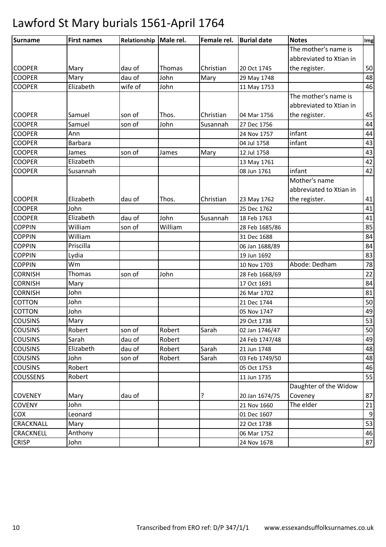| <b>Surname</b>  | <b>First names</b> | Relationship | Male rel.     | Female rel. | <b>Burial date</b> | <b>Notes</b>            | Img |
|-----------------|--------------------|--------------|---------------|-------------|--------------------|-------------------------|-----|
|                 |                    |              |               |             |                    | The mother's name is    |     |
|                 |                    |              |               |             |                    | abbreviated to Xtian in |     |
| <b>COOPER</b>   | Mary               | dau of       | <b>Thomas</b> | Christian   | 20 Oct 1745        | the register.           | 50  |
| <b>COOPER</b>   | Mary               | dau of       | John          | Mary        | 29 May 1748        |                         | 48  |
| <b>COOPER</b>   | Elizabeth          | wife of      | John          |             | 11 May 1753        |                         | 46  |
|                 |                    |              |               |             |                    | The mother's name is    |     |
|                 |                    |              |               |             |                    | abbreviated to Xtian in |     |
| <b>COOPER</b>   | Samuel             | son of       | Thos.         | Christian   | 04 Mar 1756        | the register.           | 45  |
| <b>COOPER</b>   | Samuel             | son of       | John          | Susannah    | 27 Dec 1756        |                         | 44  |
| <b>COOPER</b>   | Ann                |              |               |             | 24 Nov 1757        | infant                  | 44  |
| <b>COOPER</b>   | <b>Barbara</b>     |              |               |             | 04 Jul 1758        | infant                  | 43  |
| <b>COOPER</b>   | James              | son of       | James         | Mary        | 12 Jul 1758        |                         | 43  |
| <b>COOPER</b>   | Elizabeth          |              |               |             | 13 May 1761        |                         | 42  |
| <b>COOPER</b>   | Susannah           |              |               |             | 08 Jun 1761        | infant                  | 42  |
|                 |                    |              |               |             |                    | Mother's name           |     |
|                 |                    |              |               |             |                    | abbreviated to Xtian in |     |
| <b>COOPER</b>   | Elizabeth          | dau of       | Thos.         | Christian   | 23 May 1762        | the register.           | 41  |
| <b>COOPER</b>   | John               |              |               |             | 25 Dec 1762        |                         | 41  |
| <b>COOPER</b>   | Elizabeth          | dau of       | John          | Susannah    | 18 Feb 1763        |                         | 41  |
| <b>COPPIN</b>   | William            | son of       | William       |             | 28 Feb 1685/86     |                         | 85  |
| <b>COPPIN</b>   | William            |              |               |             | 31 Dec 1688        |                         | 84  |
| <b>COPPIN</b>   | Priscilla          |              |               |             | 06 Jan 1688/89     |                         | 84  |
| <b>COPPIN</b>   | Lydia              |              |               |             | 19 Jun 1692        |                         | 83  |
| <b>COPPIN</b>   | Wm                 |              |               |             | 10 Nov 1703        | Abode: Dedham           | 78  |
| <b>CORNISH</b>  | Thomas             | son of       | John          |             | 28 Feb 1668/69     |                         | 22  |
| <b>CORNISH</b>  | Mary               |              |               |             | 17 Oct 1691        |                         | 84  |
| <b>CORNISH</b>  | John               |              |               |             | 26 Mar 1702        |                         | 81  |
| <b>COTTON</b>   | John               |              |               |             | 21 Dec 1744        |                         | 50  |
| COTTON          | John               |              |               |             | 05 Nov 1747        |                         | 49  |
| <b>COUSINS</b>  | Mary               |              |               |             | 29 Oct 1738        |                         | 53  |
| <b>COUSINS</b>  | Robert             | son of       | Robert        | Sarah       | 02 Jan 1746/47     |                         | 50  |
| <b>COUSINS</b>  | Sarah              | dau of       | Robert        |             | 24 Feb 1747/48     |                         | 49  |
| <b>COUSINS</b>  | Elizabeth          | dau of       | Robert        | Sarah       | 21 Jun 1748        |                         | 48  |
| <b>COUSINS</b>  | John               | son of       | Robert        | Sarah       | 03 Feb 1749/50     |                         | 48  |
| <b>COUSINS</b>  | Robert             |              |               |             | 05 Oct 1753        |                         | 46  |
| <b>COUSSENS</b> | Robert             |              |               |             | 11 Jun 1735        |                         | 55  |
|                 |                    |              |               |             |                    | Daughter of the Widow   |     |
| <b>COVENEY</b>  | Mary               | dau of       |               | ?           | 20 Jan 1674/75     | Coveney                 | 87  |
| <b>COVENY</b>   | John               |              |               |             | 21 Nov 1660        | The elder               | 21  |
| COX             | Leonard            |              |               |             | 01 Dec 1607        |                         | 9   |
| CRACKNALL       | Mary               |              |               |             | 22 Oct 1738        |                         | 53  |
| CRACKNELL       | Anthony            |              |               |             | 06 Mar 1752        |                         | 46  |
| <b>CRISP</b>    | John               |              |               |             | 24 Nov 1678        |                         | 87  |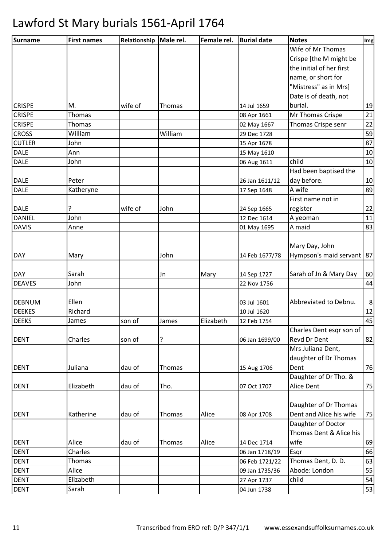| <b>Surname</b> | <b>First names</b> | Relationship | Male rel. | Female rel. | <b>Burial date</b> | <b>Notes</b>              | Img     |
|----------------|--------------------|--------------|-----------|-------------|--------------------|---------------------------|---------|
|                |                    |              |           |             |                    | Wife of Mr Thomas         |         |
|                |                    |              |           |             |                    | Crispe [the M might be    |         |
|                |                    |              |           |             |                    | the initial of her first  |         |
|                |                    |              |           |             |                    | name, or short for        |         |
|                |                    |              |           |             |                    | "Mistress" as in Mrs]     |         |
|                |                    |              |           |             |                    | Date is of death, not     |         |
| <b>CRISPE</b>  | M.                 | wife of      | Thomas    |             | 14 Jul 1659        | burial.                   | 19      |
| <b>CRISPE</b>  | Thomas             |              |           |             | 08 Apr 1661        | Mr Thomas Crispe          | 21      |
| <b>CRISPE</b>  | Thomas             |              |           |             | 02 May 1667        | Thomas Crispe senr        | 22      |
| <b>CROSS</b>   | William            |              | William   |             | 29 Dec 1728        |                           | 59      |
| <b>CUTLER</b>  | John               |              |           |             | 15 Apr 1678        |                           | 87      |
| <b>DALE</b>    | Ann                |              |           |             | 15 May 1610        |                           | 10      |
| <b>DALE</b>    | John               |              |           |             | 06 Aug 1611        | child                     | 10      |
|                |                    |              |           |             |                    | Had been baptised the     |         |
| DALE           | Peter              |              |           |             | 26 Jan 1611/12     | day before.               | 10      |
| <b>DALE</b>    | Katheryne          |              |           |             | 17 Sep 1648        | A wife                    | 89      |
|                |                    |              |           |             |                    | First name not in         |         |
| <b>DALE</b>    | ?                  | wife of      | John      |             | 24 Sep 1665        | register                  | 22      |
| <b>DANIEL</b>  | John               |              |           |             | 12 Dec 1614        | A yeoman                  | 11      |
| <b>DAVIS</b>   | Anne               |              |           |             | 01 May 1695        | A maid                    | 83      |
|                |                    |              |           |             |                    |                           |         |
|                |                    |              |           |             |                    | Mary Day, John            |         |
| <b>DAY</b>     | Mary               |              | John      |             | 14 Feb 1677/78     | Hympson's maid servant 87 |         |
|                |                    |              |           |             |                    |                           |         |
| <b>DAY</b>     | Sarah              |              | Jn        | Mary        | 14 Sep 1727        | Sarah of Jn & Mary Day    | 60      |
| <b>DEAVES</b>  | John               |              |           |             | 22 Nov 1756        |                           | 44      |
|                |                    |              |           |             |                    |                           |         |
| <b>DEBNUM</b>  | Ellen              |              |           |             | 03 Jul 1601        | Abbreviated to Debnu.     | $\bf 8$ |
| <b>DEEKES</b>  | Richard            |              |           |             | 10 Jul 1620        |                           | 12      |
| <b>DEEKS</b>   | James              | son of       | James     | Elizabeth   | 12 Feb 1754        |                           | 45      |
|                |                    |              |           |             |                    | Charles Dent esqr son of  |         |
| <b>DENT</b>    | Charles            | son of       | ?         |             | 06 Jan 1699/00     | Revd Dr Dent              | 82      |
|                |                    |              |           |             |                    | Mrs Juliana Dent,         |         |
|                |                    |              |           |             |                    | daughter of Dr Thomas     |         |
| <b>DENT</b>    | Juliana            | dau of       | Thomas    |             | 15 Aug 1706        | Dent                      | 76      |
|                |                    |              |           |             |                    | Daughter of Dr Tho. &     |         |
| <b>DENT</b>    | Elizabeth          | dau of       | Tho.      |             | 07 Oct 1707        | Alice Dent                | 75      |
|                |                    |              |           |             |                    |                           |         |
|                |                    |              |           |             |                    | Daughter of Dr Thomas     |         |
| <b>DENT</b>    | Katherine          | dau of       | Thomas    | Alice       | 08 Apr 1708        | Dent and Alice his wife   | 75      |
|                |                    |              |           |             |                    | Daughter of Doctor        |         |
|                |                    |              |           |             |                    | Thomas Dent & Alice his   |         |
| <b>DENT</b>    | Alice              | dau of       | Thomas    | Alice       | 14 Dec 1714        | wife                      | 69      |
| <b>DENT</b>    | Charles            |              |           |             | 06 Jan 1718/19     | Esqr                      | 66      |
| <b>DENT</b>    | Thomas             |              |           |             | 06 Feb 1721/22     | Thomas Dent, D. D.        | 63      |
| <b>DENT</b>    | Alice              |              |           |             | 09 Jan 1735/36     | Abode: London             | 55      |
| <b>DENT</b>    | Elizabeth          |              |           |             | 27 Apr 1737        | child                     | 54      |
| <b>DENT</b>    | Sarah              |              |           |             | 04 Jun 1738        |                           | 53      |
|                |                    |              |           |             |                    |                           |         |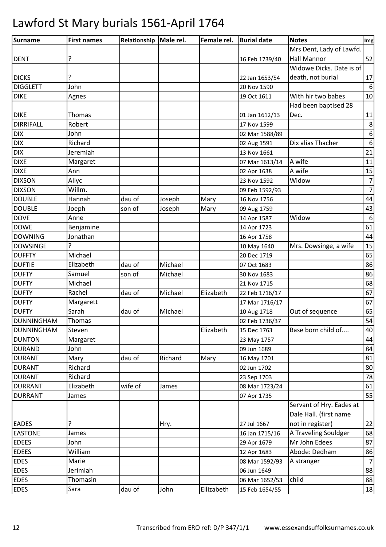| Surname           | <b>First names</b> | Relationship   Male rel. |         | Female rel. | <b>Burial date</b> | <b>Notes</b>             | Img              |
|-------------------|--------------------|--------------------------|---------|-------------|--------------------|--------------------------|------------------|
|                   |                    |                          |         |             |                    | Mrs Dent, Lady of Lawfd. |                  |
| <b>DENT</b>       | ?                  |                          |         |             | 16 Feb 1739/40     | <b>Hall Mannor</b>       | 52               |
|                   |                    |                          |         |             |                    | Widowe Dicks. Date is of |                  |
| <b>DICKS</b>      | ?                  |                          |         |             | 22 Jan 1653/54     | death, not burial        | 17               |
| <b>DIGGLETT</b>   | John               |                          |         |             | 20 Nov 1590        |                          | 6                |
| <b>DIKE</b>       | Agnes              |                          |         |             | 19 Oct 1611        | With hir two babes       | 10               |
|                   |                    |                          |         |             |                    | Had been baptised 28     |                  |
| <b>DIKE</b>       | Thomas             |                          |         |             | 01 Jan 1612/13     | Dec.                     | 11               |
| <b>DIRRIFALL</b>  | Robert             |                          |         |             | 17 Nov 1599        |                          | 8                |
| <b>DIX</b>        | John               |                          |         |             | 02 Mar 1588/89     |                          | $\boldsymbol{6}$ |
| <b>DIX</b>        | Richard            |                          |         |             | 02 Aug 1591        | Dix alias Thacher        | 6                |
| <b>DIX</b>        | Jeremiah           |                          |         |             | 13 Nov 1661        |                          | 21               |
| <b>DIXE</b>       | Margaret           |                          |         |             | 07 Mar 1613/14     | A wife                   | 11               |
| <b>DIXE</b>       | Ann                |                          |         |             | 02 Apr 1638        | A wife                   | 15               |
| <b>DIXSON</b>     | Allyc              |                          |         |             | 23 Nov 1592        | Widow                    | $\overline{7}$   |
| <b>DIXSON</b>     | Willm.             |                          |         |             | 09 Feb 1592/93     |                          | $\overline{7}$   |
| <b>DOUBLE</b>     | Hannah             | dau of                   | Joseph  | Mary        | 16 Nov 1756        |                          | 44               |
| <b>DOUBLE</b>     | Joeph              | son of                   | Joseph  | Mary        | 09 Aug 1759        |                          | 43               |
| <b>DOVE</b>       | Anne               |                          |         |             | 14 Apr 1587        | Widow                    | $\sqrt{6}$       |
| <b>DOWE</b>       | Benjamine          |                          |         |             | 14 Apr 1723        |                          | 61               |
| <b>DOWNING</b>    | Jonathan           |                          |         |             | 16 Apr 1758        |                          | 44               |
| <b>DOWSINGE</b>   | 7                  |                          |         |             | 10 May 1640        | Mrs. Dowsinge, a wife    | 15               |
| <b>DUFFTY</b>     | Michael            |                          |         |             | 20 Dec 1719        |                          | 65               |
| <b>DUFTIE</b>     | Elizabeth          | dau of                   | Michael |             | 07 Oct 1683        |                          | 86               |
| <b>DUFTY</b>      | Samuel             | son of                   | Michael |             | 30 Nov 1683        |                          | 86               |
| <b>DUFTY</b>      | Michael            |                          |         |             | 21 Nov 1715        |                          | 68               |
| <b>DUFTY</b>      | Rachel             | dau of                   | Michael | Elizabeth   | 22 Feb 1716/17     |                          | 67               |
| <b>DUFTY</b>      | Margarett          |                          |         |             | 17 Mar 1716/17     |                          | 67               |
| <b>DUFTY</b>      | Sarah              | dau of                   | Michael |             | 10 Aug 1718        | Out of sequence          | 65               |
| <b>DUNNINGHAM</b> | Thomas             |                          |         |             | 02 Feb 1736/37     |                          | 54               |
| <b>DUNNINGHAM</b> | Steven             |                          |         | Elizabeth   | 15 Dec 1763        | Base born child of       | 40               |
| <b>DUNTON</b>     | Margaret           |                          |         |             | 23 May 1757        |                          | 44               |
| <b>DURAND</b>     | John               |                          |         |             | 09 Jun 1689        |                          | 84               |
| <b>DURANT</b>     | Mary               | dau of                   | Richard | Mary        | 16 May 1701        |                          | 81               |
| <b>DURANT</b>     | Richard            |                          |         |             | 02 Jun 1702        |                          | 80               |
| <b>DURANT</b>     | Richard            |                          |         |             | 23 Sep 1703        |                          | 78               |
| <b>DURRANT</b>    | Elizabeth          | wife of                  | James   |             | 08 Mar 1723/24     |                          | 61               |
| <b>DURRANT</b>    | James              |                          |         |             | 07 Apr 1735        |                          | 55               |
|                   |                    |                          |         |             |                    | Servant of Hry. Eades at |                  |
|                   |                    |                          |         |             |                    | Dale Hall. (first name   |                  |
| <b>EADES</b>      | ŗ                  |                          | Hry.    |             | 27 Jul 1667        | not in register)         | 22               |
| <b>EASTONE</b>    | James              |                          |         |             | 16 Jan 1715/16     | A Traveling Souldger     | 68               |
| <b>EDEES</b>      | John               |                          |         |             | 29 Apr 1679        | Mr John Edees            | 87               |
| <b>EDEES</b>      | William            |                          |         |             | 12 Apr 1683        | Abode: Dedham            | 86               |
| <b>EDES</b>       | Marie              |                          |         |             | 08 Mar 1592/93     | A stranger               | $\overline{7}$   |
| <b>EDES</b>       | Jerimiah           |                          |         |             | 06 Jun 1649        |                          | 88               |
| <b>EDES</b>       | Thomasin           |                          |         |             | 06 Mar 1652/53     | child                    | 88               |
| <b>EDES</b>       | Sara               | dau of                   | John    | Ellizabeth  | 15 Feb 1654/55     |                          | 18               |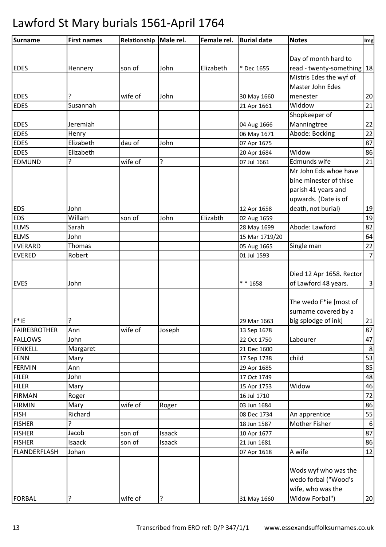| <b>Surname</b>      | <b>First names</b> | Relationship | Male rel. | Female rel. | <b>Burial date</b> | <b>Notes</b>               | Img            |
|---------------------|--------------------|--------------|-----------|-------------|--------------------|----------------------------|----------------|
|                     |                    |              |           |             |                    |                            |                |
|                     |                    |              |           |             |                    | Day of month hard to       |                |
| <b>EDES</b>         | Hennery            | son of       | John      | Elizabeth   | * Dec 1655         | read - twenty-something 18 |                |
|                     |                    |              |           |             |                    | Mistris Edes the wyf of    |                |
|                     |                    |              |           |             |                    | Master John Edes           |                |
| <b>EDES</b>         | ?                  | wife of      | John      |             | 30 May 1660        | menester                   | 20             |
| <b>EDES</b>         | Susannah           |              |           |             | 21 Apr 1661        | Widdow                     | 21             |
|                     |                    |              |           |             |                    | Shopkeeper of              |                |
| <b>EDES</b>         | Jeremiah           |              |           |             | 04 Aug 1666        | Manningtree                | 22             |
| <b>EDES</b>         | Henry              |              |           |             | 06 May 1671        | Abode: Bocking             | 22             |
| <b>EDES</b>         | Elizabeth          | dau of       | John      |             | 07 Apr 1675        |                            | 87             |
| <b>EDES</b>         | Elizabeth          |              |           |             | 20 Apr 1684        | Widow                      | 86             |
| <b>EDMUND</b>       | 5.                 | wife of      | 5         |             | 07 Jul 1661        | Edmunds wife               | 21             |
|                     |                    |              |           |             |                    | Mr John Eds whoe have      |                |
|                     |                    |              |           |             |                    | bine minester of thise     |                |
|                     |                    |              |           |             |                    | parish 41 years and        |                |
|                     |                    |              |           |             |                    | upwards. (Date is of       |                |
| <b>EDS</b>          | John               |              |           |             | 12 Apr 1658        | death, not burial)         | 19             |
| <b>EDS</b>          | Willam             | son of       | John      | Elizabth    | 02 Aug 1659        |                            | 19             |
| <b>ELMS</b>         | Sarah              |              |           |             | 28 May 1699        | Abode: Lawford             | 82             |
| <b>ELMS</b>         | John               |              |           |             | 15 Mar 1719/20     |                            | 64             |
| <b>EVERARD</b>      | <b>Thomas</b>      |              |           |             | 05 Aug 1665        | Single man                 | 22             |
| <b>EVERED</b>       | Robert             |              |           |             | 01 Jul 1593        |                            | $\overline{7}$ |
|                     |                    |              |           |             |                    |                            |                |
|                     |                    |              |           |             |                    | Died 12 Apr 1658. Rector   |                |
| <b>EVES</b>         | John               |              |           |             | * * 1658           | of Lawford 48 years.       | $\mathbf{3}$   |
|                     |                    |              |           |             |                    |                            |                |
|                     |                    |              |           |             |                    | The wedo F*ie [most of     |                |
|                     |                    |              |           |             |                    | surname covered by a       |                |
| $F^*$ IE            | ?                  |              |           |             | 29 Mar 1663        | big splodge of ink]        | 21             |
| <b>FAIREBROTHER</b> | Ann                | wife of      | Joseph    |             | 13 Sep 1678        |                            | 87             |
| <b>FALLOWS</b>      | John               |              |           |             | 22 Oct 1750        | Labourer                   | 47             |
| <b>FENKELL</b>      | Margaret           |              |           |             | 21 Dec 1600        |                            | $\,8\,$        |
| <b>FENN</b>         | Mary               |              |           |             | 17 Sep 1738        | child                      | 53             |
| <b>FERMIN</b>       | Ann                |              |           |             | 29 Apr 1685        |                            | 85             |
| <b>FILER</b>        | John               |              |           |             | 17 Oct 1749        |                            | 48             |
| <b>FILER</b>        | Mary               |              |           |             | 15 Apr 1753        | Widow                      | 46             |
| <b>FIRMAN</b>       | Roger              |              |           |             | 16 Jul 1710        |                            | 72             |
| <b>FIRMIN</b>       | Mary               | wife of      | Roger     |             | 03 Jun 1684        |                            | 86             |
| <b>FISH</b>         | Richard            |              |           |             | 08 Dec 1734        | An apprentice              | 55             |
| <b>FISHER</b>       | ?                  |              |           |             | 18 Jun 1587        | Mother Fisher              | 6              |
| <b>FISHER</b>       | Jacob              | son of       | Isaack    |             | 10 Apr 1677        |                            | 87             |
| <b>FISHER</b>       | Isaack             | son of       | Isaack    |             | 21 Jun 1681        |                            | 86             |
| FLANDERFLASH        | Johan              |              |           |             | 07 Apr 1618        | A wife                     | 12             |
|                     |                    |              |           |             |                    |                            |                |
|                     |                    |              |           |             |                    | Wods wyf who was the       |                |
|                     |                    |              |           |             |                    | wedo forbal ("Wood's       |                |
|                     |                    |              |           |             |                    | wife, who was the          |                |
| <b>FORBAL</b>       | ?                  | wife of      | ?         |             | 31 May 1660        | Widow Forbal")             | 20             |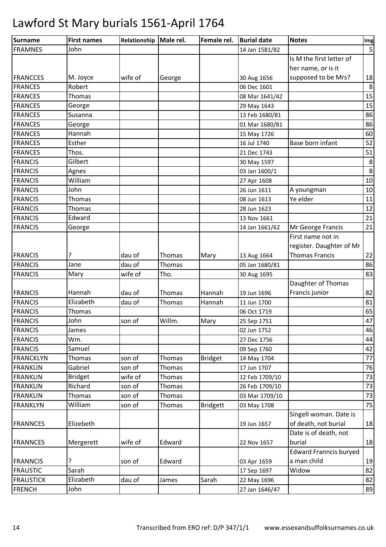| <b>Surname</b>   | <b>First names</b> | Relationship   Male rel. |               | Female rel.     | <b>Burial date</b> | <b>Notes</b>                  | Img |
|------------------|--------------------|--------------------------|---------------|-----------------|--------------------|-------------------------------|-----|
| <b>FRAMNES</b>   | John               |                          |               |                 | 14 Jan 1581/82     |                               | 5   |
|                  |                    |                          |               |                 |                    | Is M the first letter of      |     |
|                  |                    |                          |               |                 |                    | her name, or is it            |     |
| <b>FRANCCES</b>  | M. Joyce           | wife of                  | George        |                 | 30 Aug 1656        | supposed to be Mrs?           | 18  |
| <b>FRANCES</b>   | Robert             |                          |               |                 | 06 Dec 1601        |                               | 8   |
| <b>FRANCES</b>   | Thomas             |                          |               |                 | 08 Mar 1641/42     |                               | 15  |
| <b>FRANCES</b>   | George             |                          |               |                 | 29 May 1643        |                               | 15  |
| <b>FRANCES</b>   | Susanna            |                          |               |                 | 13 Feb 1680/81     |                               | 86  |
| <b>FRANCES</b>   | George             |                          |               |                 | 01 Mar 1680/81     |                               | 86  |
| <b>FRANCES</b>   | Hannah             |                          |               |                 | 15 May 1726        |                               | 60  |
| <b>FRANCES</b>   | Esther             |                          |               |                 | 16 Jul 1740        | Base born infant              | 52  |
| <b>FRANCES</b>   | Thos.              |                          |               |                 | 21 Dec 1743        |                               | 51  |
| <b>FRANCIS</b>   | Gilbert            |                          |               |                 | 30 May 1597        |                               | 8   |
| <b>FRANCIS</b>   | Agnes              |                          |               |                 | 03 Jan 1600/1      |                               | 8   |
| <b>FRANCIS</b>   | William            |                          |               |                 | 27 Apr 1608        |                               | 10  |
| <b>FRANCIS</b>   | John               |                          |               |                 | 26 Jun 1611        | A youngman                    | 10  |
| <b>FRANCIS</b>   | Thomas             |                          |               |                 | 08 Jun 1613        | Ye elder                      | 11  |
| <b>FRANCIS</b>   | Thomas             |                          |               |                 | 28 Jun 1623        |                               | 12  |
| <b>FRANCIS</b>   | Edward             |                          |               |                 | 13 Nov 1661        |                               | 21  |
| <b>FRANCIS</b>   | George             |                          |               |                 | 14 Jan 1661/62     | Mr George Francis             | 21  |
|                  |                    |                          |               |                 |                    | First name not in             |     |
|                  |                    |                          |               |                 |                    | register. Daughter of Mr      |     |
| <b>FRANCIS</b>   | ?                  | dau of                   | Thomas        | Mary            | 13 Aug 1664        | <b>Thomas Francis</b>         | 22  |
| <b>FRANCIS</b>   | Jane               | dau of                   | Thomas        |                 | 05 Jan 1680/81     |                               | 86  |
| <b>FRANCIS</b>   | Mary               | wife of                  | Tho.          |                 | 30 Aug 1695        |                               | 83  |
|                  |                    |                          |               |                 |                    | Daughter of Thomas            |     |
| <b>FRANCIS</b>   | Hannah             | dau of                   | Thomas        | Hannah          | 19 Jun 1696        | Francis junior                | 82  |
| <b>FRANCIS</b>   | Elizabeth          | dau of                   | Thomas        | Hannah          | 11 Jun 1700        |                               | 81  |
| <b>FRANCIS</b>   | Thomas             |                          |               |                 | 06 Oct 1719        |                               | 65  |
| <b>FRANCIS</b>   | John               | son of                   | Willm.        | Mary            | 25 Sep 1751        |                               | 47  |
| <b>FRANCIS</b>   | James              |                          |               |                 | 02 Jun 1752        |                               | 46  |
| <b>FRANCIS</b>   | Wm.                |                          |               |                 | 27 Dec 1756        |                               | 44  |
| <b>FRANCIS</b>   | Samuel             |                          |               |                 | 09 Sep 1760        |                               | 42  |
| <b>FRANCKLYN</b> | Thomas             | son of                   | Thomas        | <b>Bridget</b>  | 14 May 1704        |                               | 77  |
| <b>FRANKLIN</b>  | Gabriel            | son of                   | <b>Thomas</b> |                 | 17 Jun 1707        |                               | 76  |
| <b>FRANKLIN</b>  | <b>Bridget</b>     | wife of                  | Thomas        |                 | 12 Feb 1709/10     |                               | 73  |
| <b>FRANKLIN</b>  | Richard            | son of                   | <b>Thomas</b> |                 | 26 Feb 1709/10     |                               | 73  |
| <b>FRANKLIN</b>  | Thomas             | son of                   | Thomas        |                 | 03 Mar 1709/10     |                               | 73  |
| <b>FRANKLYN</b>  | William            | son of                   | Thomas        | <b>Bridgett</b> | 03 May 1708        |                               | 75  |
|                  |                    |                          |               |                 |                    | Singell woman. Date is        |     |
| <b>FRANNCES</b>  | Elizebeth          |                          |               |                 | 19 Jun 1657        | of death, not burial          | 18  |
|                  |                    |                          |               |                 |                    | Date is of death, not         |     |
| <b>FRANNCES</b>  | Mergerett          | wife of                  | Edward        |                 | 22 Nov 1657        | burial                        | 18  |
|                  |                    |                          |               |                 |                    | <b>Edward Franncis buryed</b> |     |
| <b>FRANNCIS</b>  | ?                  | son of                   | Edward        |                 | 03 Apr 1659        | a man child                   | 19  |
| <b>FRAUSTIC</b>  | Sarah              |                          |               |                 | 17 Sep 1697        | Widow                         | 82  |
| <b>FRAUSTICK</b> | Elizabeth          | dau of                   | James         | Sarah           | 22 May 1696        |                               | 82  |
| <b>FRENCH</b>    | John               |                          |               |                 | 27 Jan 1646/47     |                               | 89  |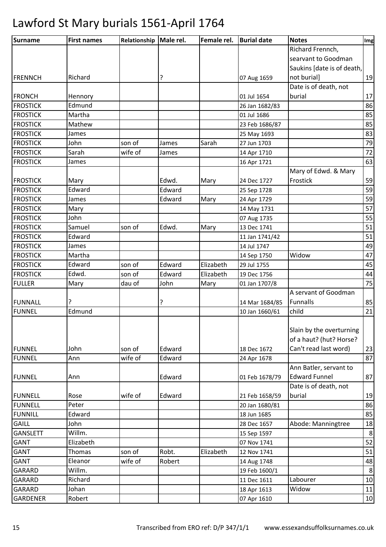| <b>Surname</b>  | <b>First names</b> | Relationship   Male rel. |        | Female rel. | <b>Burial date</b> | <b>Notes</b>               | Img     |
|-----------------|--------------------|--------------------------|--------|-------------|--------------------|----------------------------|---------|
|                 |                    |                          |        |             |                    | Richard Frennch,           |         |
|                 |                    |                          |        |             |                    | searvant to Goodman        |         |
|                 |                    |                          |        |             |                    | Saukins [date is of death, |         |
| <b>FRENNCH</b>  | Richard            |                          | ?      |             | 07 Aug 1659        | not burial]                | 19      |
|                 |                    |                          |        |             |                    | Date is of death, not      |         |
| <b>FRONCH</b>   | Hennory            |                          |        |             | 01 Jul 1654        | burial                     | 17      |
| <b>FROSTICK</b> | Edmund             |                          |        |             | 26 Jan 1682/83     |                            | 86      |
| <b>FROSTICK</b> | Martha             |                          |        |             | 01 Jul 1686        |                            | 85      |
| <b>FROSTICK</b> | Mathew             |                          |        |             | 23 Feb 1686/87     |                            | 85      |
| <b>FROSTICK</b> | James              |                          |        |             | 25 May 1693        |                            | 83      |
| <b>FROSTICK</b> | John               | son of                   | James  | Sarah       | 27 Jun 1703        |                            | 79      |
| <b>FROSTICK</b> | Sarah              | wife of                  | James  |             | 14 Apr 1710        |                            | $72\,$  |
| <b>FROSTICK</b> | James              |                          |        |             | 16 Apr 1721        |                            | 63      |
|                 |                    |                          |        |             |                    | Mary of Edwd. & Mary       |         |
| <b>FROSTICK</b> | Mary               |                          | Edwd.  | Mary        | 24 Dec 1727        | Frostick                   | 59      |
| <b>FROSTICK</b> | Edward             |                          | Edward |             | 25 Sep 1728        |                            | 59      |
| <b>FROSTICK</b> | James              |                          | Edward | Mary        | 24 Apr 1729        |                            | 59      |
| <b>FROSTICK</b> | Mary               |                          |        |             | 14 May 1731        |                            | 57      |
| <b>FROSTICK</b> | John               |                          |        |             | 07 Aug 1735        |                            | 55      |
| <b>FROSTICK</b> | Samuel             | son of                   | Edwd.  | Mary        | 13 Dec 1741        |                            | 51      |
| <b>FROSTICK</b> | Edward             |                          |        |             | 11 Jan 1741/42     |                            | 51      |
| <b>FROSTICK</b> | James              |                          |        |             | 14 Jul 1747        |                            | 49      |
| <b>FROSTICK</b> | Martha             |                          |        |             | 14 Sep 1750        | Widow                      | 47      |
| <b>FROSTICK</b> | Edward             | son of                   | Edward | Elizabeth   | 29 Jul 1755        |                            | 45      |
| <b>FROSTICK</b> | Edwd.              | son of                   | Edward | Elizabeth   | 19 Dec 1756        |                            | 44      |
| <b>FULLER</b>   | Mary               | dau of                   | John   | Mary        | 01 Jan 1707/8      |                            | 75      |
|                 |                    |                          |        |             |                    | A servant of Goodman       |         |
| <b>FUNNALL</b>  | ç                  |                          | 5.     |             | 14 Mar 1684/85     | Funnalls                   | 85      |
| <b>FUNNEL</b>   | Edmund             |                          |        |             | 10 Jan 1660/61     | child                      | 21      |
|                 |                    |                          |        |             |                    |                            |         |
|                 |                    |                          |        |             |                    | Slain by the overturning   |         |
|                 |                    |                          |        |             |                    | of a haut? (hut? Horse?    |         |
| <b>FUNNEL</b>   | John               | son of                   | Edward |             | 18 Dec 1672        | Can't read last word)      | 23      |
| <b>FUNNEL</b>   | Ann                | wife of                  | Edward |             | 24 Apr 1678        |                            | 87      |
|                 |                    |                          |        |             |                    | Ann Batler, servant to     |         |
| <b>FUNNEL</b>   | Ann                |                          | Edward |             | 01 Feb 1678/79     | <b>Edward Funnel</b>       | 87      |
|                 |                    |                          |        |             |                    | Date is of death, not      |         |
| <b>FUNNELL</b>  | Rose               | wife of                  | Edward |             | 21 Feb 1658/59     | burial                     | 19      |
| <b>FUNNELL</b>  | Peter              |                          |        |             | 20 Jan 1680/81     |                            | 86      |
| <b>FUNNILL</b>  | Edward             |                          |        |             | 18 Jun 1685        |                            | 85      |
| <b>GAILL</b>    | John               |                          |        |             | 28 Dec 1657        | Abode: Manningtree         | 18      |
| <b>GANSLETT</b> | Willm.             |                          |        |             | 15 Sep 1597        |                            | $\bf 8$ |
| <b>GANT</b>     | Elizabeth          |                          |        |             | 07 Nov 1741        |                            | 52      |
| <b>GANT</b>     | Thomas             | son of                   | Robt.  | Elizabeth   | 12 Nov 1741        |                            | 51      |
| GANT            | Eleanor            | wife of                  | Robert |             | 14 Aug 1748        |                            | 48      |
| GARARD          | Willm.             |                          |        |             | 19 Feb 1600/1      |                            | $\,8\,$ |
| GARARD          | Richard            |                          |        |             | 11 Dec 1611        | Labourer                   | $10\,$  |
| GARARD          | Johan              |                          |        |             | 18 Apr 1613        | Widow                      | 11      |
| GARDENER        | Robert             |                          |        |             | 07 Apr 1610        |                            | 10      |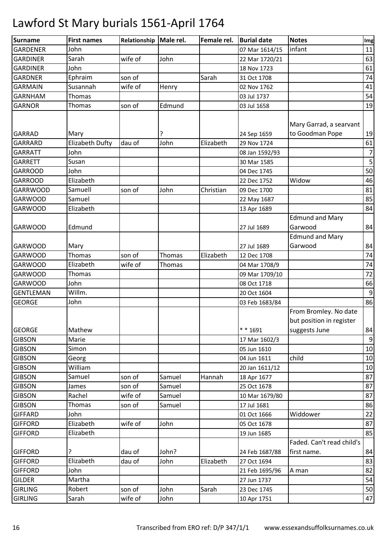| <b>Surname</b>                   | <b>First names</b>     | Relationship | Male rel. | Female rel. | <b>Burial date</b> | <b>Notes</b>                                                       | Img            |
|----------------------------------|------------------------|--------------|-----------|-------------|--------------------|--------------------------------------------------------------------|----------------|
| <b>GARDENER</b>                  | John                   |              |           |             | 07 Mar 1614/15     | infant                                                             | 11             |
| <b>GARDINER</b>                  | Sarah                  | wife of      | John      |             | 22 Mar 1720/21     |                                                                    | 63             |
| <b>GARDINER</b>                  | John                   |              |           |             | 18 Nov 1723        |                                                                    | 61             |
| <b>GARDNER</b>                   | Ephraim                | son of       |           | Sarah       | 31 Oct 1708        |                                                                    | 74             |
| <b>GARMAIN</b>                   | Susannah               | wife of      | Henry     |             | 02 Nov 1762        |                                                                    | 41             |
| <b>GARNHAM</b>                   | Thomas                 |              |           |             | 03 Jul 1737        |                                                                    | 54             |
| <b>GARNOR</b>                    | Thomas                 | son of       | Edmund    |             | 03 Jul 1658        |                                                                    | 19             |
| <b>GARRAD</b>                    | Mary                   |              | ?         |             | 24 Sep 1659        | Mary Garrad, a searvant<br>to Goodman Pope                         | 19             |
| <b>GARRARD</b>                   | <b>Elizabeth Dufty</b> | dau of       | John      | Elizabeth   | 29 Nov 1724        |                                                                    | 61             |
| <b>GARRATT</b>                   | John                   |              |           |             | 08 Jan 1592/93     |                                                                    | $\overline{7}$ |
| <b>GARRETT</b>                   | Susan                  |              |           |             | 30 Mar 1585        |                                                                    | 5              |
| <b>GARROOD</b>                   | John                   |              |           |             | 04 Dec 1745        |                                                                    | 50             |
| <b>GARROOD</b>                   | Elizabeth              |              |           |             | 22 Dec 1752        | Widow                                                              | 46             |
| <b>GARRWOOD</b>                  | Samuell                | son of       | John      | Christian   | 09 Dec 1700        |                                                                    | 81             |
| <b>GARWOOD</b>                   | Samuel                 |              |           |             | 22 May 1687        |                                                                    | 85             |
| <b>GARWOOD</b>                   | Elizabeth              |              |           |             | 13 Apr 1689        |                                                                    | 84             |
| <b>GARWOOD</b>                   | Edmund                 |              |           |             | 27 Jul 1689        | <b>Edmund and Mary</b><br>Garwood                                  | 84             |
| <b>GARWOOD</b>                   | Mary                   |              |           |             | 27 Jul 1689        | <b>Edmund and Mary</b><br>Garwood                                  | 84             |
| <b>GARWOOD</b>                   | Thomas                 | son of       | Thomas    | Elizabeth   | 12 Dec 1708        |                                                                    | 74             |
| <b>GARWOOD</b>                   | Elizabeth              | wife of      | Thomas    |             | 04 Mar 1708/9      |                                                                    | 74             |
| <b>GARWOOD</b>                   | Thomas                 |              |           |             | 09 Mar 1709/10     |                                                                    | 72             |
| <b>GARWOOD</b>                   | John                   |              |           |             | 08 Oct 1718        |                                                                    | 66             |
| <b>GENTLEMAN</b>                 | Willm.                 |              |           |             | 20 Oct 1604        |                                                                    | $9\,$          |
| <b>GEORGE</b>                    | John                   |              |           |             | 03 Feb 1683/84     |                                                                    | 86             |
| <b>GEORGE</b>                    | Mathew                 |              |           |             | $* * 1691$         | From Bromley. No date<br>but position in register<br>suggests June | 84             |
| <b>GIBSON</b>                    | Marie                  |              |           |             | 17 Mar 1602/3      |                                                                    | $9\,$          |
| <b>GIBSON</b>                    | Simon                  |              |           |             | 05 Jun 1610        |                                                                    | 10             |
| <b>GIBSON</b>                    | Georg                  |              |           |             | 04 Jun 1611        | child                                                              | 10             |
| <b>GIBSON</b>                    | William                |              |           |             | 20 Jan 1611/12     |                                                                    | $10\,$         |
| <b>GIBSON</b>                    | Samuel                 | son of       | Samuel    | Hannah      | 18 Apr 1677        |                                                                    | 87             |
| <b>GIBSON</b>                    | James                  | son of       | Samuel    |             | 25 Oct 1678        |                                                                    | 87             |
| <b>GIBSON</b>                    | Rachel                 | wife of      | Samuel    |             | 10 Mar 1679/80     |                                                                    | 87             |
| <b>GIBSON</b>                    | Thomas                 | son of       | Samuel    |             | 17 Jul 1681        |                                                                    | 86             |
| <b>GIFFARD</b>                   | John                   |              |           |             | 01 Oct 1666        | Widdower                                                           | 22             |
| <b>GIFFORD</b>                   | Elizabeth              | wife of      | John      |             | 05 Oct 1678        |                                                                    | 87             |
| <b>GIFFORD</b>                   | Elizabeth              |              |           |             | 19 Jun 1685        |                                                                    | 85             |
|                                  |                        |              |           |             |                    | Faded. Can't read child's                                          |                |
| <b>GIFFORD</b><br><b>GIFFORD</b> |                        | dau of       | John?     |             | 24 Feb 1687/88     | first name.                                                        | 84             |
|                                  | Elizabeth              | dau of       | John      | Elizabeth   | 27 Oct 1694        |                                                                    | 83             |
| <b>GIFFORD</b>                   | John                   |              |           |             | 21 Feb 1695/96     | A man                                                              | 82             |
| <b>GILDER</b>                    | Martha                 |              |           |             | 27 Jun 1737        |                                                                    | 54             |
| <b>GIRLING</b>                   | Robert                 | son of       | John      | Sarah       | 23 Dec 1745        |                                                                    | 50             |
| <b>GIRLING</b>                   | Sarah                  | wife of      | John      |             | 10 Apr 1751        |                                                                    | 47             |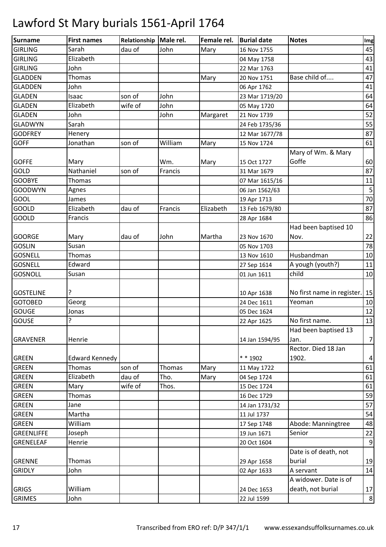| Surname           | <b>First names</b>    | Relationship   Male rel. |         | Female rel. | <b>Burial date</b> | <b>Notes</b>               | Img            |
|-------------------|-----------------------|--------------------------|---------|-------------|--------------------|----------------------------|----------------|
| <b>GIRLING</b>    | Sarah                 | dau of                   | John    | Mary        | 16 Nov 1755        |                            | 45             |
| <b>GIRLING</b>    | Elizabeth             |                          |         |             | 04 May 1758        |                            | 43             |
| <b>GIRLING</b>    | John                  |                          |         |             | 22 Mar 1763        |                            | 41             |
| <b>GLADDEN</b>    | Thomas                |                          |         | Mary        | 20 Nov 1751        | Base child of              | 47             |
| <b>GLADDEN</b>    | John                  |                          |         |             | 06 Apr 1762        |                            | 41             |
| <b>GLADEN</b>     | Isaac                 | son of                   | John    |             | 23 Mar 1719/20     |                            | 64             |
| <b>GLADEN</b>     | Elizabeth             | wife of                  | John    |             | 05 May 1720        |                            | 64             |
| <b>GLADEN</b>     | John                  |                          | John    | Margaret    | 21 Nov 1739        |                            | 52             |
| <b>GLADWYN</b>    | Sarah                 |                          |         |             | 24 Feb 1735/36     |                            | 55             |
| <b>GODFREY</b>    | Henery                |                          |         |             | 12 Mar 1677/78     |                            | 87             |
| <b>GOFF</b>       | Jonathan              | son of                   | William | Mary        | 15 Nov 1724        |                            | 61             |
|                   |                       |                          |         |             |                    | Mary of Wm. & Mary         |                |
| <b>GOFFE</b>      | Mary                  |                          | Wm.     | Mary        | 15 Oct 1727        | Goffe                      | 60             |
| GOLD              | Nathaniel             | son of                   | Francis |             | 31 Mar 1679        |                            | 87             |
| <b>GOOBYE</b>     | Thomas                |                          |         |             | 07 Mar 1615/16     |                            | 11             |
| <b>GOODWYN</b>    | Agnes                 |                          |         |             | 06 Jan 1562/63     |                            | 5              |
| GOOL              | James                 |                          |         |             | 19 Apr 1713        |                            | 70             |
| GOOLD             | Elizabeth             | dau of                   | Francis | Elizabeth   | 13 Feb 1679/80     |                            | 87             |
| <b>GOOLD</b>      | Francis               |                          |         |             | 28 Apr 1684        |                            | 86             |
|                   |                       |                          |         |             |                    | Had been baptised 10       |                |
| <b>GOORGE</b>     | Mary                  | dau of                   | John    | Martha      | 23 Nov 1670        | Nov.                       | 22             |
| <b>GOSLIN</b>     | Susan                 |                          |         |             | 05 Nov 1703        |                            | 78             |
| <b>GOSNELL</b>    | Thomas                |                          |         |             | 13 Nov 1610        | Husbandman                 | 10             |
| <b>GOSNELL</b>    | Edward                |                          |         |             | 27 Sep 1614        | A yough (youth?)           | 11             |
| <b>GOSNOLL</b>    | Susan                 |                          |         |             | 01 Jun 1611        | child                      | 10             |
|                   |                       |                          |         |             |                    |                            |                |
| <b>GOSTELINE</b>  | ?                     |                          |         |             | 10 Apr 1638        | No first name in register. | 15             |
| <b>GOTOBED</b>    | Georg                 |                          |         |             | 24 Dec 1611        | Yeoman                     | 10             |
| <b>GOUGE</b>      | Jonas                 |                          |         |             | 05 Dec 1624        |                            | 12             |
| <b>GOUSE</b>      | ?                     |                          |         |             | 22 Apr 1625        | No first name.             | 13             |
|                   |                       |                          |         |             |                    | Had been baptised 13       |                |
| <b>GRAVENER</b>   | Henrie                |                          |         |             | 14 Jan 1594/95     | Jan.                       | $\overline{7}$ |
|                   |                       |                          |         |             |                    | Rector. Died 18 Jan        |                |
| <b>GREEN</b>      | <b>Edward Kennedy</b> |                          |         |             | * * 1902           | 1902.                      | $\overline{4}$ |
| <b>GREEN</b>      | Thomas                | son of                   | Thomas  | Mary        | 11 May 1722        |                            | 61             |
| <b>GREEN</b>      | Elizabeth             | dau of                   | Tho.    | Mary        | 04 Sep 1724        |                            | 61             |
| <b>GREEN</b>      | Mary                  | wife of                  | Thos.   |             | 15 Dec 1724        |                            | 61             |
| <b>GREEN</b>      | Thomas                |                          |         |             | 16 Dec 1729        |                            | 59             |
| <b>GREEN</b>      | Jane                  |                          |         |             | 14 Jan 1731/32     |                            | 57             |
| <b>GREEN</b>      | Martha                |                          |         |             | 11 Jul 1737        |                            | 54             |
| <b>GREEN</b>      | William               |                          |         |             | 17 Sep 1748        | Abode: Manningtree         | 48             |
| <b>GREENLIFFE</b> | Joseph                |                          |         |             | 19 Jun 1671        | Senior                     | 22             |
| GRENELEAF         | Henrie                |                          |         |             | 20 Oct 1604        |                            | 9              |
|                   |                       |                          |         |             |                    | Date is of death, not      |                |
| <b>GRENNE</b>     | Thomas                |                          |         |             | 29 Apr 1658        | burial                     | 19             |
| <b>GRIDLY</b>     | John                  |                          |         |             | 02 Apr 1633        | A servant                  | 14             |
|                   |                       |                          |         |             |                    | A widower. Date is of      |                |
| <b>GRIGS</b>      | William               |                          |         |             | 24 Dec 1653        | death, not burial          | 17             |
| <b>GRIMES</b>     | John                  |                          |         |             | 22 Jul 1599        |                            | 8              |
|                   |                       |                          |         |             |                    |                            |                |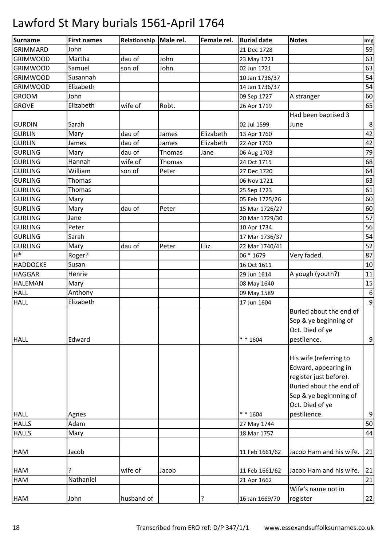| <b>Surname</b>  | <b>First names</b> | Relationship | Male rel. | Female rel. | <b>Burial date</b> | <b>Notes</b>            | Img              |
|-----------------|--------------------|--------------|-----------|-------------|--------------------|-------------------------|------------------|
| <b>GRIMMARD</b> | John               |              |           |             | 21 Dec 1728        |                         | 59               |
| <b>GRIMWOOD</b> | Martha             | dau of       | John      |             | 23 May 1721        |                         | 63               |
| <b>GRIMWOOD</b> | Samuel             | son of       | John      |             | 02 Jun 1721        |                         | 63               |
| <b>GRIMWOOD</b> | Susannah           |              |           |             | 10 Jan 1736/37     |                         | 54               |
| <b>GRIMWOOD</b> | Elizabeth          |              |           |             | 14 Jan 1736/37     |                         | 54               |
| <b>GROOM</b>    | John               |              |           |             | 09 Sep 1727        | A stranger              | 60               |
| <b>GROVE</b>    | Elizabeth          | wife of      | Robt.     |             | 26 Apr 1719        |                         | 65               |
|                 |                    |              |           |             |                    | Had been baptised 3     |                  |
| <b>GURDIN</b>   | Sarah              |              |           |             | 02 Jul 1599        | June                    | 8                |
| <b>GURLIN</b>   | Mary               | dau of       | James     | Elizabeth   | 13 Apr 1760        |                         | 42               |
| <b>GURLIN</b>   | James              | dau of       | James     | Elizabeth   | 22 Apr 1760        |                         | 42               |
| <b>GURLING</b>  | Mary               | dau of       | Thomas    | Jane        | 06 Aug 1703        |                         | 79               |
| <b>GURLING</b>  | Hannah             | wife of      | Thomas    |             | 24 Oct 1715        |                         | 68               |
| <b>GURLING</b>  | William            | son of       | Peter     |             | 27 Dec 1720        |                         | 64               |
| <b>GURLING</b>  | Thomas             |              |           |             | 06 Nov 1721        |                         | 63               |
| <b>GURLING</b>  | Thomas             |              |           |             | 25 Sep 1723        |                         | 61               |
| <b>GURLING</b>  | Mary               |              |           |             | 05 Feb 1725/26     |                         | 60               |
| <b>GURLING</b>  | Mary               | dau of       | Peter     |             | 15 Mar 1726/27     |                         | 60               |
| <b>GURLING</b>  | Jane               |              |           |             | 20 Mar 1729/30     |                         | 57               |
| <b>GURLING</b>  | Peter              |              |           |             | 10 Apr 1734        |                         | 56               |
| <b>GURLING</b>  | Sarah              |              |           |             | 17 Mar 1736/37     |                         | 54               |
| <b>GURLING</b>  | Mary               | dau of       | Peter     | Eliz.       | 22 Mar 1740/41     |                         | 52               |
| $H^*$           | Roger?             |              |           |             | 06 * 1679          | Very faded.             | 87               |
| <b>HADDOCKE</b> | Susan              |              |           |             | 16 Oct 1611        |                         | 10               |
| <b>HAGGAR</b>   | Henrie             |              |           |             | 29 Jun 1614        | A yough (youth?)        | 11               |
| <b>HALEMAN</b>  | Mary               |              |           |             | 08 May 1640        |                         | 15               |
| <b>HALL</b>     | Anthony            |              |           |             | 09 May 1589        |                         | $\boldsymbol{6}$ |
| <b>HALL</b>     | Elizabeth          |              |           |             | 17 Jun 1604        |                         | 9                |
|                 |                    |              |           |             |                    | Buried about the end of |                  |
|                 |                    |              |           |             |                    | Sep & ye beginning of   |                  |
|                 |                    |              |           |             |                    | Oct. Died of ye         |                  |
| <b>HALL</b>     | Edward             |              |           |             | $* * 1604$         | pestilence.             | $\boldsymbol{9}$ |
|                 |                    |              |           |             |                    |                         |                  |
|                 |                    |              |           |             |                    | His wife (referring to  |                  |
|                 |                    |              |           |             |                    | Edward, appearing in    |                  |
|                 |                    |              |           |             |                    | register just before).  |                  |
|                 |                    |              |           |             |                    | Buried about the end of |                  |
|                 |                    |              |           |             |                    | Sep & ye beginnning of  |                  |
|                 |                    |              |           |             |                    | Oct. Died of ye         |                  |
| <b>HALL</b>     | Agnes              |              |           |             | $* * 1604$         | pestilience.            | $\boldsymbol{9}$ |
| <b>HALLS</b>    | Adam               |              |           |             | 27 May 1744        |                         | 50               |
| <b>HALLS</b>    | Mary               |              |           |             | 18 Mar 1757        |                         | 44               |
| <b>HAM</b>      | Jacob              |              |           |             | 11 Feb 1661/62     | Jacob Ham and his wife. | 21               |
|                 |                    |              |           |             |                    |                         |                  |
| <b>HAM</b>      | ?                  | wife of      | Jacob     |             | 11 Feb 1661/62     | Jacob Ham and his wife. | 21               |
| HAM             | Nathaniel          |              |           |             | 21 Apr 1662        |                         | 21               |
|                 |                    |              |           |             |                    | Wife's name not in      |                  |
| <b>HAM</b>      | John               | husband of   |           |             | 16 Jan 1669/70     | register                | 22               |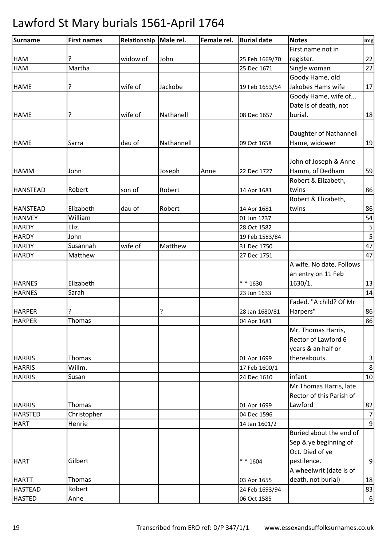| Surname         | <b>First names</b> | Relationship | Male rel.  | Female rel. | <b>Burial date</b> | <b>Notes</b>             | Img                     |
|-----------------|--------------------|--------------|------------|-------------|--------------------|--------------------------|-------------------------|
|                 |                    |              |            |             |                    | First name not in        |                         |
| <b>HAM</b>      |                    | widow of     | John       |             | 25 Feb 1669/70     | register.                | 22                      |
| HAM             | Martha             |              |            |             | 25 Dec 1671        | Single woman             | 22                      |
|                 |                    |              |            |             |                    | Goody Hame, old          |                         |
| <b>HAME</b>     | ?                  | wife of      | Jackobe    |             | 19 Feb 1653/54     | Jakobes Hams wife        | 17                      |
|                 |                    |              |            |             |                    | Goody Hame, wife of      |                         |
|                 |                    |              |            |             |                    | Date is of death, not    |                         |
| <b>HAME</b>     | ?                  | wife of      | Nathanell  |             | 08 Dec 1657        | burial.                  | 18                      |
|                 |                    |              |            |             |                    |                          |                         |
|                 |                    |              |            |             |                    | Daughter of Nathannell   |                         |
| <b>HAME</b>     | Sarra              | dau of       | Nathannell |             | 09 Oct 1658        | Hame, widower            | 19                      |
|                 |                    |              |            |             |                    |                          |                         |
|                 |                    |              |            |             |                    | John of Joseph & Anne    |                         |
| <b>HAMM</b>     | John               |              | Joseph     | Anne        | 22 Dec 1727        | Hamm, of Dedham          | 59                      |
|                 |                    |              |            |             |                    | Robert & Elizabeth,      |                         |
| <b>HANSTEAD</b> | Robert             | son of       | Robert     |             | 14 Apr 1681        | twins                    | 86                      |
|                 |                    |              |            |             |                    | Robert & Elizabeth,      |                         |
| <b>HANSTEAD</b> | Elizabeth          | dau of       | Robert     |             | 14 Apr 1681        | twins                    | 86                      |
| <b>HANVEY</b>   | William            |              |            |             | 01 Jun 1737        |                          | 54                      |
| <b>HARDY</b>    | Eliz.              |              |            |             | 28 Oct 1582        |                          | $\sf 5$                 |
| <b>HARDY</b>    | John               |              |            |             | 19 Feb 1583/84     |                          | $\overline{5}$          |
| <b>HARDY</b>    | Susannah           | wife of      | Matthew    |             | 31 Dec 1750        |                          | 47                      |
| <b>HARDY</b>    | Matthew            |              |            |             | 27 Dec 1751        |                          | 47                      |
|                 |                    |              |            |             |                    | A wife. No date. Follows |                         |
|                 |                    |              |            |             |                    | an entry on 11 Feb       |                         |
| <b>HARNES</b>   | Elizabeth          |              |            |             | $* * 1630$         | 1630/1.                  | 13                      |
| <b>HARNES</b>   | Sarah              |              |            |             | 23 Jun 1633        |                          | 14                      |
|                 |                    |              |            |             |                    | Faded. "A child? Of Mr   |                         |
| <b>HARPER</b>   |                    |              | ?          |             | 28 Jan 1680/81     | Harpers"                 | 86                      |
| <b>HARPER</b>   | Thomas             |              |            |             | 04 Apr 1681        |                          | 86                      |
|                 |                    |              |            |             |                    | Mr. Thomas Harris,       |                         |
|                 |                    |              |            |             |                    | Rector of Lawford 6      |                         |
|                 |                    |              |            |             |                    | years & an half or       |                         |
| <b>HARRIS</b>   | Thomas             |              |            |             | 01 Apr 1699        | thereabouts.             | $\overline{\mathbf{3}}$ |
| <b>HARRIS</b>   | Willm.             |              |            |             | 17 Feb 1600/1      |                          | $\,8\,$                 |
| <b>HARRIS</b>   | Susan              |              |            |             | 24 Dec 1610        | infant                   | 10                      |
|                 |                    |              |            |             |                    | Mr Thomas Harris, late   |                         |
|                 |                    |              |            |             |                    | Rector of this Parish of |                         |
| <b>HARRIS</b>   | Thomas             |              |            |             | 01 Apr 1699        | Lawford                  | 82                      |
| <b>HARSTED</b>  | Christopher        |              |            |             | 04 Dec 1596        |                          | $\overline{7}$          |
| <b>HART</b>     | Henrie             |              |            |             | 14 Jan 1601/2      |                          | $\overline{9}$          |
|                 |                    |              |            |             |                    | Buried about the end of  |                         |
|                 |                    |              |            |             |                    | Sep & ye beginning of    |                         |
|                 |                    |              |            |             |                    | Oct. Died of ye          |                         |
| <b>HART</b>     | Gilbert            |              |            |             | $* * 1604$         | pestilence.              | $\boldsymbol{9}$        |
|                 |                    |              |            |             |                    | A wheelwrit (date is of  |                         |
| <b>HARTT</b>    | Thomas             |              |            |             | 03 Apr 1655        | death, not burial)       | 18                      |
| <b>HASTEAD</b>  | Robert             |              |            |             | 24 Feb 1693/94     |                          | 83                      |
| <b>HASTED</b>   | Anne               |              |            |             | 06 Oct 1585        |                          | $\boldsymbol{6}$        |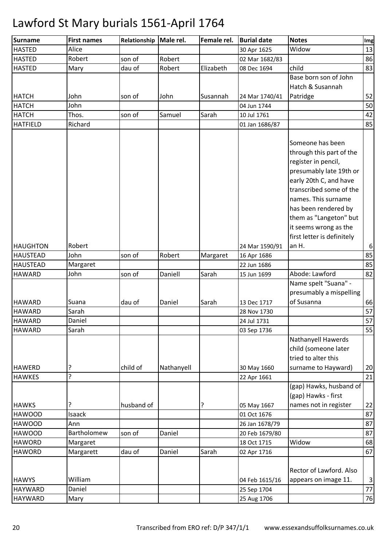| <b>Surname</b>                   | <b>First names</b> | Relationship | Male rel.  | Female rel. | <b>Burial date</b> | <b>Notes</b>                                                                                                                                                                                       | Img              |
|----------------------------------|--------------------|--------------|------------|-------------|--------------------|----------------------------------------------------------------------------------------------------------------------------------------------------------------------------------------------------|------------------|
| <b>HASTED</b>                    | Alice              |              |            |             | 30 Apr 1625        | Widow                                                                                                                                                                                              | 13               |
| <b>HASTED</b>                    | Robert             | son of       | Robert     |             | 02 Mar 1682/83     |                                                                                                                                                                                                    | 86               |
| <b>HASTED</b>                    | Mary               | dau of       | Robert     | Elizabeth   | 08 Dec 1694        | child                                                                                                                                                                                              | 83               |
|                                  |                    |              |            |             |                    | Base born son of John                                                                                                                                                                              |                  |
|                                  |                    |              |            |             |                    | Hatch & Susannah                                                                                                                                                                                   |                  |
| <b>HATCH</b>                     | John               | son of       | John       | Susannah    | 24 Mar 1740/41     | Patridge                                                                                                                                                                                           | 52               |
| <b>HATCH</b>                     | John               |              |            |             | 04 Jun 1744        |                                                                                                                                                                                                    | 50               |
| <b>HATCH</b>                     | Thos.              | son of       | Samuel     | Sarah       | 10 Jul 1761        |                                                                                                                                                                                                    | 42               |
| <b>HATFIELD</b>                  | Richard            |              |            |             | 01 Jan 1686/87     |                                                                                                                                                                                                    | 85               |
|                                  |                    |              |            |             |                    | Someone has been<br>through this part of the<br>register in pencil,<br>presumably late 19th or<br>early 20th C, and have<br>transcribed some of the<br>names. This surname<br>has been rendered by |                  |
| <b>HAUGHTON</b>                  | Robert             |              |            |             | 24 Mar 1590/91     | them as "Langeton" but<br>it seems wrong as the<br>first letter is definitely<br>an H.                                                                                                             | $\boldsymbol{6}$ |
| <b>HAUSTEAD</b>                  | John               | son of       | Robert     |             |                    |                                                                                                                                                                                                    | 85               |
|                                  |                    |              |            | Margaret    | 16 Apr 1686        |                                                                                                                                                                                                    | 85               |
| <b>HAUSTEAD</b><br><b>HAWARD</b> | Margaret<br>John   | son of       | Daniell    | Sarah       | 22 Jun 1686        | Abode: Lawford                                                                                                                                                                                     | 82               |
|                                  |                    |              |            |             | 15 Jun 1699        | Name spelt "Suana" -<br>presumably a mispelling                                                                                                                                                    |                  |
| <b>HAWARD</b>                    | Suana              | dau of       | Daniel     | Sarah       | 13 Dec 1717        | of Susanna                                                                                                                                                                                         | 66               |
| <b>HAWARD</b>                    | Sarah              |              |            |             | 28 Nov 1730        |                                                                                                                                                                                                    | 57               |
| <b>HAWARD</b>                    | Daniel             |              |            |             | 24 Jul 1731        |                                                                                                                                                                                                    | 57               |
| <b>HAWARD</b>                    | Sarah              |              |            |             | 03 Sep 1736        |                                                                                                                                                                                                    | 55               |
| <b>HAWERD</b>                    | ?                  | child of     | Nathanyell |             | 30 May 1660        | Nathanyell Hawerds<br>child (someone later<br>tried to alter this<br>surname to Hayward)                                                                                                           | 20               |
| <b>HAWKES</b>                    | <sup>2</sup>       |              |            |             | 22 Apr 1661        |                                                                                                                                                                                                    | 21               |
| <b>HAWKS</b>                     | ?                  | husband of   |            |             | 05 May 1667        | (gap) Hawks, husband of<br>(gap) Hawks - first<br>names not in register                                                                                                                            | 22               |
| <b>HAWOOD</b>                    | Isaack             |              |            |             | 01 Oct 1676        |                                                                                                                                                                                                    | 87               |
| <b>HAWOOD</b>                    | Ann                |              |            |             | 26 Jan 1678/79     |                                                                                                                                                                                                    | 87               |
| <b>HAWOOD</b>                    | Bartholomew        | son of       | Daniel     |             | 20 Feb 1679/80     |                                                                                                                                                                                                    | 87               |
| <b>HAWORD</b>                    | Margaret           |              |            |             | 18 Oct 1715        | Widow                                                                                                                                                                                              | 68               |
| <b>HAWORD</b>                    | Margarett          | dau of       | Daniel     | Sarah       | 02 Apr 1716        |                                                                                                                                                                                                    | 67               |
| <b>HAWYS</b>                     | William            |              |            |             | 04 Feb 1615/16     | <b>Rector of Lawford. Also</b><br>appears on image 11.                                                                                                                                             | $\vert$ 3        |
| <b>HAYWARD</b>                   | Daniel             |              |            |             | 25 Sep 1704        |                                                                                                                                                                                                    | 77               |
| <b>HAYWARD</b>                   | Mary               |              |            |             | 25 Aug 1706        |                                                                                                                                                                                                    | 76               |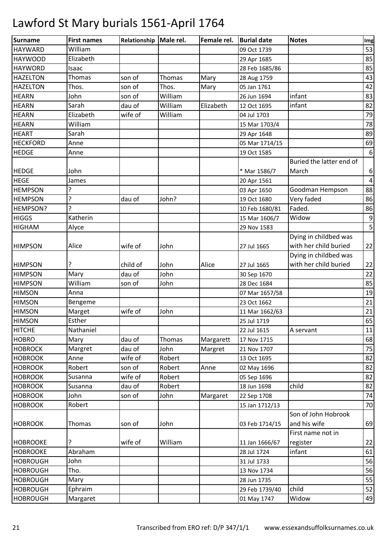| William<br>53<br><b>HAYWARD</b><br>09 Oct 1739<br>Elizabeth<br>85<br><b>HAYWOOD</b><br>29 Apr 1685<br>85<br><b>HAYWORD</b><br>28 Feb 1685/86<br>Isaac<br><b>HAZELTON</b><br>son of<br>Thomas<br>Thomas<br>Mary<br>28 Aug 1759<br><b>HAZELTON</b><br>Thos.<br>Thos.<br>Mary<br>son of<br>05 Jan 1761<br>William<br>infant<br>83<br><b>HEARN</b><br>John<br>son of<br>26 Jun 1694<br>William<br>infant<br><b>HEARN</b><br>Sarah<br>dau of<br>Elizabeth<br>12 Oct 1695<br>Elizabeth<br><b>HEARN</b><br>wife of<br>William<br>79<br>04 Jul 1703<br>78<br>William<br><b>HEARN</b><br>15 Mar 1703/4<br>Sarah<br><b>HEART</b><br>29 Apr 1648<br><b>HECKFORD</b><br>Anne<br>05 Mar 1714/15<br><b>HEDGE</b><br>Anne<br>19 Oct 1585<br>Buried the latter end of<br><b>HEDGE</b><br>John<br>March<br>* Mar 1586/7<br><b>HEGE</b><br>James<br>20 Apr 1561<br>5.<br><b>HEMPSON</b><br>Goodman Hempson<br>03 Apr 1650<br>5.<br>Very faded<br><b>HEMPSON</b><br>dau of<br>John?<br>19 Oct 1680<br>5<br>Faded.<br>HEMPSON?<br>10 Feb 1680/81<br><b>HIGGS</b><br>Katherin<br>Widow<br>15 Mar 1606/7<br><b>HIGHAM</b><br>Alyce<br>29 Nov 1583<br>Dying in childbed was<br>with her child buried<br>Alice<br>wife of<br><b>HIMPSON</b><br>John<br>27 Jul 1665<br>Dying in childbed was<br>with her child buried<br>child of<br><b>HIMPSON</b><br>John<br>Alice<br>27 Jul 1665<br>Mary<br>John<br><b>HIMPSON</b><br>dau of<br>30 Sep 1670<br>William<br><b>HIMPSON</b><br>John<br>son of<br>28 Dec 1684<br>19<br><b>HIMSON</b><br>Anna<br>07 Mar 1657/58<br><b>HIMSON</b><br>23 Oct 1662<br>Bengeme<br>wife of<br><b>HIMSON</b><br>Marget<br>John<br>11 Mar 1662/63 |
|-------------------------------------------------------------------------------------------------------------------------------------------------------------------------------------------------------------------------------------------------------------------------------------------------------------------------------------------------------------------------------------------------------------------------------------------------------------------------------------------------------------------------------------------------------------------------------------------------------------------------------------------------------------------------------------------------------------------------------------------------------------------------------------------------------------------------------------------------------------------------------------------------------------------------------------------------------------------------------------------------------------------------------------------------------------------------------------------------------------------------------------------------------------------------------------------------------------------------------------------------------------------------------------------------------------------------------------------------------------------------------------------------------------------------------------------------------------------------------------------------------------------------------------------------------------------------------------------------------------------------------------------------|
|                                                                                                                                                                                                                                                                                                                                                                                                                                                                                                                                                                                                                                                                                                                                                                                                                                                                                                                                                                                                                                                                                                                                                                                                                                                                                                                                                                                                                                                                                                                                                                                                                                                 |
| 43<br>42<br>82<br>89<br>69<br>$\boldsymbol{6}$<br>6<br>$\overline{4}$<br>88<br>86<br>86<br>9<br>5<br>22<br>22<br>22<br>85<br>21<br>21                                                                                                                                                                                                                                                                                                                                                                                                                                                                                                                                                                                                                                                                                                                                                                                                                                                                                                                                                                                                                                                                                                                                                                                                                                                                                                                                                                                                                                                                                                           |
|                                                                                                                                                                                                                                                                                                                                                                                                                                                                                                                                                                                                                                                                                                                                                                                                                                                                                                                                                                                                                                                                                                                                                                                                                                                                                                                                                                                                                                                                                                                                                                                                                                                 |
|                                                                                                                                                                                                                                                                                                                                                                                                                                                                                                                                                                                                                                                                                                                                                                                                                                                                                                                                                                                                                                                                                                                                                                                                                                                                                                                                                                                                                                                                                                                                                                                                                                                 |
|                                                                                                                                                                                                                                                                                                                                                                                                                                                                                                                                                                                                                                                                                                                                                                                                                                                                                                                                                                                                                                                                                                                                                                                                                                                                                                                                                                                                                                                                                                                                                                                                                                                 |
|                                                                                                                                                                                                                                                                                                                                                                                                                                                                                                                                                                                                                                                                                                                                                                                                                                                                                                                                                                                                                                                                                                                                                                                                                                                                                                                                                                                                                                                                                                                                                                                                                                                 |
|                                                                                                                                                                                                                                                                                                                                                                                                                                                                                                                                                                                                                                                                                                                                                                                                                                                                                                                                                                                                                                                                                                                                                                                                                                                                                                                                                                                                                                                                                                                                                                                                                                                 |
|                                                                                                                                                                                                                                                                                                                                                                                                                                                                                                                                                                                                                                                                                                                                                                                                                                                                                                                                                                                                                                                                                                                                                                                                                                                                                                                                                                                                                                                                                                                                                                                                                                                 |
|                                                                                                                                                                                                                                                                                                                                                                                                                                                                                                                                                                                                                                                                                                                                                                                                                                                                                                                                                                                                                                                                                                                                                                                                                                                                                                                                                                                                                                                                                                                                                                                                                                                 |
|                                                                                                                                                                                                                                                                                                                                                                                                                                                                                                                                                                                                                                                                                                                                                                                                                                                                                                                                                                                                                                                                                                                                                                                                                                                                                                                                                                                                                                                                                                                                                                                                                                                 |
|                                                                                                                                                                                                                                                                                                                                                                                                                                                                                                                                                                                                                                                                                                                                                                                                                                                                                                                                                                                                                                                                                                                                                                                                                                                                                                                                                                                                                                                                                                                                                                                                                                                 |
|                                                                                                                                                                                                                                                                                                                                                                                                                                                                                                                                                                                                                                                                                                                                                                                                                                                                                                                                                                                                                                                                                                                                                                                                                                                                                                                                                                                                                                                                                                                                                                                                                                                 |
|                                                                                                                                                                                                                                                                                                                                                                                                                                                                                                                                                                                                                                                                                                                                                                                                                                                                                                                                                                                                                                                                                                                                                                                                                                                                                                                                                                                                                                                                                                                                                                                                                                                 |
|                                                                                                                                                                                                                                                                                                                                                                                                                                                                                                                                                                                                                                                                                                                                                                                                                                                                                                                                                                                                                                                                                                                                                                                                                                                                                                                                                                                                                                                                                                                                                                                                                                                 |
|                                                                                                                                                                                                                                                                                                                                                                                                                                                                                                                                                                                                                                                                                                                                                                                                                                                                                                                                                                                                                                                                                                                                                                                                                                                                                                                                                                                                                                                                                                                                                                                                                                                 |
|                                                                                                                                                                                                                                                                                                                                                                                                                                                                                                                                                                                                                                                                                                                                                                                                                                                                                                                                                                                                                                                                                                                                                                                                                                                                                                                                                                                                                                                                                                                                                                                                                                                 |
|                                                                                                                                                                                                                                                                                                                                                                                                                                                                                                                                                                                                                                                                                                                                                                                                                                                                                                                                                                                                                                                                                                                                                                                                                                                                                                                                                                                                                                                                                                                                                                                                                                                 |
|                                                                                                                                                                                                                                                                                                                                                                                                                                                                                                                                                                                                                                                                                                                                                                                                                                                                                                                                                                                                                                                                                                                                                                                                                                                                                                                                                                                                                                                                                                                                                                                                                                                 |
|                                                                                                                                                                                                                                                                                                                                                                                                                                                                                                                                                                                                                                                                                                                                                                                                                                                                                                                                                                                                                                                                                                                                                                                                                                                                                                                                                                                                                                                                                                                                                                                                                                                 |
|                                                                                                                                                                                                                                                                                                                                                                                                                                                                                                                                                                                                                                                                                                                                                                                                                                                                                                                                                                                                                                                                                                                                                                                                                                                                                                                                                                                                                                                                                                                                                                                                                                                 |
|                                                                                                                                                                                                                                                                                                                                                                                                                                                                                                                                                                                                                                                                                                                                                                                                                                                                                                                                                                                                                                                                                                                                                                                                                                                                                                                                                                                                                                                                                                                                                                                                                                                 |
|                                                                                                                                                                                                                                                                                                                                                                                                                                                                                                                                                                                                                                                                                                                                                                                                                                                                                                                                                                                                                                                                                                                                                                                                                                                                                                                                                                                                                                                                                                                                                                                                                                                 |
|                                                                                                                                                                                                                                                                                                                                                                                                                                                                                                                                                                                                                                                                                                                                                                                                                                                                                                                                                                                                                                                                                                                                                                                                                                                                                                                                                                                                                                                                                                                                                                                                                                                 |
|                                                                                                                                                                                                                                                                                                                                                                                                                                                                                                                                                                                                                                                                                                                                                                                                                                                                                                                                                                                                                                                                                                                                                                                                                                                                                                                                                                                                                                                                                                                                                                                                                                                 |
|                                                                                                                                                                                                                                                                                                                                                                                                                                                                                                                                                                                                                                                                                                                                                                                                                                                                                                                                                                                                                                                                                                                                                                                                                                                                                                                                                                                                                                                                                                                                                                                                                                                 |
|                                                                                                                                                                                                                                                                                                                                                                                                                                                                                                                                                                                                                                                                                                                                                                                                                                                                                                                                                                                                                                                                                                                                                                                                                                                                                                                                                                                                                                                                                                                                                                                                                                                 |
|                                                                                                                                                                                                                                                                                                                                                                                                                                                                                                                                                                                                                                                                                                                                                                                                                                                                                                                                                                                                                                                                                                                                                                                                                                                                                                                                                                                                                                                                                                                                                                                                                                                 |
|                                                                                                                                                                                                                                                                                                                                                                                                                                                                                                                                                                                                                                                                                                                                                                                                                                                                                                                                                                                                                                                                                                                                                                                                                                                                                                                                                                                                                                                                                                                                                                                                                                                 |
|                                                                                                                                                                                                                                                                                                                                                                                                                                                                                                                                                                                                                                                                                                                                                                                                                                                                                                                                                                                                                                                                                                                                                                                                                                                                                                                                                                                                                                                                                                                                                                                                                                                 |
| 65<br>Esther<br><b>HIMSON</b><br>25 Jul 1719                                                                                                                                                                                                                                                                                                                                                                                                                                                                                                                                                                                                                                                                                                                                                                                                                                                                                                                                                                                                                                                                                                                                                                                                                                                                                                                                                                                                                                                                                                                                                                                                    |
| Nathaniel<br>11<br>A servant<br><b>HITCHE</b><br>22 Jul 1615                                                                                                                                                                                                                                                                                                                                                                                                                                                                                                                                                                                                                                                                                                                                                                                                                                                                                                                                                                                                                                                                                                                                                                                                                                                                                                                                                                                                                                                                                                                                                                                    |
| dau of<br><b>HOBRO</b><br>Mary<br>Thomas<br>Margarett<br>17 Nov 1715<br>68                                                                                                                                                                                                                                                                                                                                                                                                                                                                                                                                                                                                                                                                                                                                                                                                                                                                                                                                                                                                                                                                                                                                                                                                                                                                                                                                                                                                                                                                                                                                                                      |
| 75<br><b>HOBROCK</b><br>dau of<br>John<br>Margret<br>21 Nov 1707<br>Margret                                                                                                                                                                                                                                                                                                                                                                                                                                                                                                                                                                                                                                                                                                                                                                                                                                                                                                                                                                                                                                                                                                                                                                                                                                                                                                                                                                                                                                                                                                                                                                     |
| wife of<br><b>HOBROOK</b><br>Robert<br>82<br>Anne<br>13 Oct 1695                                                                                                                                                                                                                                                                                                                                                                                                                                                                                                                                                                                                                                                                                                                                                                                                                                                                                                                                                                                                                                                                                                                                                                                                                                                                                                                                                                                                                                                                                                                                                                                |
| <b>HOBROOK</b><br>Robert<br>82<br>Robert<br>son of<br>Anne<br>02 May 1696                                                                                                                                                                                                                                                                                                                                                                                                                                                                                                                                                                                                                                                                                                                                                                                                                                                                                                                                                                                                                                                                                                                                                                                                                                                                                                                                                                                                                                                                                                                                                                       |
| wife of<br>Robert<br>05 Sep 1696<br>82<br><b>HOBROOK</b><br>Susanna                                                                                                                                                                                                                                                                                                                                                                                                                                                                                                                                                                                                                                                                                                                                                                                                                                                                                                                                                                                                                                                                                                                                                                                                                                                                                                                                                                                                                                                                                                                                                                             |
| child<br>82<br><b>HOBROOK</b><br>Susanna<br>dau of<br>Robert<br>18 Jun 1698                                                                                                                                                                                                                                                                                                                                                                                                                                                                                                                                                                                                                                                                                                                                                                                                                                                                                                                                                                                                                                                                                                                                                                                                                                                                                                                                                                                                                                                                                                                                                                     |
| John<br><b>HOBROOK</b><br>John<br>son of<br>22 Sep 1708<br>74<br>Margaret                                                                                                                                                                                                                                                                                                                                                                                                                                                                                                                                                                                                                                                                                                                                                                                                                                                                                                                                                                                                                                                                                                                                                                                                                                                                                                                                                                                                                                                                                                                                                                       |
| 70<br><b>HOBROOK</b><br>Robert<br>15 Jan 1712/13                                                                                                                                                                                                                                                                                                                                                                                                                                                                                                                                                                                                                                                                                                                                                                                                                                                                                                                                                                                                                                                                                                                                                                                                                                                                                                                                                                                                                                                                                                                                                                                                |
| Son of John Hobrook                                                                                                                                                                                                                                                                                                                                                                                                                                                                                                                                                                                                                                                                                                                                                                                                                                                                                                                                                                                                                                                                                                                                                                                                                                                                                                                                                                                                                                                                                                                                                                                                                             |
| and his wife<br>69<br>Thomas<br>John<br><b>HOBROOK</b><br>son of<br>03 Feb 1714/15                                                                                                                                                                                                                                                                                                                                                                                                                                                                                                                                                                                                                                                                                                                                                                                                                                                                                                                                                                                                                                                                                                                                                                                                                                                                                                                                                                                                                                                                                                                                                              |
| First name not in                                                                                                                                                                                                                                                                                                                                                                                                                                                                                                                                                                                                                                                                                                                                                                                                                                                                                                                                                                                                                                                                                                                                                                                                                                                                                                                                                                                                                                                                                                                                                                                                                               |
| William<br>22<br><b>HOBROOKE</b><br>wife of<br>11 Jan 1666/67<br>register<br>?                                                                                                                                                                                                                                                                                                                                                                                                                                                                                                                                                                                                                                                                                                                                                                                                                                                                                                                                                                                                                                                                                                                                                                                                                                                                                                                                                                                                                                                                                                                                                                  |
| Abraham<br>infant<br>61<br><b>HOBROOKE</b><br>28 Jul 1724                                                                                                                                                                                                                                                                                                                                                                                                                                                                                                                                                                                                                                                                                                                                                                                                                                                                                                                                                                                                                                                                                                                                                                                                                                                                                                                                                                                                                                                                                                                                                                                       |
| <b>HOBROUGH</b><br>John<br>56<br>31 Jul 1733                                                                                                                                                                                                                                                                                                                                                                                                                                                                                                                                                                                                                                                                                                                                                                                                                                                                                                                                                                                                                                                                                                                                                                                                                                                                                                                                                                                                                                                                                                                                                                                                    |
| Tho.<br>56<br><b>HOBROUGH</b><br>13 Nov 1734                                                                                                                                                                                                                                                                                                                                                                                                                                                                                                                                                                                                                                                                                                                                                                                                                                                                                                                                                                                                                                                                                                                                                                                                                                                                                                                                                                                                                                                                                                                                                                                                    |
| 55<br><b>HOBROUGH</b><br>Mary<br>28 Jun 1735                                                                                                                                                                                                                                                                                                                                                                                                                                                                                                                                                                                                                                                                                                                                                                                                                                                                                                                                                                                                                                                                                                                                                                                                                                                                                                                                                                                                                                                                                                                                                                                                    |
| child<br>52<br><b>HOBROUGH</b><br>Ephraim<br>29 Feb 1739/40                                                                                                                                                                                                                                                                                                                                                                                                                                                                                                                                                                                                                                                                                                                                                                                                                                                                                                                                                                                                                                                                                                                                                                                                                                                                                                                                                                                                                                                                                                                                                                                     |
| 49<br><b>HOBROUGH</b><br>Widow<br>Margaret<br>01 May 1747                                                                                                                                                                                                                                                                                                                                                                                                                                                                                                                                                                                                                                                                                                                                                                                                                                                                                                                                                                                                                                                                                                                                                                                                                                                                                                                                                                                                                                                                                                                                                                                       |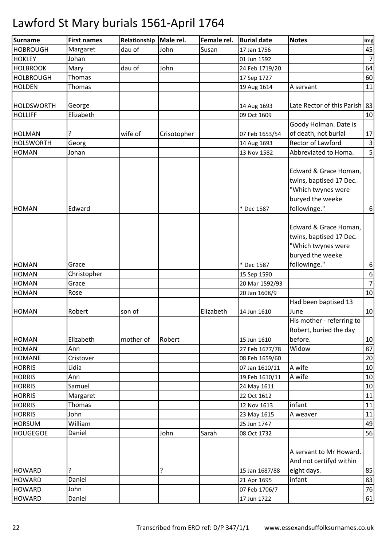| <b>Surname</b>                 | <b>First names</b> | Relationship | Male rel.   | Female rel. | <b>Burial date</b>            | <b>Notes</b>                                                                                               | Img              |
|--------------------------------|--------------------|--------------|-------------|-------------|-------------------------------|------------------------------------------------------------------------------------------------------------|------------------|
| <b>HOBROUGH</b>                | Margaret           | dau of       | John        | Susan       | 17 Jan 1756                   |                                                                                                            | 45               |
| <b>HOKLEY</b>                  | Johan              |              |             |             | 01 Jun 1592                   |                                                                                                            | $\overline{7}$   |
| <b>HOLBROOK</b>                | Mary               | dau of       | John        |             | 24 Feb 1719/20                |                                                                                                            | 64               |
| <b>HOLBROUGH</b>               | Thomas             |              |             |             | 17 Sep 1727                   |                                                                                                            | 60               |
| <b>HOLDEN</b>                  | Thomas             |              |             |             | 19 Aug 1614                   | A servant                                                                                                  | 11               |
|                                |                    |              |             |             |                               |                                                                                                            |                  |
| <b>HOLDSWORTH</b>              | George             |              |             |             | 14 Aug 1693                   | Late Rector of this Parish   83                                                                            |                  |
| <b>HOLLIFF</b>                 | Elizabeth          |              |             |             | 09 Oct 1609                   |                                                                                                            | 10               |
|                                |                    |              |             |             |                               | Goody Holman. Date is                                                                                      |                  |
| <b>HOLMAN</b>                  | ?                  | wife of      | Crisotopher |             | 07 Feb 1653/54                | of death, not burial                                                                                       | 17               |
| <b>HOLSWORTH</b>               | Georg              |              |             |             | 14 Aug 1693                   | Rector of Lawford                                                                                          | $\overline{3}$   |
| <b>HOMAN</b>                   | Johan              |              |             |             | 13 Nov 1582                   | Abbreviated to Homa.                                                                                       | 5                |
| <b>HOMAN</b>                   | Edward             |              |             |             | * Dec 1587                    | Edward & Grace Homan,<br>twins, baptised 17 Dec.<br>"Which twynes were<br>buryed the weeke<br>followinge." | $\boldsymbol{6}$ |
|                                |                    |              |             |             |                               | Edward & Grace Homan,<br>twins, baptised 17 Dec.<br>"Which twynes were<br>buryed the weeke                 |                  |
| <b>HOMAN</b>                   | Grace              |              |             |             | * Dec 1587                    | followinge."                                                                                               | $\boldsymbol{6}$ |
| <b>HOMAN</b>                   | Christopher        |              |             |             | 15 Sep 1590                   |                                                                                                            | $\boldsymbol{6}$ |
| <b>HOMAN</b>                   | Grace              |              |             |             | 20 Mar 1592/93                |                                                                                                            | $\overline{7}$   |
| <b>HOMAN</b>                   | Rose               |              |             |             | 20 Jan 1608/9                 |                                                                                                            | 10               |
|                                |                    |              |             |             |                               | Had been baptised 13                                                                                       |                  |
| <b>HOMAN</b>                   | Robert             | son of       |             | Elizabeth   | 14 Jun 1610                   | June                                                                                                       | 10               |
| <b>HOMAN</b>                   | Elizabeth          | mother of    | Robert      |             | 15 Jun 1610                   | His mother - referring to<br>Robert, buried the day<br>before.                                             | 10               |
| <b>HOMAN</b>                   | Ann                |              |             |             | 27 Feb 1677/78                | Widow                                                                                                      | 87               |
| <b>HOMANE</b>                  | Cristover          |              |             |             | 08 Feb 1659/60                |                                                                                                            | 20               |
| <b>HORRIS</b>                  | Lidia              |              |             |             | 07 Jan 1610/11                | A wife                                                                                                     | 10               |
| <b>HORRIS</b>                  | Ann                |              |             |             | 19 Feb 1610/11                | A wife                                                                                                     | 10               |
| <b>HORRIS</b>                  | Samuel             |              |             |             | 24 May 1611                   |                                                                                                            | 10               |
| <b>HORRIS</b>                  | Margaret           |              |             |             | 22 Oct 1612                   |                                                                                                            | 11               |
| <b>HORRIS</b>                  | <b>Thomas</b>      |              |             |             | 12 Nov 1613                   | infant                                                                                                     | 11               |
| <b>HORRIS</b>                  | John               |              |             |             | 23 May 1615                   | A weaver                                                                                                   | 11               |
| <b>HORSUM</b>                  | William            |              |             |             | 25 Jun 1747                   |                                                                                                            | 49               |
| <b>HOUGEGOE</b>                | Daniel             |              | John        | Sarah       | 08 Oct 1732                   |                                                                                                            | 56               |
| <b>HOWARD</b><br><b>HOWARD</b> | ŗ<br>Daniel        |              | ?           |             | 15 Jan 1687/88<br>21 Apr 1695 | A servant to Mr Howard.<br>And not certifyd within<br>eight days.<br>infant                                | 85<br>83         |
|                                |                    |              |             |             |                               |                                                                                                            | 76               |
| <b>HOWARD</b>                  | John               |              |             |             | 07 Feb 1706/7                 |                                                                                                            |                  |
| <b>HOWARD</b>                  | Daniel             |              |             |             | 17 Jun 1722                   |                                                                                                            | 61               |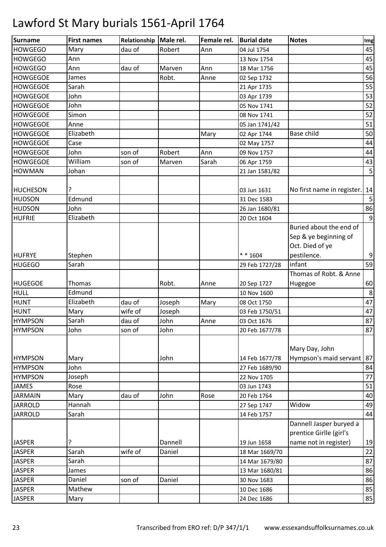| Surname         | <b>First names</b> | Relationship | Male rel. | Female rel. | <b>Burial date</b> | <b>Notes</b>                                                        | Img |
|-----------------|--------------------|--------------|-----------|-------------|--------------------|---------------------------------------------------------------------|-----|
| <b>HOWGEGO</b>  | Mary               | dau of       | Robert    | Ann         | 04 Jul 1754        |                                                                     | 45  |
| <b>HOWGEGO</b>  | Ann                |              |           |             | 13 Nov 1754        |                                                                     | 45  |
| <b>HOWGEGO</b>  | Ann                | dau of       | Marven    | Ann         | 18 Mar 1756        |                                                                     | 45  |
| <b>HOWGEGOE</b> | James              |              | Robt.     | Anne        | 02 Sep 1732        |                                                                     | 56  |
| <b>HOWGEGOE</b> | Sarah              |              |           |             | 21 Apr 1735        |                                                                     | 55  |
| <b>HOWGEGOE</b> | John               |              |           |             | 03 Apr 1739        |                                                                     | 53  |
| <b>HOWGEGOE</b> | John               |              |           |             | 05 Nov 1741        |                                                                     | 52  |
| <b>HOWGEGOE</b> | Simon              |              |           |             | 08 Nov 1741        |                                                                     | 52  |
| <b>HOWGEGOE</b> | Anne               |              |           |             | 05 Jan 1741/42     |                                                                     | 51  |
| <b>HOWGEGOE</b> | Elizabeth          |              |           | Mary        | 02 Apr 1744        | <b>Base child</b>                                                   | 50  |
| <b>HOWGEGOE</b> | Case               |              |           |             | 02 May 1757        |                                                                     | 44  |
| <b>HOWGEGOE</b> | John               | son of       | Robert    | Ann         | 09 Nov 1757        |                                                                     | 44  |
| <b>HOWGEGOE</b> | William            | son of       | Marven    | Sarah       | 06 Apr 1759        |                                                                     | 43  |
| <b>HOWMAN</b>   | Johan              |              |           |             | 21 Jan 1581/82     |                                                                     | 5   |
| <b>HUCHESON</b> |                    |              |           |             | 03 Jun 1631        | No first name in register.                                          | 14  |
| <b>HUDSON</b>   | Edmund             |              |           |             | 31 Dec 1583        |                                                                     | 5   |
| <b>HUDSON</b>   | John               |              |           |             | 26 Jan 1680/81     |                                                                     | 86  |
| <b>HUFRIE</b>   | Elizabeth          |              |           |             | 20 Oct 1604        |                                                                     | 9   |
|                 |                    |              |           |             |                    | Buried about the end of<br>Sep & ye beginning of<br>Oct. Died of ye |     |
| <b>HUFRYE</b>   | Stephen            |              |           |             | $* * 1604$         | pestilence.                                                         | 9   |
| <b>HUGEGO</b>   | Sarah              |              |           |             | 29 Feb 1727/28     | infant                                                              | 59  |
|                 |                    |              |           |             |                    | Thomas of Robt. & Anne                                              |     |
| <b>HUGEGOE</b>  | Thomas             |              | Robt.     | Anne        | 20 Sep 1727        | Hugegoe                                                             | 60  |
| <b>HULL</b>     | Edmund             |              |           |             | 10 Nov 1600        |                                                                     | 8   |
| <b>HUNT</b>     | Elizabeth          | dau of       | Joseph    | Mary        | 08 Oct 1750        |                                                                     | 47  |
| <b>HUNT</b>     | Mary               | wife of      | Joseph    |             | 03 Feb 1750/51     |                                                                     | 47  |
| <b>HYMPSON</b>  | Sarah              | dau of       | John      | Anne        | 03 Oct 1676        |                                                                     | 87  |
| <b>HYMPSON</b>  | John               | son of       | John      |             | 20 Feb 1677/78     |                                                                     | 87  |
| <b>HYMPSON</b>  | Mary               |              | John      |             | 14 Feb 1677/78     | Mary Day, John<br>Hympson's maid servant   87                       |     |
| <b>HYMPSON</b>  | John               |              |           |             | 27 Feb 1689/90     |                                                                     | 84  |
| <b>HYMPSON</b>  | Joseph             |              |           |             | 22 Nov 1705        |                                                                     | 77  |
| <b>JAMES</b>    | Rose               |              |           |             | 03 Jun 1743        |                                                                     | 51  |
| <b>JARMAIN</b>  | Mary               | dau of       | John      | Rose        | 20 Feb 1764        |                                                                     | 40  |
| <b>JARROLD</b>  | Hannah             |              |           |             | 27 Sep 1747        | Widow                                                               | 49  |
| <b>JARROLD</b>  | Sarah              |              |           |             | 14 Feb 1757        |                                                                     | 44  |
|                 |                    |              |           |             |                    | Dannell Jasper buryed a<br>prentice Girlle (girl's                  |     |
| <b>JASPER</b>   | ?                  |              | Dannell   |             | 19 Jun 1658        | name not in register)                                               | 19  |
| <b>JASPER</b>   | Sarah              | wife of      | Daniel    |             | 18 Mar 1669/70     |                                                                     | 22  |
| <b>JASPER</b>   | Sarah              |              |           |             | 14 Mar 1679/80     |                                                                     | 87  |
| <b>JASPER</b>   | James              |              |           |             | 13 Mar 1680/81     |                                                                     | 86  |
| <b>JASPER</b>   | Daniel             | son of       | Daniel    |             | 30 Nov 1683        |                                                                     | 86  |
| <b>JASPER</b>   | Mathew             |              |           |             | 10 Dec 1686        |                                                                     | 85  |
| <b>JASPER</b>   | Mary               |              |           |             | 24 Dec 1686        |                                                                     | 85  |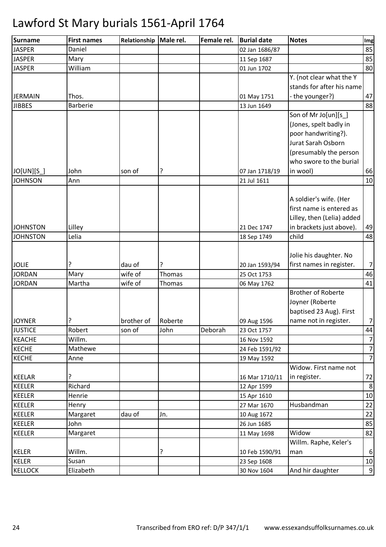| Surname                       | <b>First names</b> | Relationship      | Male rel. | Female rel. | <b>Burial date</b>            | <b>Notes</b>                                                                                                                                     | Img                  |
|-------------------------------|--------------------|-------------------|-----------|-------------|-------------------------------|--------------------------------------------------------------------------------------------------------------------------------------------------|----------------------|
| <b>JASPER</b>                 | Daniel             |                   |           |             | 02 Jan 1686/87                |                                                                                                                                                  | 85                   |
| <b>JASPER</b>                 | Mary               |                   |           |             | 11 Sep 1687                   |                                                                                                                                                  | 85                   |
| <b>JASPER</b>                 | William            |                   |           |             | 01 Jun 1702                   |                                                                                                                                                  | 80                   |
| <b>JERMAIN</b>                | Thos.              |                   |           |             | 01 May 1751                   | Y. (not clear what the Y<br>stands for after his name<br>the younger?)                                                                           | 47                   |
| <b>JIBBES</b>                 | <b>Barberie</b>    |                   |           |             | 13 Jun 1649                   |                                                                                                                                                  | 88                   |
|                               |                    |                   |           |             |                               | Son of Mr Jo[un][s_]<br>(Jones, spelt badly in<br>poor handwriting?).<br>Jurat Sarah Osborn<br>(presumably the person<br>who swore to the burial |                      |
| JO[UN][S_]                    | John               | son of            | ?         |             | 07 Jan 1718/19                | in wool)                                                                                                                                         | 66                   |
| <b>JOHNSON</b>                | Ann                |                   |           |             | 21 Jul 1611                   |                                                                                                                                                  | 10                   |
| <b>JOHNSTON</b>               | Lilley             |                   |           |             | 21 Dec 1747                   | A soldier's wife. (Her<br>first name is entered as<br>Lilley, then (Lelia) added<br>in brackets just above).                                     | 49                   |
| <b>JOHNSTON</b>               | Lelia              |                   |           |             | 18 Sep 1749                   | child                                                                                                                                            | 48                   |
| <b>JOLIE</b><br><b>JORDAN</b> | ?<br>Mary          | dau of<br>wife of | Thomas    |             | 20 Jan 1593/94<br>25 Oct 1753 | Jolie his daughter. No<br>first names in register.                                                                                               | 7 <sup>1</sup><br>46 |
| <b>JORDAN</b>                 | Martha             | wife of           | Thomas    |             | 06 May 1762                   |                                                                                                                                                  | 41                   |
| <b>JOYNER</b>                 | ?                  | brother of        | Roberte   |             | 09 Aug 1596                   | <b>Brother of Roberte</b><br>Joyner (Roberte<br>baptised 23 Aug). First<br>name not in register.                                                 | 7                    |
| <b>JUSTICE</b>                | Robert             | son of            | John      | Deborah     | 23 Oct 1757                   |                                                                                                                                                  | 44                   |
| <b>KEACHE</b>                 | Willm.             |                   |           |             | 16 Nov 1592                   |                                                                                                                                                  | 7                    |
| <b>KECHE</b>                  | Mathewe            |                   |           |             | 24 Feb 1591/92                |                                                                                                                                                  | 7                    |
| <b>KECHE</b>                  | Anne               |                   |           |             | 19 May 1592                   |                                                                                                                                                  | 7                    |
| <b>KEELAR</b>                 | ?                  |                   |           |             | 16 Mar 1710/11                | Widow. First name not<br>in register.                                                                                                            | 72                   |
| <b>KEELER</b>                 | Richard            |                   |           |             | 12 Apr 1599                   |                                                                                                                                                  | 8                    |
| <b>KEELER</b>                 | Henrie             |                   |           |             | 15 Apr 1610                   |                                                                                                                                                  | 10                   |
| <b>KEELER</b>                 | Henry              |                   |           |             | 27 Mar 1670                   | Husbandman                                                                                                                                       | 22                   |
| <b>KEELER</b>                 | Margaret           | dau of            | Jn.       |             | 10 Aug 1672                   |                                                                                                                                                  | 22                   |
| <b>KEELER</b>                 | John               |                   |           |             | 26 Jun 1685                   |                                                                                                                                                  | 85                   |
| <b>KEELER</b>                 | Margaret           |                   |           |             | 11 May 1698                   | Widow                                                                                                                                            | 82                   |
| <b>KELER</b>                  | Willm.             |                   | ?         |             | 10 Feb 1590/91                | Willm. Raphe, Keler's<br>man                                                                                                                     | $6 \overline{6}$     |
| <b>KELER</b>                  | Susan              |                   |           |             | 23 Sep 1608                   |                                                                                                                                                  | 10                   |
| <b>KELLOCK</b>                | Elizabeth          |                   |           |             | 30 Nov 1604                   | And hir daughter                                                                                                                                 | 9                    |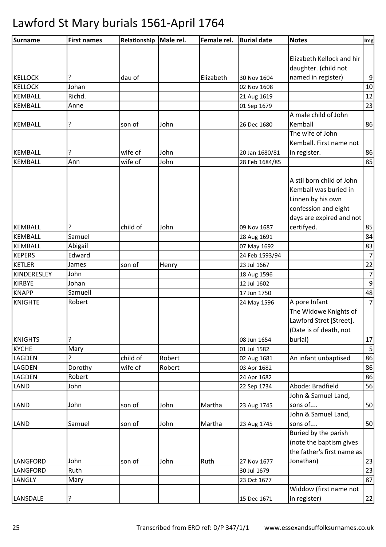| <b>Surname</b> | <b>First names</b> | Relationship | Male rel. | Female rel. | <b>Burial date</b> | <b>Notes</b>               | Img              |
|----------------|--------------------|--------------|-----------|-------------|--------------------|----------------------------|------------------|
|                |                    |              |           |             |                    |                            |                  |
|                |                    |              |           |             |                    | Elizabeth Kellock and hir  |                  |
|                |                    |              |           |             |                    | daughter. (child not       |                  |
| <b>KELLOCK</b> |                    | dau of       |           | Elizabeth   | 30 Nov 1604        | named in register)         | $\boldsymbol{9}$ |
| <b>KELLOCK</b> | Johan              |              |           |             | 02 Nov 1608        |                            | 10               |
| <b>KEMBALL</b> | Richd.             |              |           |             | 21 Aug 1619        |                            | 12               |
| <b>KEMBALL</b> | Anne               |              |           |             | 01 Sep 1679        |                            | 23               |
|                |                    |              |           |             |                    | A male child of John       |                  |
| <b>KEMBALL</b> | ?                  | son of       | John      |             | 26 Dec 1680        | Kemball                    | 86               |
|                |                    |              |           |             |                    | The wife of John           |                  |
|                |                    |              |           |             |                    | Kemball. First name not    |                  |
| <b>KEMBALL</b> | ?                  | wife of      | John      |             | 20 Jan 1680/81     | in register.               | 86               |
| <b>KEMBALL</b> | Ann                | wife of      | John      |             | 28 Feb 1684/85     |                            | 85               |
|                |                    |              |           |             |                    | A stil born child of John  |                  |
|                |                    |              |           |             |                    |                            |                  |
|                |                    |              |           |             |                    | Kemball was buried in      |                  |
|                |                    |              |           |             |                    | Linnen by his own          |                  |
|                |                    |              |           |             |                    | confession and eight       |                  |
|                |                    |              |           |             |                    | days are expired and not   |                  |
| <b>KEMBALL</b> |                    | child of     | John      |             | 09 Nov 1687        | certifyed.                 | 85               |
| <b>KEMBALL</b> | Samuel             |              |           |             | 28 Aug 1691        |                            | 84               |
| <b>KEMBALL</b> | Abigail            |              |           |             | 07 May 1692        |                            | 83               |
| <b>KEPERS</b>  | Edward             |              |           |             | 24 Feb 1593/94     |                            | $\overline{7}$   |
| <b>KETLER</b>  | James              | son of       | Henry     |             | 23 Jul 1667        |                            | 22               |
| KINDERESLEY    | John               |              |           |             | 18 Aug 1596        |                            | $\overline{7}$   |
| <b>KIRBYE</b>  | Johan              |              |           |             | 12 Jul 1602        |                            | $\boldsymbol{9}$ |
| <b>KNAPP</b>   | Samuell            |              |           |             | 17 Jun 1750        |                            | 48               |
| <b>KNIGHTE</b> | Robert             |              |           |             | 24 May 1596        | A pore Infant              | $\overline{7}$   |
|                |                    |              |           |             |                    | The Widowe Knights of      |                  |
|                |                    |              |           |             |                    | Lawford Stret [Street].    |                  |
|                |                    |              |           |             |                    | (Date is of death, not     |                  |
| <b>KNIGHTS</b> | ?                  |              |           |             | 08 Jun 1654        | burial)                    | 17               |
| <b>KYCHE</b>   | Mary               |              |           |             | 01 Jul 1582        |                            | 5                |
| LAGDEN         |                    | child of     | Robert    |             | 02 Aug 1681        | An infant unbaptised       | 86               |
| LAGDEN         | Dorothy            | wife of      | Robert    |             | 03 Apr 1682        |                            | 86               |
| LAGDEN         | Robert             |              |           |             | 24 Apr 1682        |                            | 86               |
| LAND           | John               |              |           |             | 22 Sep 1734        | Abode: Bradfield           | 56               |
|                |                    |              |           |             |                    | John & Samuel Land,        |                  |
| LAND           | John               | son of       | John      | Martha      | 23 Aug 1745        | sons of                    | 50               |
|                |                    |              |           |             |                    | John & Samuel Land,        |                  |
| <b>LAND</b>    | Samuel             | son of       | John      | Martha      | 23 Aug 1745        | sons of                    | 50               |
|                |                    |              |           |             |                    | Buried by the parish       |                  |
|                |                    |              |           |             |                    | (note the baptism gives    |                  |
|                |                    |              |           |             |                    | the father's first name as |                  |
| LANGFORD       | John               | son of       | John      | Ruth        | 27 Nov 1677        | Jonathan)                  | 23               |
| LANGFORD       | Ruth               |              |           |             | 30 Jul 1679        |                            | 23               |
| LANGLY         | Mary               |              |           |             | 23 Oct 1677        |                            | 87               |
|                |                    |              |           |             |                    | Widdow (first name not     |                  |
| LANSDALE       | ?                  |              |           |             | 15 Dec 1671        | in register)               | 22               |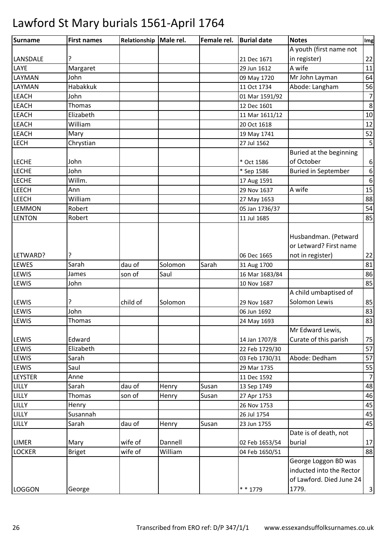| <b>Surname</b> | <b>First names</b> | Relationship   Male rel. |         | Female rel. | <b>Burial date</b> | <b>Notes</b>                                                                 | Img              |
|----------------|--------------------|--------------------------|---------|-------------|--------------------|------------------------------------------------------------------------------|------------------|
|                |                    |                          |         |             |                    | A youth (first name not                                                      |                  |
| LANSDALE       | ?                  |                          |         |             | 21 Dec 1671        | in register)                                                                 | 22               |
| LAYE           | Margaret           |                          |         |             | 29 Jun 1612        | A wife                                                                       | 11               |
| LAYMAN         | John               |                          |         |             | 09 May 1720        | Mr John Layman                                                               | 64               |
| LAYMAN         | <b>Habakkuk</b>    |                          |         |             | 11 Oct 1734        | Abode: Langham                                                               | 56               |
| <b>LEACH</b>   | John               |                          |         |             | 01 Mar 1591/92     |                                                                              | $\overline{7}$   |
| <b>LEACH</b>   | Thomas             |                          |         |             | 12 Dec 1601        |                                                                              | 8                |
| <b>LEACH</b>   | Elizabeth          |                          |         |             | 11 Mar 1611/12     |                                                                              | $10\,$           |
| <b>LEACH</b>   | William            |                          |         |             | 20 Oct 1618        |                                                                              | 12               |
| <b>LEACH</b>   | Mary               |                          |         |             | 19 May 1741        |                                                                              | 52               |
| <b>LECH</b>    | Chrystian          |                          |         |             | 27 Jul 1562        |                                                                              | 5                |
|                |                    |                          |         |             |                    | Buried at the beginning                                                      |                  |
| <b>LECHE</b>   | John               |                          |         |             | * Oct 1586         | of October                                                                   | 6                |
| <b>LECHE</b>   | John               |                          |         |             | * Sep 1586         | <b>Buried in September</b>                                                   | $\boldsymbol{6}$ |
| <b>LECHE</b>   | Willm.             |                          |         |             | 17 Aug 1591        |                                                                              | $\boldsymbol{6}$ |
| LEECH          | Ann                |                          |         |             | 29 Nov 1637        | A wife                                                                       | 15               |
| <b>LEECH</b>   | William            |                          |         |             | 27 May 1653        |                                                                              | 88               |
| <b>LEMMON</b>  | Robert             |                          |         |             | 05 Jan 1736/37     |                                                                              | 54               |
| <b>LENTON</b>  | Robert             |                          |         |             | 11 Jul 1685        |                                                                              | 85               |
| LETWARD?       | ?                  |                          |         |             | 06 Dec 1665        | Husbandman. (Petward<br>or Letward? First name<br>not in register)           | 22               |
| LEWES          | Sarah              | dau of                   | Solomon | Sarah       | 31 Aug 1700        |                                                                              | 81               |
| LEWIS          | James              | son of                   | Saul    |             | 16 Mar 1683/84     |                                                                              | 86               |
| LEWIS          | John               |                          |         |             | 10 Nov 1687        |                                                                              | 85               |
|                |                    |                          |         |             |                    | A child umbaptised of                                                        |                  |
| LEWIS          | ?                  | child of                 | Solomon |             | 29 Nov 1687        | Solomon Lewis                                                                | 85               |
| LEWIS          | John               |                          |         |             | 06 Jun 1692        |                                                                              | 83               |
| <b>LEWIS</b>   | <b>Thomas</b>      |                          |         |             | 24 May 1693        |                                                                              | 83               |
| LEWIS          | Edward             |                          |         |             | 14 Jan 1707/8      | Mr Edward Lewis,<br>Curate of this parish                                    | 75               |
| LEWIS          | Elizabeth          |                          |         |             | 22 Feb 1729/30     |                                                                              | 57               |
| LEWIS          | Sarah              |                          |         |             | 03 Feb 1730/31     | Abode: Dedham                                                                | 57               |
| LEWIS          | Saul               |                          |         |             | 29 Mar 1735        |                                                                              | 55               |
| <b>LEYSTER</b> | Anne               |                          |         |             | 11 Dec 1592        |                                                                              | $\overline{7}$   |
| LILLY          | Sarah              | dau of                   | Henry   | Susan       | 13 Sep 1749        |                                                                              | 48               |
| LILLY          | <b>Thomas</b>      | son of                   | Henry   | Susan       | 27 Apr 1753        |                                                                              | 46               |
| LILLY          | Henry              |                          |         |             | 26 Nov 1753        |                                                                              | 45               |
| LILLY          | Susannah           |                          |         |             | 26 Jul 1754        |                                                                              | 45               |
| LILLY          | Sarah              | dau of                   | Henry   | Susan       | 23 Jun 1755        |                                                                              | 45               |
|                |                    |                          |         |             |                    | Date is of death, not                                                        |                  |
| <b>LIMER</b>   | Mary               | wife of                  | Dannell |             | 02 Feb 1653/54     | burial                                                                       | 17               |
| <b>LOCKER</b>  | <b>Briget</b>      | wife of                  | William |             | 04 Feb 1650/51     |                                                                              | 88               |
|                |                    |                          |         |             |                    | George Loggon BD was<br>inducted into the Rector<br>of Lawford. Died June 24 |                  |
| <b>LOGGON</b>  | George             |                          |         |             | $* * 1779$         | 1779.                                                                        | $\mathsf{3}$     |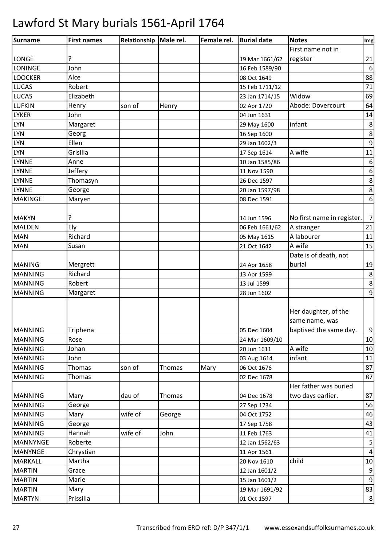| First name not in<br>?<br>19 Mar 1661/62<br>register<br>John<br>16 Feb 1589/90<br>Alce<br>08 Oct 1649<br>Robert<br>15 Feb 1711/12<br>Widow<br>Elizabeth<br>23 Jan 1714/15<br>Abode: Dovercourt<br>Henry<br>son of<br>Henry<br>02 Apr 1720<br>John<br>04 Jun 1631<br>infant<br>Margaret<br>29 May 1600<br>Georg<br>16 Sep 1600<br>Ellen<br>29 Jan 1602/3<br>Grisilla<br>A wife<br>17 Sep 1614<br>Anne<br>10 Jan 1585/86<br>Jeffery<br>11 Nov 1590<br>Thomasyn<br>26 Dec 1597<br>George<br>20 Jan 1597/98<br><b>MAKINGE</b><br>Maryen<br>08 Dec 1591<br>ŗ<br>No first name in register.<br>14 Jun 1596<br>Ely<br>A stranger<br>06 Feb 1661/62<br>Richard<br>A labourer<br>05 May 1615<br>A wife<br>Susan<br>21 Oct 1642<br>Date is of death, not<br>burial<br>Mergrett<br>24 Apr 1658<br>Richard<br>13 Apr 1599<br>Robert<br>13 Jul 1599<br>Margaret<br>28 Jun 1602<br>Her daughter, of the<br>same name, was<br>Triphena<br>baptised the same day.<br>05 Dec 1604<br>Rose<br>24 Mar 1609/10<br>A wife<br>Johan<br>20 Jun 1611<br>infant<br>John<br>03 Aug 1614<br><b>Thomas</b><br>son of<br>Thomas<br>Mary<br>06 Oct 1676<br>Thomas<br>02 Dec 1678<br>Her father was buried<br>two days earlier.<br>dau of<br>Mary<br>Thomas<br>04 Dec 1678<br>George<br>27 Sep 1734<br>wife of<br>Mary<br>04 Oct 1752<br>George<br>George<br>17 Sep 1758<br>Hannah<br>wife of<br>John<br>11 Feb 1763<br>Roberte<br>12 Jan 1562/63<br>Chrystian<br>11 Apr 1561<br>Martha<br>child<br>20 Nov 1610<br>Grace<br>12 Jan 1601/2<br>Marie<br>15 Jan 1601/2<br>Mary<br>19 Mar 1691/92 | Surname         | <b>First names</b> | Relationship Male rel. | Female rel. | <b>Burial date</b> | <b>Notes</b> | Img |
|----------------------------------------------------------------------------------------------------------------------------------------------------------------------------------------------------------------------------------------------------------------------------------------------------------------------------------------------------------------------------------------------------------------------------------------------------------------------------------------------------------------------------------------------------------------------------------------------------------------------------------------------------------------------------------------------------------------------------------------------------------------------------------------------------------------------------------------------------------------------------------------------------------------------------------------------------------------------------------------------------------------------------------------------------------------------------------------------------------------------------------------------------------------------------------------------------------------------------------------------------------------------------------------------------------------------------------------------------------------------------------------------------------------------------------------------------------------------------------------------------------------------------------------------------------------|-----------------|--------------------|------------------------|-------------|--------------------|--------------|-----|
|                                                                                                                                                                                                                                                                                                                                                                                                                                                                                                                                                                                                                                                                                                                                                                                                                                                                                                                                                                                                                                                                                                                                                                                                                                                                                                                                                                                                                                                                                                                                                                |                 |                    |                        |             |                    |              |     |
| $6\,$<br>88<br>71<br>69<br>64<br>14<br>$\,8$<br>8<br>9<br>11<br>$\boldsymbol{6}$<br>$\boldsymbol{6}$<br>8<br>8<br>$\boldsymbol{6}$<br>$\overline{7}$<br>21<br>11<br>15<br>19<br>8<br>8<br>$\boldsymbol{9}$<br>$\boldsymbol{9}$<br>10<br>10<br>11<br>87<br>87<br>87<br>56<br>46<br>43<br>41<br>5<br>$\sqrt{4}$<br>$10\,$<br>$\boldsymbol{9}$<br>$\boldsymbol{9}$<br>83                                                                                                                                                                                                                                                                                                                                                                                                                                                                                                                                                                                                                                                                                                                                                                                                                                                                                                                                                                                                                                                                                                                                                                                          | <b>LONGE</b>    |                    |                        |             |                    |              | 21  |
|                                                                                                                                                                                                                                                                                                                                                                                                                                                                                                                                                                                                                                                                                                                                                                                                                                                                                                                                                                                                                                                                                                                                                                                                                                                                                                                                                                                                                                                                                                                                                                | <b>LONINGE</b>  |                    |                        |             |                    |              |     |
|                                                                                                                                                                                                                                                                                                                                                                                                                                                                                                                                                                                                                                                                                                                                                                                                                                                                                                                                                                                                                                                                                                                                                                                                                                                                                                                                                                                                                                                                                                                                                                | <b>LOOCKER</b>  |                    |                        |             |                    |              |     |
|                                                                                                                                                                                                                                                                                                                                                                                                                                                                                                                                                                                                                                                                                                                                                                                                                                                                                                                                                                                                                                                                                                                                                                                                                                                                                                                                                                                                                                                                                                                                                                | <b>LUCAS</b>    |                    |                        |             |                    |              |     |
|                                                                                                                                                                                                                                                                                                                                                                                                                                                                                                                                                                                                                                                                                                                                                                                                                                                                                                                                                                                                                                                                                                                                                                                                                                                                                                                                                                                                                                                                                                                                                                | <b>LUCAS</b>    |                    |                        |             |                    |              |     |
|                                                                                                                                                                                                                                                                                                                                                                                                                                                                                                                                                                                                                                                                                                                                                                                                                                                                                                                                                                                                                                                                                                                                                                                                                                                                                                                                                                                                                                                                                                                                                                | <b>LUFKIN</b>   |                    |                        |             |                    |              |     |
|                                                                                                                                                                                                                                                                                                                                                                                                                                                                                                                                                                                                                                                                                                                                                                                                                                                                                                                                                                                                                                                                                                                                                                                                                                                                                                                                                                                                                                                                                                                                                                | <b>LYKER</b>    |                    |                        |             |                    |              |     |
|                                                                                                                                                                                                                                                                                                                                                                                                                                                                                                                                                                                                                                                                                                                                                                                                                                                                                                                                                                                                                                                                                                                                                                                                                                                                                                                                                                                                                                                                                                                                                                | <b>LYN</b>      |                    |                        |             |                    |              |     |
|                                                                                                                                                                                                                                                                                                                                                                                                                                                                                                                                                                                                                                                                                                                                                                                                                                                                                                                                                                                                                                                                                                                                                                                                                                                                                                                                                                                                                                                                                                                                                                | <b>LYN</b>      |                    |                        |             |                    |              |     |
|                                                                                                                                                                                                                                                                                                                                                                                                                                                                                                                                                                                                                                                                                                                                                                                                                                                                                                                                                                                                                                                                                                                                                                                                                                                                                                                                                                                                                                                                                                                                                                | <b>LYN</b>      |                    |                        |             |                    |              |     |
|                                                                                                                                                                                                                                                                                                                                                                                                                                                                                                                                                                                                                                                                                                                                                                                                                                                                                                                                                                                                                                                                                                                                                                                                                                                                                                                                                                                                                                                                                                                                                                | <b>LYN</b>      |                    |                        |             |                    |              |     |
|                                                                                                                                                                                                                                                                                                                                                                                                                                                                                                                                                                                                                                                                                                                                                                                                                                                                                                                                                                                                                                                                                                                                                                                                                                                                                                                                                                                                                                                                                                                                                                | <b>LYNNE</b>    |                    |                        |             |                    |              |     |
|                                                                                                                                                                                                                                                                                                                                                                                                                                                                                                                                                                                                                                                                                                                                                                                                                                                                                                                                                                                                                                                                                                                                                                                                                                                                                                                                                                                                                                                                                                                                                                | <b>LYNNE</b>    |                    |                        |             |                    |              |     |
|                                                                                                                                                                                                                                                                                                                                                                                                                                                                                                                                                                                                                                                                                                                                                                                                                                                                                                                                                                                                                                                                                                                                                                                                                                                                                                                                                                                                                                                                                                                                                                | <b>LYNNE</b>    |                    |                        |             |                    |              |     |
|                                                                                                                                                                                                                                                                                                                                                                                                                                                                                                                                                                                                                                                                                                                                                                                                                                                                                                                                                                                                                                                                                                                                                                                                                                                                                                                                                                                                                                                                                                                                                                | <b>LYNNE</b>    |                    |                        |             |                    |              |     |
|                                                                                                                                                                                                                                                                                                                                                                                                                                                                                                                                                                                                                                                                                                                                                                                                                                                                                                                                                                                                                                                                                                                                                                                                                                                                                                                                                                                                                                                                                                                                                                |                 |                    |                        |             |                    |              |     |
|                                                                                                                                                                                                                                                                                                                                                                                                                                                                                                                                                                                                                                                                                                                                                                                                                                                                                                                                                                                                                                                                                                                                                                                                                                                                                                                                                                                                                                                                                                                                                                |                 |                    |                        |             |                    |              |     |
|                                                                                                                                                                                                                                                                                                                                                                                                                                                                                                                                                                                                                                                                                                                                                                                                                                                                                                                                                                                                                                                                                                                                                                                                                                                                                                                                                                                                                                                                                                                                                                | <b>MAKYN</b>    |                    |                        |             |                    |              |     |
|                                                                                                                                                                                                                                                                                                                                                                                                                                                                                                                                                                                                                                                                                                                                                                                                                                                                                                                                                                                                                                                                                                                                                                                                                                                                                                                                                                                                                                                                                                                                                                | <b>MALDEN</b>   |                    |                        |             |                    |              |     |
|                                                                                                                                                                                                                                                                                                                                                                                                                                                                                                                                                                                                                                                                                                                                                                                                                                                                                                                                                                                                                                                                                                                                                                                                                                                                                                                                                                                                                                                                                                                                                                | <b>MAN</b>      |                    |                        |             |                    |              |     |
|                                                                                                                                                                                                                                                                                                                                                                                                                                                                                                                                                                                                                                                                                                                                                                                                                                                                                                                                                                                                                                                                                                                                                                                                                                                                                                                                                                                                                                                                                                                                                                | <b>MAN</b>      |                    |                        |             |                    |              |     |
|                                                                                                                                                                                                                                                                                                                                                                                                                                                                                                                                                                                                                                                                                                                                                                                                                                                                                                                                                                                                                                                                                                                                                                                                                                                                                                                                                                                                                                                                                                                                                                |                 |                    |                        |             |                    |              |     |
|                                                                                                                                                                                                                                                                                                                                                                                                                                                                                                                                                                                                                                                                                                                                                                                                                                                                                                                                                                                                                                                                                                                                                                                                                                                                                                                                                                                                                                                                                                                                                                | <b>MANING</b>   |                    |                        |             |                    |              |     |
|                                                                                                                                                                                                                                                                                                                                                                                                                                                                                                                                                                                                                                                                                                                                                                                                                                                                                                                                                                                                                                                                                                                                                                                                                                                                                                                                                                                                                                                                                                                                                                | <b>MANNING</b>  |                    |                        |             |                    |              |     |
|                                                                                                                                                                                                                                                                                                                                                                                                                                                                                                                                                                                                                                                                                                                                                                                                                                                                                                                                                                                                                                                                                                                                                                                                                                                                                                                                                                                                                                                                                                                                                                | <b>MANNING</b>  |                    |                        |             |                    |              |     |
|                                                                                                                                                                                                                                                                                                                                                                                                                                                                                                                                                                                                                                                                                                                                                                                                                                                                                                                                                                                                                                                                                                                                                                                                                                                                                                                                                                                                                                                                                                                                                                | <b>MANNING</b>  |                    |                        |             |                    |              |     |
|                                                                                                                                                                                                                                                                                                                                                                                                                                                                                                                                                                                                                                                                                                                                                                                                                                                                                                                                                                                                                                                                                                                                                                                                                                                                                                                                                                                                                                                                                                                                                                |                 |                    |                        |             |                    |              |     |
|                                                                                                                                                                                                                                                                                                                                                                                                                                                                                                                                                                                                                                                                                                                                                                                                                                                                                                                                                                                                                                                                                                                                                                                                                                                                                                                                                                                                                                                                                                                                                                |                 |                    |                        |             |                    |              |     |
|                                                                                                                                                                                                                                                                                                                                                                                                                                                                                                                                                                                                                                                                                                                                                                                                                                                                                                                                                                                                                                                                                                                                                                                                                                                                                                                                                                                                                                                                                                                                                                |                 |                    |                        |             |                    |              |     |
|                                                                                                                                                                                                                                                                                                                                                                                                                                                                                                                                                                                                                                                                                                                                                                                                                                                                                                                                                                                                                                                                                                                                                                                                                                                                                                                                                                                                                                                                                                                                                                | <b>MANNING</b>  |                    |                        |             |                    |              |     |
|                                                                                                                                                                                                                                                                                                                                                                                                                                                                                                                                                                                                                                                                                                                                                                                                                                                                                                                                                                                                                                                                                                                                                                                                                                                                                                                                                                                                                                                                                                                                                                | <b>MANNING</b>  |                    |                        |             |                    |              |     |
|                                                                                                                                                                                                                                                                                                                                                                                                                                                                                                                                                                                                                                                                                                                                                                                                                                                                                                                                                                                                                                                                                                                                                                                                                                                                                                                                                                                                                                                                                                                                                                | <b>MANNING</b>  |                    |                        |             |                    |              |     |
|                                                                                                                                                                                                                                                                                                                                                                                                                                                                                                                                                                                                                                                                                                                                                                                                                                                                                                                                                                                                                                                                                                                                                                                                                                                                                                                                                                                                                                                                                                                                                                | <b>MANNING</b>  |                    |                        |             |                    |              |     |
|                                                                                                                                                                                                                                                                                                                                                                                                                                                                                                                                                                                                                                                                                                                                                                                                                                                                                                                                                                                                                                                                                                                                                                                                                                                                                                                                                                                                                                                                                                                                                                | <b>MANNING</b>  |                    |                        |             |                    |              |     |
|                                                                                                                                                                                                                                                                                                                                                                                                                                                                                                                                                                                                                                                                                                                                                                                                                                                                                                                                                                                                                                                                                                                                                                                                                                                                                                                                                                                                                                                                                                                                                                | <b>MANNING</b>  |                    |                        |             |                    |              |     |
|                                                                                                                                                                                                                                                                                                                                                                                                                                                                                                                                                                                                                                                                                                                                                                                                                                                                                                                                                                                                                                                                                                                                                                                                                                                                                                                                                                                                                                                                                                                                                                |                 |                    |                        |             |                    |              |     |
|                                                                                                                                                                                                                                                                                                                                                                                                                                                                                                                                                                                                                                                                                                                                                                                                                                                                                                                                                                                                                                                                                                                                                                                                                                                                                                                                                                                                                                                                                                                                                                | <b>MANNING</b>  |                    |                        |             |                    |              |     |
|                                                                                                                                                                                                                                                                                                                                                                                                                                                                                                                                                                                                                                                                                                                                                                                                                                                                                                                                                                                                                                                                                                                                                                                                                                                                                                                                                                                                                                                                                                                                                                | <b>MANNING</b>  |                    |                        |             |                    |              |     |
|                                                                                                                                                                                                                                                                                                                                                                                                                                                                                                                                                                                                                                                                                                                                                                                                                                                                                                                                                                                                                                                                                                                                                                                                                                                                                                                                                                                                                                                                                                                                                                | <b>MANNING</b>  |                    |                        |             |                    |              |     |
|                                                                                                                                                                                                                                                                                                                                                                                                                                                                                                                                                                                                                                                                                                                                                                                                                                                                                                                                                                                                                                                                                                                                                                                                                                                                                                                                                                                                                                                                                                                                                                | <b>MANNING</b>  |                    |                        |             |                    |              |     |
|                                                                                                                                                                                                                                                                                                                                                                                                                                                                                                                                                                                                                                                                                                                                                                                                                                                                                                                                                                                                                                                                                                                                                                                                                                                                                                                                                                                                                                                                                                                                                                | <b>MANNING</b>  |                    |                        |             |                    |              |     |
|                                                                                                                                                                                                                                                                                                                                                                                                                                                                                                                                                                                                                                                                                                                                                                                                                                                                                                                                                                                                                                                                                                                                                                                                                                                                                                                                                                                                                                                                                                                                                                | <b>MANNYNGE</b> |                    |                        |             |                    |              |     |
|                                                                                                                                                                                                                                                                                                                                                                                                                                                                                                                                                                                                                                                                                                                                                                                                                                                                                                                                                                                                                                                                                                                                                                                                                                                                                                                                                                                                                                                                                                                                                                | <b>MANYNGE</b>  |                    |                        |             |                    |              |     |
|                                                                                                                                                                                                                                                                                                                                                                                                                                                                                                                                                                                                                                                                                                                                                                                                                                                                                                                                                                                                                                                                                                                                                                                                                                                                                                                                                                                                                                                                                                                                                                | <b>MARKALL</b>  |                    |                        |             |                    |              |     |
|                                                                                                                                                                                                                                                                                                                                                                                                                                                                                                                                                                                                                                                                                                                                                                                                                                                                                                                                                                                                                                                                                                                                                                                                                                                                                                                                                                                                                                                                                                                                                                | <b>MARTIN</b>   |                    |                        |             |                    |              |     |
|                                                                                                                                                                                                                                                                                                                                                                                                                                                                                                                                                                                                                                                                                                                                                                                                                                                                                                                                                                                                                                                                                                                                                                                                                                                                                                                                                                                                                                                                                                                                                                | <b>MARTIN</b>   |                    |                        |             |                    |              |     |
|                                                                                                                                                                                                                                                                                                                                                                                                                                                                                                                                                                                                                                                                                                                                                                                                                                                                                                                                                                                                                                                                                                                                                                                                                                                                                                                                                                                                                                                                                                                                                                | <b>MARTIN</b>   |                    |                        |             |                    |              |     |
|                                                                                                                                                                                                                                                                                                                                                                                                                                                                                                                                                                                                                                                                                                                                                                                                                                                                                                                                                                                                                                                                                                                                                                                                                                                                                                                                                                                                                                                                                                                                                                | <b>MARTYN</b>   | Prissilla          |                        |             | 01 Oct 1597        |              | 8   |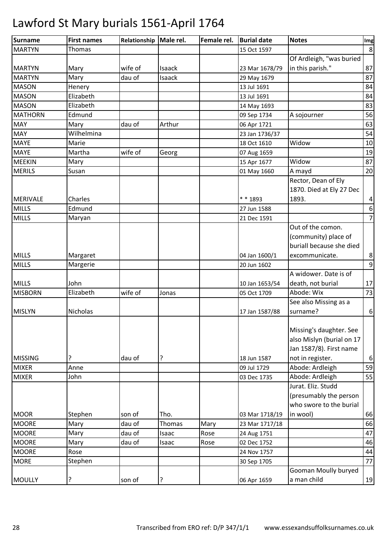| Surname         | <b>First names</b> | Relationship | Male rel. | Female rel. | <b>Burial date</b> | <b>Notes</b>              | Img              |
|-----------------|--------------------|--------------|-----------|-------------|--------------------|---------------------------|------------------|
| <b>MARTYN</b>   | Thomas             |              |           |             | 15 Oct 1597        |                           | 8                |
|                 |                    |              |           |             |                    | Of Ardleigh, "was buried  |                  |
| <b>MARTYN</b>   | Mary               | wife of      | Isaack    |             | 23 Mar 1678/79     | in this parish."          | 87               |
| <b>MARTYN</b>   | Mary               | dau of       | Isaack    |             | 29 May 1679        |                           | 87               |
| <b>MASON</b>    | Henery             |              |           |             | 13 Jul 1691        |                           | 84               |
| <b>MASON</b>    | Elizabeth          |              |           |             | 13 Jul 1691        |                           | 84               |
| <b>MASON</b>    | Elizabeth          |              |           |             | 14 May 1693        |                           | 83               |
| <b>MATHORN</b>  | Edmund             |              |           |             | 09 Sep 1734        | A sojourner               | 56               |
| <b>MAY</b>      | Mary               | dau of       | Arthur    |             | 06 Apr 1721        |                           | 63               |
| <b>MAY</b>      | Wilhelmina         |              |           |             | 23 Jan 1736/37     |                           | 54               |
| <b>MAYE</b>     | Marie              |              |           |             | 18 Oct 1610        | Widow                     | 10               |
| <b>MAYE</b>     | Martha             | wife of      | Georg     |             | 07 Aug 1659        |                           | 19               |
| <b>MEEKIN</b>   | Mary               |              |           |             | 15 Apr 1677        | Widow                     | 87               |
| <b>MERILS</b>   | Susan              |              |           |             | 01 May 1660        | A mayd                    | 20               |
|                 |                    |              |           |             |                    | Rector, Dean of Ely       |                  |
|                 |                    |              |           |             |                    | 1870. Died at Ely 27 Dec  |                  |
| <b>MERIVALE</b> | Charles            |              |           |             | * * 1893           | 1893.                     | 4                |
| <b>MILLS</b>    | Edmund             |              |           |             | 27 Jun 1588        |                           | 6                |
| <b>MILLS</b>    | Maryan             |              |           |             | 21 Dec 1591        |                           | $\overline{7}$   |
|                 |                    |              |           |             |                    | Out of the comon.         |                  |
|                 |                    |              |           |             |                    | (community) place of      |                  |
|                 |                    |              |           |             |                    | buriall because she died  |                  |
| <b>MILLS</b>    | Margaret           |              |           |             | 04 Jan 1600/1      | excommunicate.            | 8                |
| <b>MILLS</b>    | Margerie           |              |           |             | 20 Jun 1602        |                           | 9                |
|                 |                    |              |           |             |                    | A widower. Date is of     |                  |
| <b>MILLS</b>    | John               |              |           |             | 10 Jan 1653/54     | death, not burial         | 17               |
| <b>MISBORN</b>  | Elizabeth          | wife of      | Jonas     |             | 05 Oct 1709        | Abode: Wix                | 73               |
|                 |                    |              |           |             |                    | See also Missing as a     |                  |
| <b>MISLYN</b>   | Nicholas           |              |           |             | 17 Jan 1587/88     | surname?                  | $\boldsymbol{6}$ |
|                 |                    |              |           |             |                    |                           |                  |
|                 |                    |              |           |             |                    | Missing's daughter. See   |                  |
|                 |                    |              |           |             |                    | also Mislyn (burial on 17 |                  |
|                 |                    |              |           |             |                    | Jan 1587/8). First name   |                  |
| <b>MISSING</b>  | ?                  | dau of       | ?         |             | 18 Jun 1587        | not in register.          | $\boldsymbol{6}$ |
| <b>MIXER</b>    | Anne               |              |           |             | 09 Jul 1729        | Abode: Ardleigh           | 59               |
| <b>MIXER</b>    | John               |              |           |             | 03 Dec 1735        | Abode: Ardleigh           | 55               |
|                 |                    |              |           |             |                    | Jurat. Eliz. Studd        |                  |
|                 |                    |              |           |             |                    | (presumably the person    |                  |
|                 |                    |              |           |             |                    | who swore to the burial   |                  |
| <b>MOOR</b>     | Stephen            | son of       | Tho.      |             | 03 Mar 1718/19     | in wool)                  | 66               |
| <b>MOORE</b>    | Mary               | dau of       | Thomas    | Mary        | 23 Mar 1717/18     |                           | 66               |
| <b>MOORE</b>    | Mary               | dau of       | Isaac     | Rose        | 24 Aug 1751        |                           | 47               |
| <b>MOORE</b>    | Mary               | dau of       | Isaac     | Rose        | 02 Dec 1752        |                           | 46               |
| <b>MOORE</b>    | Rose               |              |           |             | 24 Nov 1757        |                           | 44               |
| <b>MORE</b>     | Stephen            |              |           |             | 30 Sep 1705        |                           | 77               |
|                 |                    |              |           |             |                    | Gooman Moully buryed      |                  |
| <b>MOULLY</b>   | ?                  | son of       | ?         |             | 06 Apr 1659        | a man child               | 19               |
|                 |                    |              |           |             |                    |                           |                  |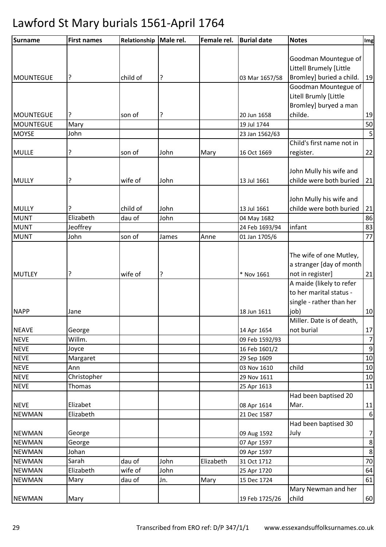| <b>Surname</b>   | <b>First names</b> | Relationship | Male rel. | Female rel. | <b>Burial date</b> | <b>Notes</b>              | Img            |
|------------------|--------------------|--------------|-----------|-------------|--------------------|---------------------------|----------------|
|                  |                    |              |           |             |                    |                           |                |
|                  |                    |              |           |             |                    | Goodman Mountegue of      |                |
|                  |                    |              |           |             |                    | Littell Brumely [Little   |                |
| <b>MOUNTEGUE</b> | ?                  | child of     | ?         |             | 03 Mar 1657/58     | Bromley] buried a child.  | 19             |
|                  |                    |              |           |             |                    | Goodman Mountegue of      |                |
|                  |                    |              |           |             |                    | Litell Brumly [Little     |                |
|                  |                    |              |           |             |                    | Bromley] buryed a man     |                |
| <b>MOUNTEGUE</b> | ?                  | son of       | ?         |             | 20 Jun 1658        | childe.                   | 19             |
| <b>MOUNTEGUE</b> | Mary               |              |           |             | 19 Jul 1744        |                           | 50             |
| <b>MOYSE</b>     | John               |              |           |             | 23 Jan 1562/63     |                           | 5              |
|                  |                    |              |           |             |                    | Child's first name not in |                |
| <b>MULLE</b>     | ?                  | son of       | John      | Mary        | 16 Oct 1669        | register.                 | 22             |
|                  |                    |              |           |             |                    |                           |                |
|                  |                    |              |           |             |                    | John Mully his wife and   |                |
| <b>MULLY</b>     | ?                  | wife of      | John      |             | 13 Jul 1661        | childe were both buried   | 21             |
|                  |                    |              |           |             |                    | John Mully his wife and   |                |
| <b>MULLY</b>     |                    | child of     | John      |             | 13 Jul 1661        | childe were both buried   | 21             |
| <b>MUNT</b>      | Elizabeth          | dau of       | John      |             | 04 May 1682        |                           | 86             |
| <b>MUNT</b>      | Jeoffrey           |              |           |             | 24 Feb 1693/94     | infant                    | 83             |
| <b>MUNT</b>      | John               | son of       | James     | Anne        | 01 Jan 1705/6      |                           | 77             |
|                  |                    |              |           |             |                    |                           |                |
|                  |                    |              |           |             |                    |                           |                |
|                  |                    |              |           |             |                    | The wife of one Mutley,   |                |
|                  |                    |              |           |             |                    | a stranger [day of month  |                |
| <b>MUTLEY</b>    | ?                  | wife of      | ?         |             | * Nov 1661         | not in register]          | 21             |
|                  |                    |              |           |             |                    | A maide (likely to refer  |                |
|                  |                    |              |           |             |                    | to her marital status -   |                |
|                  |                    |              |           |             |                    | single - rather than her  |                |
| <b>NAPP</b>      | Jane               |              |           |             | 18 Jun 1611        | job)                      | 10             |
|                  |                    |              |           |             |                    | Miller. Date is of death, |                |
| <b>NEAVE</b>     | George             |              |           |             | 14 Apr 1654        | not burial                | 17             |
| <b>NEVE</b>      | Willm.             |              |           |             | 09 Feb 1592/93     |                           | $7\overline{}$ |
| <b>NEVE</b>      | Joyce              |              |           |             | 16 Feb 1601/2      |                           | $\overline{9}$ |
| <b>NEVE</b>      | Margaret           |              |           |             | 29 Sep 1609        |                           | $10\,$         |
| <b>NEVE</b>      | Ann                |              |           |             | 03 Nov 1610        | child                     | 10             |
| <b>NEVE</b>      | Christopher        |              |           |             | 29 Nov 1611        |                           | 10             |
| <b>NEVE</b>      | Thomas             |              |           |             | 25 Apr 1613        |                           | 11             |
|                  |                    |              |           |             |                    | Had been baptised 20      |                |
| <b>NEVE</b>      | Elizabet           |              |           |             | 08 Apr 1614        | Mar.                      | 11             |
| <b>NEWMAN</b>    | Elizabeth          |              |           |             | 21 Dec 1587        |                           | 6              |
|                  |                    |              |           |             |                    | Had been baptised 30      |                |
| <b>NEWMAN</b>    | George             |              |           |             | 09 Aug 1592        | July                      | 7              |
| <b>NEWMAN</b>    | George             |              |           |             | 07 Apr 1597        |                           | 8 <sup>1</sup> |
| <b>NEWMAN</b>    | Johan              |              |           |             | 09 Apr 1597        |                           | 8 <sup>°</sup> |
| <b>NEWMAN</b>    | Sarah              | dau of       | John      | Elizabeth   | 31 Oct 1712        |                           | 70             |
| <b>NEWMAN</b>    | Elizabeth          | wife of      | John      |             | 25 Apr 1720        |                           | 64             |
| <b>NEWMAN</b>    | Mary               | dau of       | Jn.       | Mary        | 15 Dec 1724        |                           | 61             |
|                  |                    |              |           |             |                    | Mary Newman and her       |                |
| <b>NEWMAN</b>    | Mary               |              |           |             | 19 Feb 1725/26     | child                     | 60             |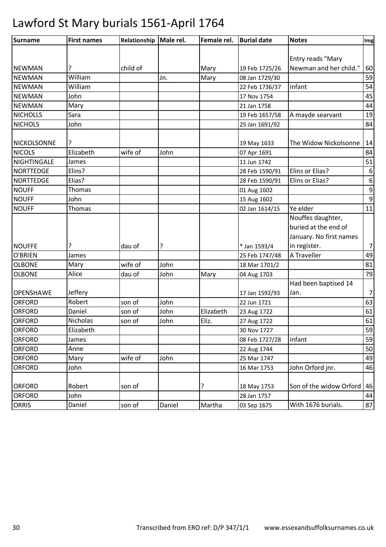| <b>Surname</b>   | <b>First names</b> | Relationship   Male rel. |        | Female rel. | <b>Burial date</b> | <b>Notes</b>            | Img              |
|------------------|--------------------|--------------------------|--------|-------------|--------------------|-------------------------|------------------|
|                  |                    |                          |        |             |                    |                         |                  |
|                  |                    |                          |        |             |                    | Entry reads "Mary       |                  |
| <b>NEWMAN</b>    | ?                  | child of                 |        | Mary        | 19 Feb 1725/26     | Newman and her child."  | 60               |
| <b>NEWMAN</b>    | William            |                          | Jn.    | Mary        | 08 Jan 1729/30     |                         | 59               |
| <b>NEWMAN</b>    | William            |                          |        |             | 22 Feb 1736/37     | infant                  | 54               |
| <b>NEWMAN</b>    | John               |                          |        |             | 17 Nov 1754        |                         | 45               |
| <b>NEWMAN</b>    | Mary               |                          |        |             | 21 Jan 1758        |                         | 44               |
| <b>NICHOLLS</b>  | Sara               |                          |        |             | 19 Feb 1657/58     | A mayde searvant        | 19               |
| <b>NICHOLS</b>   | John               |                          |        |             | 25 Jan 1691/92     |                         | 84               |
| NICKOLSONNE      |                    |                          |        |             | 19 May 1633        | The Widow Nickolsonne   | 14               |
| <b>NICOLS</b>    | Elizabeth          | wife of                  | John   |             | 07 Apr 1691        |                         | 84               |
| NIGHTINGALE      | James              |                          |        |             | 11 Jun 1742        |                         | 51               |
| <b>NORTTEDGE</b> | Elins?             |                          |        |             | 28 Feb 1590/91     | Elins or Elias?         | 6                |
| NORTTEDGE        | Elias?             |                          |        |             | 28 Feb 1590/91     | Elins or Elias?         | $\boldsymbol{6}$ |
| <b>NOUFF</b>     | Thomas             |                          |        |             | 01 Aug 1602        |                         | $\overline{9}$   |
| <b>NOUFF</b>     | John               |                          |        |             | 15 Aug 1602        |                         | $\boldsymbol{9}$ |
| <b>NOUFF</b>     | Thomas             |                          |        |             | 02 Jan 1614/15     | Ye elder                | 11               |
|                  |                    |                          |        |             |                    | Nouffes daughter,       |                  |
|                  |                    |                          |        |             |                    | buried at the end of    |                  |
|                  |                    |                          |        |             |                    | January. No first names |                  |
| <b>NOUFFE</b>    |                    | dau of                   | ?      |             | * Jan 1593/4       | in register.            | $7\vert$         |
| O'BRIEN          | James              |                          |        |             | 25 Feb 1747/48     | A Traveller             | 49               |
| <b>OLBONE</b>    | Mary               | wife of                  | John   |             | 18 Mar 1701/2      |                         | 81               |
| <b>OLBONE</b>    | Alice              | dau of                   | John   | Mary        | 04 Aug 1703        |                         | 79               |
|                  |                    |                          |        |             |                    | Had been baptised 14    |                  |
| <b>OPENSHAWE</b> | Jeffery            |                          |        |             | 17 Jan 1592/93     | Jan.                    | $\overline{7}$   |
| <b>ORFORD</b>    | Robert             | son of                   | John   |             | 22 Jun 1721        |                         | 63               |
| <b>ORFORD</b>    | Daniel             | son of                   | John   | Elizabeth   | 23 Aug 1722        |                         | 61               |
| <b>ORFORD</b>    | Nicholas           | son of                   | John   | Eliz.       | 27 Aug 1722        |                         | 61               |
| <b>ORFORD</b>    | Elizabeth          |                          |        |             | 30 Nov 1727        |                         | 59               |
| <b>ORFORD</b>    | James              |                          |        |             | 08 Feb 1727/28     | infant                  | 59               |
| <b>ORFORD</b>    | Anne               |                          |        |             | 22 Aug 1744        |                         | 50               |
| <b>ORFORD</b>    | Mary               | wife of                  | John   |             | 25 Mar 1747        |                         | 49               |
| <b>ORFORD</b>    | John               |                          |        |             | 16 Mar 1753        | John Orford jnr.        | 46               |
| <b>ORFORD</b>    | Robert             | son of                   |        | ?           | 18 May 1753        | Son of the widow Orford | 46               |
| <b>ORFORD</b>    | John               |                          |        |             | 28 Jan 1757        |                         | 44               |
|                  |                    |                          |        |             |                    | With 1676 burials.      |                  |
| <b>ORRIS</b>     | Daniel             | son of                   | Daniel | Martha      | 03 Sep 1675        |                         | 87               |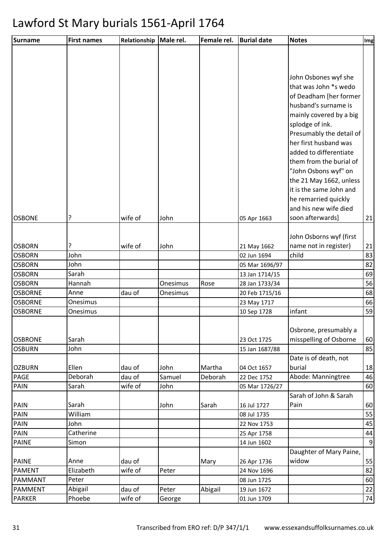| Surname        | <b>First names</b> | Relationship | Male rel. | Female rel. | <b>Burial date</b> | <b>Notes</b>                  | Img            |
|----------------|--------------------|--------------|-----------|-------------|--------------------|-------------------------------|----------------|
|                |                    |              |           |             |                    |                               |                |
|                |                    |              |           |             |                    |                               |                |
|                |                    |              |           |             |                    | John Osbones wyf she          |                |
|                |                    |              |           |             |                    | that was John *s wedo         |                |
|                |                    |              |           |             |                    | of Deadham [her former        |                |
|                |                    |              |           |             |                    | husband's surname is          |                |
|                |                    |              |           |             |                    | mainly covered by a big       |                |
|                |                    |              |           |             |                    | splodge of ink.               |                |
|                |                    |              |           |             |                    | Presumably the detail of      |                |
|                |                    |              |           |             |                    | her first husband was         |                |
|                |                    |              |           |             |                    | added to differentiate        |                |
|                |                    |              |           |             |                    | them from the burial of       |                |
|                |                    |              |           |             |                    | "John Osbons wyf" on          |                |
|                |                    |              |           |             |                    | the 21 May 1662, unless       |                |
|                |                    |              |           |             |                    | it is the same John and       |                |
|                |                    |              |           |             |                    | he remarried quickly          |                |
|                |                    |              |           |             |                    | and his new wife died         |                |
| <b>OSBONE</b>  | ç                  | wife of      | John      |             | 05 Apr 1663        | soon afterwards]              | 21             |
|                |                    |              |           |             |                    | John Osborns wyf (first       |                |
| <b>OSBORN</b>  | ?                  | wife of      | John      |             | 21 May 1662        | name not in register)         | 21             |
| <b>OSBORN</b>  | John               |              |           |             | 02 Jun 1694        | child                         | 83             |
| <b>OSBORN</b>  | John               |              |           |             | 05 Mar 1696/97     |                               | 82             |
| <b>OSBORN</b>  | Sarah              |              |           |             | 13 Jan 1714/15     |                               | 69             |
| <b>OSBORN</b>  | Hannah             |              | Onesimus  | Rose        | 28 Jan 1733/34     |                               | 56             |
| <b>OSBORNE</b> | Anne               | dau of       | Onesimus  |             | 20 Feb 1715/16     |                               | 68             |
| <b>OSBORNE</b> | Onesimus           |              |           |             | 23 May 1717        |                               | 66             |
| <b>OSBORNE</b> | Onesimus           |              |           |             | 10 Sep 1728        | infant                        | 59             |
|                |                    |              |           |             |                    |                               |                |
|                |                    |              |           |             |                    | Osbrone, presumably a         |                |
| <b>OSBRONE</b> | Sarah              |              |           |             | 23 Oct 1725        | misspelling of Osborne        | 60             |
| <b>OSBURN</b>  | John               |              |           |             | 15 Jan 1687/88     |                               | 85             |
|                |                    |              |           |             |                    | Date is of death, not         |                |
| <b>OZBURN</b>  | Ellen              | dau of       | John      | Martha      | 04 Oct 1657        | burial                        | 18             |
| PAGE           | Deborah            | dau of       | Samuel    | Deborah     | 22 Dec 1752        | Abode: Manningtree            | 46             |
| PAIN           | Sarah              | wife of      | John      |             | 05 Mar 1726/27     |                               | 60             |
| <b>PAIN</b>    | Sarah              |              | John      | Sarah       | 16 Jul 1727        | Sarah of John & Sarah<br>Pain | 60             |
| PAIN           | William            |              |           |             | 08 Jul 1735        |                               | 55             |
| PAIN           | John               |              |           |             | 22 Nov 1753        |                               | 45             |
| <b>PAIN</b>    | Catherine          |              |           |             | 25 Apr 1758        |                               | 44             |
| <b>PAINE</b>   | Simon              |              |           |             | 14 Jun 1602        |                               | $\overline{9}$ |
|                |                    |              |           |             |                    | Daughter of Mary Paine,       |                |
| <b>PAINE</b>   | Anne               | dau of       |           | Mary        | 26 Apr 1736        | widow                         | 55             |
| <b>PAMENT</b>  | Elizabeth          | wife of      | Peter     |             | 24 Nov 1696        |                               | 82             |
| PAMMANT        | Peter              |              |           |             | 08 Jun 1725        |                               | 60             |
| <b>PAMMENT</b> | Abigail            | dau of       | Peter     | Abigail     | 19 Jun 1672        |                               | 22             |
| <b>PARKER</b>  | Phoebe             | wife of      | George    |             | 01 Jun 1709        |                               | 74             |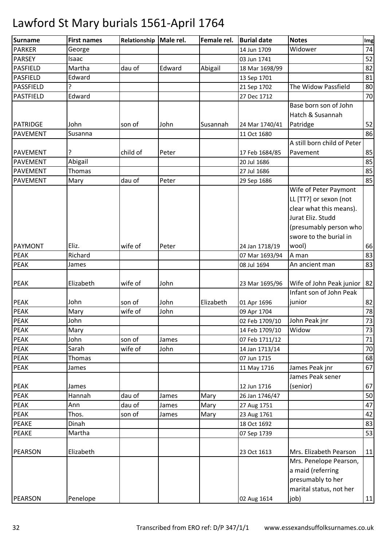| <b>Surname</b>   | <b>First names</b> | Relationship | Male rel. | Female rel. | <b>Burial date</b> | <b>Notes</b>                | Img |
|------------------|--------------------|--------------|-----------|-------------|--------------------|-----------------------------|-----|
| <b>PARKER</b>    | George             |              |           |             | 14 Jun 1709        | Widower                     | 74  |
| <b>PARSEY</b>    | Isaac              |              |           |             | 03 Jun 1741        |                             | 52  |
| <b>PASFIELD</b>  | Martha             | dau of       | Edward    | Abigail     | 18 Mar 1698/99     |                             | 82  |
| <b>PASFIELD</b>  | Edward             |              |           |             | 13 Sep 1701        |                             | 81  |
| PASSFIELD        | 7                  |              |           |             | 21 Sep 1702        | The Widow Passfield         | 80  |
| <b>PASTFIELD</b> | Edward             |              |           |             | 27 Dec 1712        |                             | 70  |
|                  |                    |              |           |             |                    | Base born son of John       |     |
|                  |                    |              |           |             |                    | Hatch & Susannah            |     |
| PATRIDGE         | John               | son of       | John      | Susannah    | 24 Mar 1740/41     | Patridge                    | 52  |
| PAVEMENT         | Susanna            |              |           |             | 11 Oct 1680        |                             | 86  |
|                  |                    |              |           |             |                    | A still born child of Peter |     |
| <b>PAVEMENT</b>  | ?                  | child of     | Peter     |             | 17 Feb 1684/85     | Pavement                    | 85  |
| <b>PAVEMENT</b>  | Abigail            |              |           |             | 20 Jul 1686        |                             | 85  |
| <b>PAVEMENT</b>  | Thomas             |              |           |             | 27 Jul 1686        |                             | 85  |
| PAVEMENT         | Mary               | dau of       | Peter     |             | 29 Sep 1686        |                             | 85  |
|                  |                    |              |           |             |                    | Wife of Peter Paymont       |     |
|                  |                    |              |           |             |                    | LL [TT?] or sexon (not      |     |
|                  |                    |              |           |             |                    | clear what this means).     |     |
|                  |                    |              |           |             |                    | Jurat Eliz. Studd           |     |
|                  |                    |              |           |             |                    | (presumably person who      |     |
|                  |                    |              |           |             |                    | swore to the burial in      |     |
| <b>PAYMONT</b>   | Eliz.              | wife of      | Peter     |             | 24 Jan 1718/19     | wool)                       | 66  |
| <b>PEAK</b>      | Richard            |              |           |             | 07 Mar 1693/94     | A man                       | 83  |
| <b>PEAK</b>      | James              |              |           |             | 08 Jul 1694        | An ancient man              | 83  |
|                  |                    |              |           |             |                    |                             |     |
| <b>PEAK</b>      | Elizabeth          | wife of      | John      |             | 23 Mar 1695/96     | Wife of John Peak junior    | 82  |
|                  |                    |              |           |             |                    | Infant son of John Peak     |     |
| <b>PEAK</b>      | John               | son of       | John      | Elizabeth   | 01 Apr 1696        | junior                      | 82  |
| <b>PEAK</b>      | Mary               | wife of      | John      |             | 09 Apr 1704        |                             | 78  |
| <b>PEAK</b>      | John               |              |           |             | 02 Feb 1709/10     | John Peak jnr               | 73  |
| <b>PEAK</b>      | Mary               |              |           |             | 14 Feb 1709/10     | Widow                       | 73  |
| <b>PEAK</b>      | John               | son of       | James     |             | 07 Feb 1711/12     |                             | 71  |
| <b>PEAK</b>      | Sarah              | wife of      | John      |             | 14 Jan 1713/14     |                             | 70  |
| PEAK             | Thomas             |              |           |             | 07 Jun 1715        |                             | 68  |
| PEAK             | James              |              |           |             | 11 May 1716        | James Peak jnr              | 67  |
|                  |                    |              |           |             |                    | James Peak sener            |     |
| <b>PEAK</b>      | James              |              |           |             | 12 Jun 1716        | (senior)                    | 67  |
| <b>PEAK</b>      | Hannah             | dau of       | James     | Mary        | 26 Jan 1746/47     |                             | 50  |
| <b>PEAK</b>      | Ann                | dau of       | James     | Mary        | 27 Aug 1751        |                             | 47  |
| <b>PEAK</b>      | Thos.              | son of       | James     | Mary        | 23 Aug 1761        |                             | 42  |
| <b>PEAKE</b>     | Dinah              |              |           |             | 18 Oct 1692        |                             | 83  |
| <b>PEAKE</b>     | Martha             |              |           |             | 07 Sep 1739        |                             | 53  |
|                  |                    |              |           |             |                    |                             |     |
| <b>PEARSON</b>   | Elizabeth          |              |           |             | 23 Oct 1613        | Mrs. Elizabeth Pearson      | 11  |
|                  |                    |              |           |             |                    | Mrs. Penelope Pearson,      |     |
|                  |                    |              |           |             |                    | a maid (referring           |     |
|                  |                    |              |           |             |                    | presumably to her           |     |
|                  |                    |              |           |             |                    | marital status, not her     |     |
| <b>PEARSON</b>   | Penelope           |              |           |             | 02 Aug 1614        | job)                        | 11  |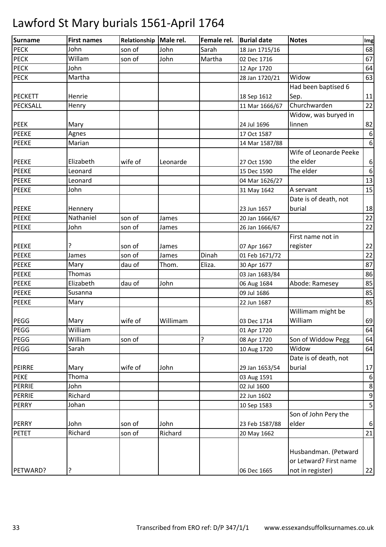| Surname        | <b>First names</b> | Relationship | Male rel. | Female rel. | <b>Burial date</b> | <b>Notes</b>                 | Img              |
|----------------|--------------------|--------------|-----------|-------------|--------------------|------------------------------|------------------|
| <b>PECK</b>    | John               | son of       | John      | Sarah       | 18 Jan 1715/16     |                              | 68               |
| <b>PECK</b>    | Willam             | son of       | John      | Martha      | 02 Dec 1716        |                              | 67               |
| <b>PECK</b>    | John               |              |           |             | 12 Apr 1720        |                              | 64               |
| <b>PECK</b>    | Martha             |              |           |             | 28 Jan 1720/21     | Widow                        | 63               |
|                |                    |              |           |             |                    | Had been baptised 6          |                  |
| <b>PECKETT</b> | Henrie             |              |           |             | 18 Sep 1612        | Sep.                         | 11               |
| PECKSALL       | Henry              |              |           |             | 11 Mar 1666/67     | Churchwarden                 | 22               |
|                |                    |              |           |             |                    | Widow, was buryed in         |                  |
| <b>PEEK</b>    | Mary               |              |           |             | 24 Jul 1696        | linnen                       | 82               |
| <b>PEEKE</b>   | Agnes              |              |           |             | 17 Oct 1587        |                              | $\boldsymbol{6}$ |
| <b>PEEKE</b>   | Marian             |              |           |             | 14 Mar 1587/88     |                              | 6                |
|                |                    |              |           |             |                    | Wife of Leonarde Peeke       |                  |
| <b>PEEKE</b>   | Elizabeth          | wife of      | Leonarde  |             | 27 Oct 1590        | the elder                    | $\boldsymbol{6}$ |
| <b>PEEKE</b>   | Leonard            |              |           |             | 15 Dec 1590        | The elder                    | $\boldsymbol{6}$ |
| <b>PEEKE</b>   | Leonard            |              |           |             | 04 Mar 1626/27     |                              | 13               |
| <b>PEEKE</b>   | John               |              |           |             | 31 May 1642        | A servant                    | 15               |
|                |                    |              |           |             |                    | Date is of death, not        |                  |
| <b>PEEKE</b>   | Hennery            |              |           |             | 23 Jun 1657        | burial                       | 18               |
| <b>PEEKE</b>   | Nathaniel          | son of       | James     |             | 20 Jan 1666/67     |                              | 22               |
| <b>PEEKE</b>   | John               | son of       | James     |             | 26 Jan 1666/67     |                              | 22               |
|                |                    |              |           |             |                    | First name not in            |                  |
| <b>PEEKE</b>   | ?                  | son of       | James     |             | 07 Apr 1667        | register                     | 22               |
| <b>PEEKE</b>   | James              | son of       | James     | Dinah       | 01 Feb 1671/72     |                              | 22               |
| <b>PEEKE</b>   | Mary               | dau of       | Thom.     | Eliza.      | 30 Apr 1677        |                              | 87               |
| <b>PEEKE</b>   | Thomas             |              |           |             | 03 Jan 1683/84     |                              | 86               |
| <b>PEEKE</b>   | Elizabeth          | dau of       | John      |             | 06 Aug 1684        | Abode: Ramesey               | 85               |
| <b>PEEKE</b>   | Susanna            |              |           |             | 09 Jul 1686        |                              | 85               |
| <b>PEEKE</b>   |                    |              |           |             |                    |                              | 85               |
|                | Mary               |              |           |             | 22 Jun 1687        |                              |                  |
|                |                    |              |           |             |                    | Willimam might be<br>William |                  |
| PEGG           | Mary               | wife of      | Willimam  |             | 03 Dec 1714        |                              | 69               |
| PEGG           | William            |              |           |             | 01 Apr 1720        |                              | 64               |
| PEGG           | William            | son of       |           | ?           | 08 Apr 1720        | Son of Widdow Pegg           | 64               |
| PEGG           | Sarah              |              |           |             | 10 Aug 1720        | Widow                        | 64               |
|                |                    |              |           |             |                    | Date is of death, not        |                  |
| <b>PEIRRE</b>  | Mary               | wife of      | John      |             | 29 Jan 1653/54     | burial                       | 17               |
| <b>PEKE</b>    | Thoma              |              |           |             | 03 Aug 1591        |                              | $\boldsymbol{6}$ |
| <b>PERRIE</b>  | John               |              |           |             | 02 Jul 1600        |                              | $\bf 8$          |
| <b>PERRIE</b>  | Richard            |              |           |             | 22 Jun 1602        |                              | $9\,$            |
| <b>PERRY</b>   | Johan              |              |           |             | 10 Sep 1583        |                              | 5                |
|                |                    |              |           |             |                    | Son of John Pery the         |                  |
| <b>PERRY</b>   | John               | son of       | John      |             | 23 Feb 1587/88     | elder                        | $\boldsymbol{6}$ |
| <b>PETET</b>   | Richard            | son of       | Richard   |             | 20 May 1662        |                              | 21               |
|                |                    |              |           |             |                    |                              |                  |
|                |                    |              |           |             |                    | Husbandman. (Petward         |                  |
|                |                    |              |           |             |                    | or Letward? First name       |                  |
| PETWARD?       | ?                  |              |           |             | 06 Dec 1665        | not in register)             | 22               |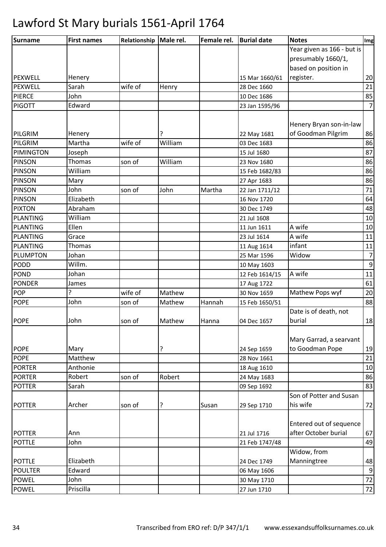| <b>Surname</b>  | <b>First names</b> | Relationship   Male rel. |         | Female rel. | <b>Burial date</b> | <b>Notes</b>               | Img              |
|-----------------|--------------------|--------------------------|---------|-------------|--------------------|----------------------------|------------------|
|                 |                    |                          |         |             |                    | Year given as 166 - but is |                  |
|                 |                    |                          |         |             |                    | presumably 1660/1,         |                  |
|                 |                    |                          |         |             |                    | based on position in       |                  |
| <b>PEXWELL</b>  | Henery             |                          |         |             | 15 Mar 1660/61     | register.                  | 20               |
| PEXWELL         | Sarah              | wife of                  | Henry   |             | 28 Dec 1660        |                            | 21               |
| <b>PIERCE</b>   | John               |                          |         |             | 10 Dec 1686        |                            | 85               |
| <b>PIGOTT</b>   | Edward             |                          |         |             | 23 Jan 1595/96     |                            | $\overline{7}$   |
|                 |                    |                          |         |             |                    |                            |                  |
|                 |                    |                          |         |             |                    | Henery Bryan son-in-law    |                  |
| PILGRIM         | Henery             |                          | ?       |             | 22 May 1681        | of Goodman Pilgrim         | 86               |
| PILGRIM         | Martha             | wife of                  | William |             | 03 Dec 1683        |                            | 86               |
| PIMINGTON       | Joseph             |                          |         |             | 15 Jul 1680        |                            | 87               |
| <b>PINSON</b>   | Thomas             | son of                   | William |             | 23 Nov 1680        |                            | 86               |
| <b>PINSON</b>   | William            |                          |         |             | 15 Feb 1682/83     |                            | 86               |
| <b>PINSON</b>   | Mary               |                          |         |             | 27 Apr 1683        |                            | 86               |
| <b>PINSON</b>   | John               | son of                   | John    | Martha      | 22 Jan 1711/12     |                            | 71               |
| <b>PINSON</b>   | Elizabeth          |                          |         |             | 16 Nov 1720        |                            | 64               |
| <b>PIXTON</b>   | Abraham            |                          |         |             | 30 Dec 1749        |                            | 48               |
| <b>PLANTING</b> | William            |                          |         |             | 21 Jul 1608        |                            | 10               |
| <b>PLANTING</b> | Ellen              |                          |         |             | 11 Jun 1611        | A wife                     | 10               |
| <b>PLANTING</b> | Grace              |                          |         |             | 23 Jul 1614        | A wife                     | 11               |
| <b>PLANTING</b> | Thomas             |                          |         |             | 11 Aug 1614        | infant                     | 11               |
| PLUMPTON        | Johan              |                          |         |             | 25 Mar 1596        | Widow                      | $\overline{7}$   |
| <b>PODD</b>     | Willm.             |                          |         |             | 10 May 1603        |                            | $\boldsymbol{9}$ |
| <b>POND</b>     | Johan              |                          |         |             | 12 Feb 1614/15     | A wife                     | $11\,$           |
| <b>PONDER</b>   | James              |                          |         |             | 17 Aug 1722        |                            | 61               |
| <b>POP</b>      | ?                  | wife of                  | Mathew  |             | 30 Nov 1659        | Mathew Pops wyf            | 20               |
| <b>POPE</b>     | John               | son of                   | Mathew  | Hannah      | 15 Feb 1650/51     |                            | 88               |
|                 |                    |                          |         |             |                    | Date is of death, not      |                  |
| <b>POPE</b>     | John               | son of                   | Mathew  | Hanna       | 04 Dec 1657        | burial                     | 18               |
|                 |                    |                          |         |             |                    |                            |                  |
|                 |                    |                          |         |             |                    | Mary Garrad, a searvant    |                  |
| <b>POPE</b>     | Mary               |                          | ŗ       |             | 24 Sep 1659        | to Goodman Pope            | 19               |
| <b>POPE</b>     | Matthew            |                          |         |             | 28 Nov 1661        |                            | 21               |
| <b>PORTER</b>   | Anthonie           |                          |         |             | 18 Aug 1610        |                            | 10               |
| <b>PORTER</b>   | Robert             | son of                   | Robert  |             | 24 May 1683        |                            | 86               |
| <b>POTTER</b>   | Sarah              |                          |         |             | 09 Sep 1692        |                            | 83               |
|                 |                    |                          |         |             |                    | Son of Potter and Susan    |                  |
| <b>POTTER</b>   | Archer             | son of                   | ?       | Susan       | 29 Sep 1710        | his wife                   | 72               |
|                 |                    |                          |         |             |                    |                            |                  |
|                 |                    |                          |         |             |                    | Entered out of sequence    |                  |
| <b>POTTER</b>   | Ann                |                          |         |             | 21 Jul 1716        | after October burial       | 67               |
| <b>POTTLE</b>   | John               |                          |         |             | 21 Feb 1747/48     |                            | 49               |
|                 |                    |                          |         |             |                    | Widow, from                |                  |
| <b>POTTLE</b>   | Elizabeth          |                          |         |             | 24 Dec 1749        | Manningtree                | 48               |
| <b>POULTER</b>  | Edward             |                          |         |             | 06 May 1606        |                            | $\boldsymbol{9}$ |
| <b>POWEL</b>    | John               |                          |         |             | 30 May 1710        |                            | 72               |
| <b>POWEL</b>    | Priscilla          |                          |         |             | 27 Jun 1710        |                            | 72               |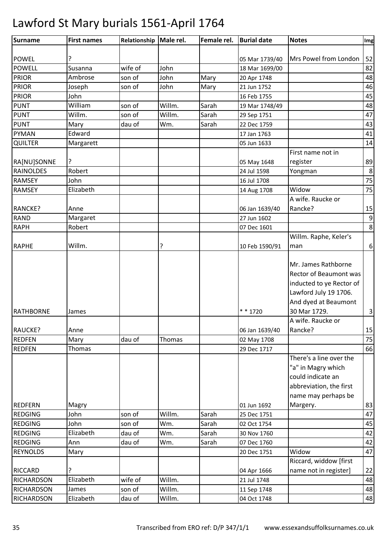| Surname           | <b>First names</b> | Relationship   Male rel. |        | Female rel. | <b>Burial date</b> | <b>Notes</b>                                  | Img                     |
|-------------------|--------------------|--------------------------|--------|-------------|--------------------|-----------------------------------------------|-------------------------|
| <b>POWEL</b>      | ?                  |                          |        |             | 05 Mar 1739/40     | Mrs Powel from London                         | 52                      |
| <b>POWELL</b>     | Susanna            | wife of                  | John   |             | 18 Mar 1699/00     |                                               | 82                      |
| <b>PRIOR</b>      | Ambrose            | son of                   | John   | Mary        | 20 Apr 1748        |                                               | 48                      |
| <b>PRIOR</b>      | Joseph             | son of                   | John   | Mary        | 21 Jun 1752        |                                               | 46                      |
| <b>PRIOR</b>      | John               |                          |        |             | 16 Feb 1755        |                                               | 45                      |
| <b>PUNT</b>       | William            | son of                   | Willm. | Sarah       | 19 Mar 1748/49     |                                               | 48                      |
| <b>PUNT</b>       | Willm.             | son of                   | Willm. | Sarah       | 29 Sep 1751        |                                               | 47                      |
| <b>PUNT</b>       | Mary               | dau of                   | Wm.    | Sarah       | 22 Dec 1759        |                                               | 43                      |
| <b>PYMAN</b>      | Edward             |                          |        |             | 17 Jan 1763        |                                               | 41                      |
|                   |                    |                          |        |             |                    |                                               | 14                      |
| <b>QUILTER</b>    | Margarett          |                          |        |             | 05 Jun 1633        |                                               |                         |
|                   |                    |                          |        |             |                    | First name not in                             |                         |
| RA[NU]SONNE       | ?                  |                          |        |             | 05 May 1648        | register                                      | 89                      |
| <b>RAINOLDES</b>  | Robert             |                          |        |             | 24 Jul 1598        | Yongman                                       | $\,8\,$                 |
| <b>RAMSEY</b>     | John               |                          |        |             | 16 Jul 1708        |                                               | 75                      |
| <b>RAMSEY</b>     | Elizabeth          |                          |        |             | 14 Aug 1708        | Widow                                         | 75                      |
|                   |                    |                          |        |             |                    | A wife. Raucke or                             |                         |
| RANCKE?           | Anne               |                          |        |             | 06 Jan 1639/40     | Rancke?                                       | 15                      |
| <b>RAND</b>       | Margaret           |                          |        |             | 27 Jun 1602        |                                               | $\boldsymbol{9}$        |
| <b>RAPH</b>       | Robert             |                          |        |             | 07 Dec 1601        |                                               | 8                       |
|                   |                    |                          |        |             |                    | Willm. Raphe, Keler's                         |                         |
| <b>RAPHE</b>      | Willm.             |                          | ?      |             | 10 Feb 1590/91     | man                                           | $\boldsymbol{6}$        |
|                   |                    |                          |        |             |                    | Mr. James Rathborne<br>Rector of Beaumont was |                         |
|                   |                    |                          |        |             |                    | inducted to ye Rector of                      |                         |
|                   |                    |                          |        |             |                    | Lawford July 19 1706.                         |                         |
|                   |                    |                          |        |             |                    | And dyed at Beaumont                          |                         |
| <b>RATHBORNE</b>  | James              |                          |        |             | $* * 1720$         | 30 Mar 1729.                                  | $\overline{\mathbf{3}}$ |
|                   |                    |                          |        |             |                    | A wife. Raucke or                             |                         |
| RAUCKE?           | Anne               |                          |        |             | 06 Jan 1639/40     | Rancke?                                       | 15                      |
| <b>REDFEN</b>     | Mary               | dau of                   | Thomas |             | 02 May 1708        |                                               | 75                      |
| <b>REDFEN</b>     | Thomas             |                          |        |             | 29 Dec 1717        |                                               | 66                      |
|                   |                    |                          |        |             |                    | There's a line over the                       |                         |
|                   |                    |                          |        |             |                    | "a" in Magry which                            |                         |
|                   |                    |                          |        |             |                    | could indicate an                             |                         |
|                   |                    |                          |        |             |                    | abbreviation, the first                       |                         |
|                   |                    |                          |        |             |                    | name may perhaps be                           |                         |
| <b>REDFERN</b>    | Magry              |                          |        |             | 01 Jun 1692        | Margery.                                      | 83                      |
| <b>REDGING</b>    | John               | son of                   | Willm. | Sarah       | 25 Dec 1751        |                                               | 47                      |
| <b>REDGING</b>    | John               | son of                   | Wm.    | Sarah       | 02 Oct 1754        |                                               | 45                      |
| <b>REDGING</b>    | Elizabeth          | dau of                   | Wm.    | Sarah       | 30 Nov 1760        |                                               | 42                      |
| <b>REDGING</b>    | Ann                | dau of                   | Wm.    | Sarah       | 07 Dec 1760        |                                               | 42                      |
| <b>REYNOLDS</b>   | Mary               |                          |        |             | 20 Dec 1751        | Widow                                         | 47                      |
|                   |                    |                          |        |             |                    | Riccard, widdow [first                        |                         |
| <b>RICCARD</b>    | ?                  |                          |        |             | 04 Apr 1666        | name not in register]                         | 22                      |
| <b>RICHARDSON</b> | Elizabeth          | wife of                  | Willm. |             | 21 Jul 1748        |                                               | 48                      |
| <b>RICHARDSON</b> | James              | son of                   | Willm. |             | 11 Sep 1748        |                                               | 48                      |
| <b>RICHARDSON</b> | Elizabeth          | dau of                   | Willm. |             | 04 Oct 1748        |                                               | 48                      |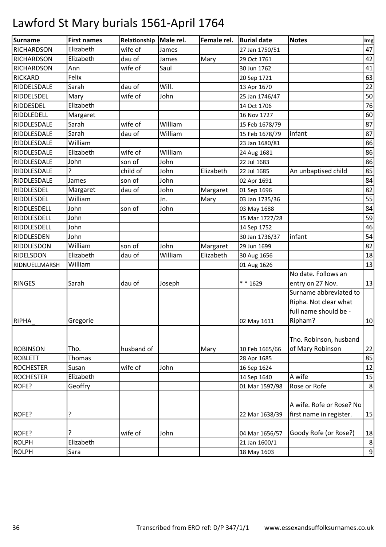| <b>Surname</b>    | <b>First names</b>    | Relationship | Male rel. | Female rel. | <b>Burial date</b>         | <b>Notes</b>                                   | Img            |
|-------------------|-----------------------|--------------|-----------|-------------|----------------------------|------------------------------------------------|----------------|
| <b>RICHARDSON</b> | Elizabeth             | wife of      | James     |             | 27 Jan 1750/51             |                                                | 47             |
| <b>RICHARDSON</b> | Elizabeth             | dau of       | James     | Mary        | 29 Oct 1761                |                                                | 42             |
| <b>RICHARDSON</b> | Ann                   | wife of      | Saul      |             | 30 Jun 1762                |                                                | 41             |
| <b>RICKARD</b>    | Felix                 |              |           |             | 20 Sep 1721                |                                                | 63             |
| RIDDELSDALE       | Sarah                 | dau of       | Will.     |             | 13 Apr 1670                |                                                | 22             |
| RIDDELSDEL        | Mary                  | wife of      | John      |             | 25 Jan 1746/47             |                                                | 50             |
| <b>RIDDESDEL</b>  | Elizabeth             |              |           |             | 14 Oct 1706                |                                                | 76             |
| RIDDLEDELL        | Margaret              |              |           |             | 16 Nov 1727                |                                                | 60             |
| RIDDLESDALE       | Sarah                 | wife of      | William   |             | 15 Feb 1678/79             |                                                | 87             |
| RIDDLESDALE       | Sarah                 | dau of       | William   |             | 15 Feb 1678/79             | infant                                         | 87             |
| RIDDLESDALE       | William               |              |           |             | 23 Jan 1680/81             |                                                | 86             |
| RIDDLESDALE       | Elizabeth             | wife of      | William   |             | 24 Aug 1681                |                                                | 86             |
| RIDDLESDALE       | John                  | son of       | John      |             | 22 Jul 1683                |                                                | 86             |
| RIDDLESDALE       |                       | child of     | John      | Elizabeth   | 22 Jul 1685                | An unbaptised child                            | 85             |
| RIDDLESDALE       | James                 | son of       | John      |             | 02 Apr 1691                |                                                | 84             |
| <b>RIDDLESDEL</b> | Margaret              | dau of       | John      | Margaret    | 01 Sep 1696                |                                                | 82             |
| RIDDLESDEL        | William               |              | Jn.       | Mary        | 03 Jan 1735/36             |                                                | 55             |
| RIDDLESDELL       | John                  | son of       | John      |             | 03 May 1688                |                                                | 84             |
| RIDDLESDELL       | John                  |              |           |             | 15 Mar 1727/28             |                                                | 59             |
| RIDDLESDELL       | John                  |              |           |             | 14 Sep 1752                |                                                | 46             |
| RIDDLESDEN        | John                  |              |           |             | 30 Jan 1736/37             | infant                                         | 54             |
| <b>RIDDLESDON</b> | William               | son of       | John      | Margaret    | 29 Jun 1699                |                                                | 82             |
| <b>RIDELSDON</b>  | Elizabeth             | dau of       | William   | Elizabeth   | 30 Aug 1656                |                                                | 18             |
| RIDNUELLMARSH     | William               |              |           |             | 01 Aug 1626                |                                                | 13             |
|                   |                       |              |           |             |                            | No date. Follows an                            |                |
| <b>RINGES</b>     | Sarah                 | dau of       | Joseph    |             | $* * 1629$                 | entry on 27 Nov.                               | 13             |
|                   |                       |              |           |             |                            | Surname abbreviated to                         |                |
|                   |                       |              |           |             |                            | Ripha. Not clear what<br>full name should be - |                |
|                   |                       |              |           |             |                            |                                                |                |
| <b>RIPHA</b>      | Gregorie              |              |           |             | 02 May 1611                | Ripham?                                        | 10             |
|                   |                       |              |           |             |                            | Tho. Robinson, husband                         |                |
| <b>ROBINSON</b>   |                       | husband of   |           |             |                            | of Mary Robinson                               |                |
| <b>ROBLETT</b>    | Tho.<br><b>Thomas</b> |              |           | Mary        | 10 Feb 1665/66             |                                                | 22<br>85       |
| <b>ROCHESTER</b>  | Susan                 | wife of      | John      |             | 28 Apr 1685<br>16 Sep 1624 |                                                | 12             |
| <b>ROCHESTER</b>  | Elizabeth             |              |           |             | 14 Sep 1640                | A wife                                         | 15             |
| ROFE?             | Geoffry               |              |           |             | 01 Mar 1597/98             | Rose or Rofe                                   | $\,8\,$        |
|                   |                       |              |           |             |                            |                                                |                |
|                   |                       |              |           |             |                            | A wife. Rofe or Rose? No                       |                |
|                   |                       |              |           |             |                            |                                                |                |
| ROFE?             | ?                     |              |           |             | 22 Mar 1638/39             | first name in register.                        | 15             |
|                   |                       |              |           |             |                            |                                                |                |
| ROFE?             |                       | wife of      | John      |             | 04 Mar 1656/57             | Goody Rofe (or Rose?)                          | 18             |
| <b>ROLPH</b>      | Elizabeth             |              |           |             | 21 Jan 1600/1              |                                                | $\bf 8$        |
| <b>ROLPH</b>      | Sara                  |              |           |             | 18 May 1603                |                                                | $\overline{9}$ |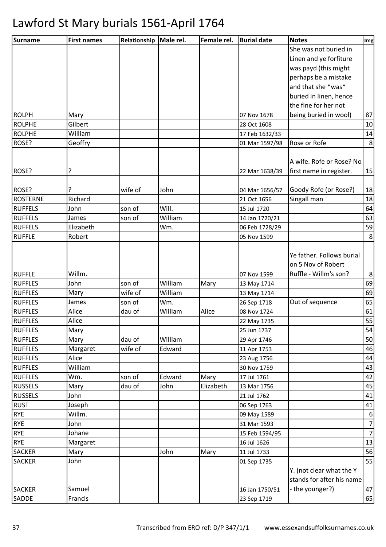| Surname         | <b>First names</b> | Relationship | Male rel. | Female rel. | <b>Burial date</b> | <b>Notes</b>              | Img              |
|-----------------|--------------------|--------------|-----------|-------------|--------------------|---------------------------|------------------|
|                 |                    |              |           |             |                    | She was not buried in     |                  |
|                 |                    |              |           |             |                    | Linen and ye forfiture    |                  |
|                 |                    |              |           |             |                    | was payd (this might      |                  |
|                 |                    |              |           |             |                    | perhaps be a mistake      |                  |
|                 |                    |              |           |             |                    | and that she *was*        |                  |
|                 |                    |              |           |             |                    | buried in linen, hence    |                  |
|                 |                    |              |           |             |                    | the fine for her not      |                  |
| <b>ROLPH</b>    | Mary               |              |           |             | 07 Nov 1678        | being buried in wool)     | 87               |
| <b>ROLPHE</b>   | Gilbert            |              |           |             | 28 Oct 1608        |                           | 10               |
| <b>ROLPHE</b>   | William            |              |           |             | 17 Feb 1632/33     |                           | 14               |
| ROSE?           | Geoffry            |              |           |             | 01 Mar 1597/98     | Rose or Rofe              | 8                |
|                 |                    |              |           |             |                    |                           |                  |
|                 |                    |              |           |             |                    | A wife. Rofe or Rose? No  |                  |
| ROSE?           | ?                  |              |           |             | 22 Mar 1638/39     | first name in register.   | 15               |
| ROSE?           |                    | wife of      | John      |             | 04 Mar 1656/57     | Goody Rofe (or Rose?)     | 18               |
| <b>ROSTERNE</b> | Richard            |              |           |             | 21 Oct 1656        | Singall man               | 18               |
| <b>RUFFELS</b>  | John               | son of       | Will.     |             | 15 Jul 1720        |                           | 64               |
| <b>RUFFELS</b>  | James              | son of       | William   |             | 14 Jan 1720/21     |                           | 63               |
| <b>RUFFELS</b>  | Elizabeth          |              | Wm.       |             | 06 Feb 1728/29     |                           | 59               |
| <b>RUFFLE</b>   | Robert             |              |           |             | 05 Nov 1599        |                           | 8 <sup>°</sup>   |
|                 |                    |              |           |             |                    |                           |                  |
|                 |                    |              |           |             |                    | Ye father. Follows burial |                  |
|                 |                    |              |           |             |                    | on 5 Nov of Robert        |                  |
| <b>RUFFLE</b>   | Willm.             |              |           |             | 07 Nov 1599        | Ruffle - Willm's son?     | 8 <sup>1</sup>   |
| <b>RUFFLES</b>  | John               | son of       | William   | Mary        | 13 May 1714        |                           | 69               |
| <b>RUFFLES</b>  | Mary               | wife of      | William   |             | 13 May 1714        |                           | 69               |
| <b>RUFFLES</b>  | James              | son of       | Wm.       |             | 26 Sep 1718        | Out of sequence           | 65               |
| <b>RUFFLES</b>  | Alice              | dau of       | William   | Alice       | 08 Nov 1724        |                           | 61               |
| <b>RUFFLES</b>  | Alice              |              |           |             | 22 May 1735        |                           | 55               |
| <b>RUFFLES</b>  | Mary               |              |           |             | 25 Jun 1737        |                           | 54               |
| <b>RUFFLES</b>  | Mary               | dau of       | William   |             | 29 Apr 1746        |                           | 50               |
| <b>RUFFLES</b>  | Margaret           | wife of      | Edward    |             | 11 Apr 1753        |                           | 46               |
| <b>RUFFLES</b>  | Alice              |              |           |             | 23 Aug 1756        |                           | 44               |
| <b>RUFFLES</b>  | William            |              |           |             | 30 Nov 1759        |                           | 43               |
| <b>RUFFLES</b>  | Wm.                | son of       | Edward    | Mary        | 17 Jul 1761        |                           | 42               |
| <b>RUSSELS</b>  | Mary               | dau of       | John      | Elizabeth   | 13 Mar 1756        |                           | 45               |
| <b>RUSSELS</b>  | John               |              |           |             | 21 Jul 1762        |                           | 41               |
| <b>RUST</b>     | Joseph             |              |           |             | 06 Sep 1763        |                           | 41               |
| <b>RYE</b>      | Willm.             |              |           |             | 09 May 1589        |                           | $6 \overline{6}$ |
| <b>RYE</b>      | John               |              |           |             | 31 Mar 1593        |                           | 7                |
| <b>RYE</b>      | Johane             |              |           |             | 15 Feb 1594/95     |                           | 7                |
| <b>RYE</b>      | Margaret           |              |           |             | 16 Jul 1626        |                           | 13               |
| <b>SACKER</b>   | Mary               |              | John      | Mary        | 11 Jul 1733        |                           | 56               |
| <b>SACKER</b>   | John               |              |           |             | 01 Sep 1735        |                           | 55               |
|                 |                    |              |           |             |                    | Y. (not clear what the Y  |                  |
|                 |                    |              |           |             |                    | stands for after his name |                  |
| <b>SACKER</b>   | Samuel             |              |           |             | 16 Jan 1750/51     | - the younger?)           | 47               |
| SADDE           | Francis            |              |           |             | 23 Sep 1719        |                           | 65               |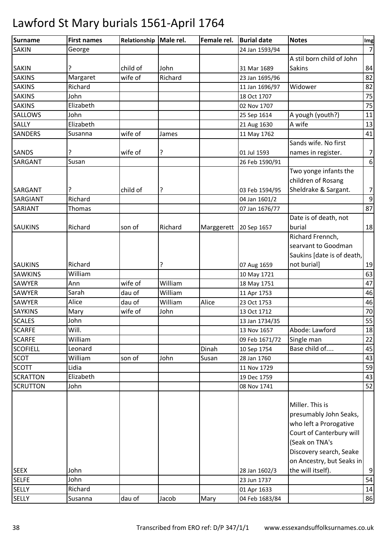| <b>Surname</b>  | <b>First names</b> | Relationship   Male rel. |         | Female rel. | <b>Burial date</b> | <b>Notes</b>               | Img              |
|-----------------|--------------------|--------------------------|---------|-------------|--------------------|----------------------------|------------------|
| <b>SAKIN</b>    | George             |                          |         |             | 24 Jan 1593/94     |                            | $\overline{7}$   |
|                 |                    |                          |         |             |                    | A stil born child of John  |                  |
| <b>SAKIN</b>    | ?                  | child of                 | John    |             | 31 Mar 1689        | <b>Sakins</b>              | 84               |
| <b>SAKINS</b>   | Margaret           | wife of                  | Richard |             | 23 Jan 1695/96     |                            | 82               |
| <b>SAKINS</b>   | Richard            |                          |         |             | 11 Jan 1696/97     | Widower                    | 82               |
| <b>SAKINS</b>   | John               |                          |         |             | 18 Oct 1707        |                            | 75               |
| <b>SAKINS</b>   | Elizabeth          |                          |         |             | 02 Nov 1707        |                            | 75               |
| <b>SALLOWS</b>  | John               |                          |         |             | 25 Sep 1614        | A yough (youth?)           | 11               |
| <b>SALLY</b>    | Elizabeth          |                          |         |             | 21 Aug 1630        | A wife                     | 13               |
| <b>SANDERS</b>  | Susanna            | wife of                  | James   |             | 11 May 1762        |                            | 41               |
|                 |                    |                          |         |             |                    | Sands wife. No first       |                  |
| <b>SANDS</b>    |                    | wife of                  | ?       |             | 01 Jul 1593        | names in register.         | $\overline{7}$   |
| SARGANT         | Susan              |                          |         |             | 26 Feb 1590/91     |                            | 6                |
|                 |                    |                          |         |             |                    | Two yonge infants the      |                  |
|                 |                    |                          |         |             |                    | children of Rosang         |                  |
| <b>SARGANT</b>  | ?                  | child of                 | ?       |             | 03 Feb 1594/95     | Sheldrake & Sargant.       | $\overline{7}$   |
| SARGIANT        | Richard            |                          |         |             | 04 Jan 1601/2      |                            | $\boldsymbol{9}$ |
| SARIANT         | Thomas             |                          |         |             | 07 Jan 1676/77     |                            | 87               |
|                 |                    |                          |         |             |                    | Date is of death, not      |                  |
| <b>SAUKINS</b>  | Richard            | son of                   | Richard | Marggerett  | 20 Sep 1657        | burial                     | 18               |
|                 |                    |                          |         |             |                    | Richard Frennch,           |                  |
|                 |                    |                          |         |             |                    | searvant to Goodman        |                  |
|                 |                    |                          |         |             |                    | Saukins [date is of death, |                  |
| <b>SAUKINS</b>  | Richard            |                          | ?       |             | 07 Aug 1659        | not burial]                | 19               |
| <b>SAWKINS</b>  | William            |                          |         |             | 10 May 1721        |                            | 63               |
| <b>SAWYER</b>   | Ann                | wife of                  | William |             | 18 May 1751        |                            | 47               |
| <b>SAWYER</b>   | Sarah              | dau of                   | William |             | 11 Apr 1753        |                            | 46               |
| <b>SAWYER</b>   | Alice              | dau of                   | William | Alice       | 23 Oct 1753        |                            | 46               |
| <b>SAYKINS</b>  | Mary               | wife of                  | John    |             | 13 Oct 1712        |                            | 70               |
| <b>SCALES</b>   | John               |                          |         |             | 13 Jan 1734/35     |                            | 55               |
| <b>SCARFE</b>   | Will.              |                          |         |             | 13 Nov 1657        | Abode: Lawford             | 18               |
| <b>SCARFE</b>   | William            |                          |         |             | 09 Feb 1671/72     | Single man                 | 22               |
| <b>SCOFIELL</b> | Leonard            |                          |         | Dinah       | 10 Sep 1754        | Base child of              | 45               |
| <b>SCOT</b>     | William            | son of                   | John    | Susan       | 28 Jan 1760        |                            | 43               |
| <b>SCOTT</b>    | Lidia              |                          |         |             | 11 Nov 1729        |                            | 59               |
| <b>SCRATTON</b> | Elizabeth          |                          |         |             | 19 Dec 1759        |                            | 43               |
| <b>SCRUTTON</b> | John               |                          |         |             | 08 Nov 1741        |                            | 52               |
|                 |                    |                          |         |             |                    | Miller. This is            |                  |
|                 |                    |                          |         |             |                    | presumably John Seaks,     |                  |
|                 |                    |                          |         |             |                    | who left a Prorogative     |                  |
|                 |                    |                          |         |             |                    | Court of Canterbury will   |                  |
|                 |                    |                          |         |             |                    | (Seak on TNA's             |                  |
|                 |                    |                          |         |             |                    | Discovery search, Seake    |                  |
|                 |                    |                          |         |             |                    | on Ancestry, but Seaks in  |                  |
| <b>SEEX</b>     | John               |                          |         |             | 28 Jan 1602/3      | the will itself).          | 9                |
| <b>SELFE</b>    | John               |                          |         |             | 23 Jun 1737        |                            | 54               |
| <b>SELLY</b>    | Richard            |                          |         |             | 01 Apr 1633        |                            | 14               |
| <b>SELLY</b>    | Susanna            | dau of                   | Jacob   | Mary        | 04 Feb 1683/84     |                            | 86               |
|                 |                    |                          |         |             |                    |                            |                  |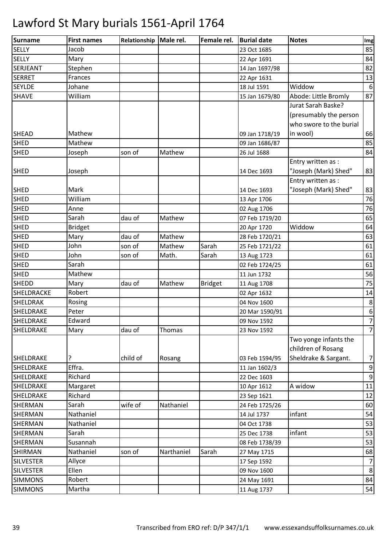| Surname          | <b>First names</b> | Relationship   Male rel. |               | Female rel.    | <b>Burial date</b> | <b>Notes</b>            | Img             |
|------------------|--------------------|--------------------------|---------------|----------------|--------------------|-------------------------|-----------------|
| <b>SELLY</b>     | Jacob              |                          |               |                | 23 Oct 1685        |                         | 85              |
| <b>SELLY</b>     | Mary               |                          |               |                | 22 Apr 1691        |                         | 84              |
| <b>SERJEANT</b>  | Stephen            |                          |               |                | 14 Jan 1697/98     |                         | 82              |
| <b>SERRET</b>    | Frances            |                          |               |                | 22 Apr 1631        |                         | 13              |
| <b>SEYLDE</b>    | Johane             |                          |               |                | 18 Jul 1591        | Widdow                  | $6\phantom{1}6$ |
| <b>SHAVE</b>     | William            |                          |               |                | 15 Jan 1679/80     | Abode: Little Bromly    | 87              |
|                  |                    |                          |               |                |                    | Jurat Sarah Baske?      |                 |
|                  |                    |                          |               |                |                    | (presumably the person  |                 |
|                  |                    |                          |               |                |                    | who swore to the burial |                 |
| <b>SHEAD</b>     | Mathew             |                          |               |                | 09 Jan 1718/19     | in wool)                | 66              |
| <b>SHED</b>      | Mathew             |                          |               |                | 09 Jan 1686/87     |                         | 85              |
| <b>SHED</b>      | Joseph             | son of                   | Mathew        |                | 26 Jul 1688        |                         | 84              |
|                  |                    |                          |               |                |                    | Entry written as :      |                 |
| <b>SHED</b>      | Joseph             |                          |               |                | 14 Dec 1693        | "Joseph (Mark) Shed"    | 83              |
|                  |                    |                          |               |                |                    | Entry written as :      |                 |
| <b>SHED</b>      | Mark               |                          |               |                | 14 Dec 1693        | "Joseph (Mark) Shed"    | 83              |
| <b>SHED</b>      | William            |                          |               |                | 13 Apr 1706        |                         | 76              |
| <b>SHED</b>      | Anne               |                          |               |                | 02 Aug 1706        |                         | 76              |
| <b>SHED</b>      | Sarah              | dau of                   | Mathew        |                | 07 Feb 1719/20     |                         | 65              |
| <b>SHED</b>      | <b>Bridget</b>     |                          |               |                | 20 Apr 1720        | Widdow                  | 64              |
| <b>SHED</b>      | Mary               | dau of                   | Mathew        |                | 28 Feb 1720/21     |                         | 63              |
| <b>SHED</b>      | John               | son of                   | Mathew        | Sarah          | 25 Feb 1721/22     |                         | 61              |
| <b>SHED</b>      | John               | son of                   | Math.         | Sarah          | 13 Aug 1723        |                         | 61              |
| SHED             | Sarah              |                          |               |                | 02 Feb 1724/25     |                         | 61              |
| <b>SHED</b>      | Mathew             |                          |               |                | 11 Jun 1732        |                         | 56              |
| <b>SHEDD</b>     | Mary               | dau of                   | Mathew        | <b>Bridget</b> | 11 Aug 1708        |                         | 75              |
| SHELDRACKE       | Robert             |                          |               |                | 02 Apr 1632        |                         | 14              |
| <b>SHELDRAK</b>  | Rosing             |                          |               |                | 04 Nov 1600        |                         | 8               |
| <b>SHELDRAKE</b> | Peter              |                          |               |                | 20 Mar 1590/91     |                         | $6\phantom{1}6$ |
| SHELDRAKE        | Edward             |                          |               |                | 09 Nov 1592        |                         | $\overline{7}$  |
| SHELDRAKE        | Mary               | dau of                   | <b>Thomas</b> |                | 23 Nov 1592        |                         | $\overline{7}$  |
|                  |                    |                          |               |                |                    | Two yonge infants the   |                 |
|                  |                    |                          |               |                |                    | children of Rosang      |                 |
| SHELDRAKE        | ?                  | child of                 | Rosang        |                | 03 Feb 1594/95     | Sheldrake & Sargant.    | $\overline{7}$  |
| SHELDRAKE        | Effra.             |                          |               |                | 11 Jan 1602/3      |                         | $9\,$           |
| <b>SHELDRAKE</b> | Richard            |                          |               |                | 22 Dec 1603        |                         | 9               |
| SHELDRAKE        | Margaret           |                          |               |                | 10 Apr 1612        | A widow                 | 11              |
| SHELDRAKE        | Richard            |                          |               |                | 23 Sep 1621        |                         | 12              |
| SHERMAN          | Sarah              | wife of                  | Nathaniel     |                | 24 Feb 1725/26     |                         | 60              |
| SHERMAN          | Nathaniel          |                          |               |                | 14 Jul 1737        | infant                  | 54              |
| SHERMAN          | Nathaniel          |                          |               |                | 04 Oct 1738        |                         | 53              |
| SHERMAN          | Sarah              |                          |               |                | 25 Dec 1738        | infant                  | 53              |
| SHERMAN          | Susannah           |                          |               |                | 08 Feb 1738/39     |                         | 53              |
| <b>SHIRMAN</b>   | Nathaniel          | son of                   | Narthaniel    | Sarah          | 27 May 1715        |                         | 68              |
| <b>SILVESTER</b> | Allyce             |                          |               |                | 17 Sep 1592        |                         | $\overline{7}$  |
| <b>SILVESTER</b> | Ellen              |                          |               |                | 09 Nov 1600        |                         | 8               |
| <b>SIMMONS</b>   | Robert             |                          |               |                | 24 May 1691        |                         | 84              |
| <b>SIMMONS</b>   | Martha             |                          |               |                | 11 Aug 1737        |                         | 54              |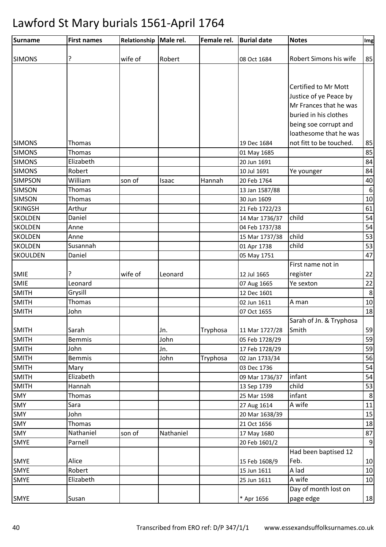| Surname                      | <b>First names</b>     | Relationship Male rel. |             | Female rel. | <b>Burial date</b>            | <b>Notes</b>            | Img              |
|------------------------------|------------------------|------------------------|-------------|-------------|-------------------------------|-------------------------|------------------|
| <b>SIMONS</b>                | ?                      | wife of                | Robert      |             | 08 Oct 1684                   | Robert Simons his wife  | 85               |
|                              |                        |                        |             |             |                               |                         |                  |
|                              |                        |                        |             |             |                               |                         |                  |
|                              |                        |                        |             |             |                               | Certified to Mr Mott    |                  |
|                              |                        |                        |             |             |                               | Justice of ye Peace by  |                  |
|                              |                        |                        |             |             |                               | Mr Frances that he was  |                  |
|                              |                        |                        |             |             |                               | buried in his clothes   |                  |
|                              |                        |                        |             |             |                               | being soe corrupt and   |                  |
|                              |                        |                        |             |             |                               | loathesome that he was  |                  |
| <b>SIMONS</b>                | Thomas                 |                        |             |             | 19 Dec 1684                   | not fitt to be touched. | 85               |
| <b>SIMONS</b>                | Thomas                 |                        |             |             | 01 May 1685                   |                         | 85               |
| <b>SIMONS</b>                | Elizabeth              |                        |             |             | 20 Jun 1691                   |                         | 84               |
| <b>SIMONS</b>                | Robert                 |                        |             |             | 10 Jul 1691                   | Ye younger              | 84               |
| <b>SIMPSON</b>               | William                | son of                 | Isaac       | Hannah      | 20 Feb 1764                   |                         | 40               |
| <b>SIMSON</b>                | <b>Thomas</b>          |                        |             |             | 13 Jan 1587/88                |                         | $\boldsymbol{6}$ |
| <b>SIMSON</b>                | Thomas                 |                        |             |             | 30 Jun 1609                   |                         | $10\,$           |
| <b>SKINGSH</b>               | Arthur                 |                        |             |             | 21 Feb 1722/23                |                         | 61               |
| <b>SKOLDEN</b>               | Daniel                 |                        |             |             | 14 Mar 1736/37                | child                   | 54               |
| <b>SKOLDEN</b>               | Anne                   |                        |             |             | 04 Feb 1737/38                |                         | 54               |
| <b>SKOLDEN</b>               | Anne                   |                        |             |             | 15 Mar 1737/38                | child                   | 53               |
| <b>SKOLDEN</b>               | Susannah               |                        |             |             | 01 Apr 1738                   | child                   | 53               |
| <b>SKOULDEN</b>              | Daniel                 |                        |             |             | 05 May 1751                   |                         | 47               |
|                              |                        |                        |             |             |                               | First name not in       |                  |
| <b>SMIE</b>                  | ?                      | wife of                | Leonard     |             | 12 Jul 1665                   | register                | 22               |
| SMIE                         | Leonard                |                        |             |             | 07 Aug 1665                   | Ye sexton               | 22               |
| <b>SMITH</b>                 | Grysill                |                        |             |             | 12 Dec 1601                   |                         | $\bf 8$          |
| <b>SMITH</b>                 | <b>Thomas</b>          |                        |             |             | 02 Jun 1611                   | A man                   | 10               |
| <b>SMITH</b>                 | John                   |                        |             |             | 07 Oct 1655                   |                         | 18               |
|                              |                        |                        |             |             |                               | Sarah of Jn. & Tryphosa |                  |
| <b>SMITH</b>                 | Sarah<br><b>Bemmis</b> |                        | Jn.<br>John | Tryphosa    | 11 Mar 1727/28                | Smith                   | 59               |
| <b>SMITH</b><br><b>SMITH</b> | John                   |                        | Jn.         |             | 05 Feb 1728/29                |                         | 59               |
|                              | <b>Bemmis</b>          |                        | John        |             | 17 Feb 1728/29                |                         | 59<br>56         |
| <b>SMITH</b><br><b>SMITH</b> | Mary                   |                        |             | Tryphosa    | 02 Jan 1733/34<br>03 Dec 1736 |                         | 54               |
| <b>SMITH</b>                 | Elizabeth              |                        |             |             |                               | infant                  | 54               |
| <b>SMITH</b>                 | Hannah                 |                        |             |             | 09 Mar 1736/37<br>13 Sep 1739 | child                   | 53               |
| <b>SMY</b>                   | Thomas                 |                        |             |             | 25 Mar 1598                   | infant                  | $\bf 8$          |
| SMY                          | Sara                   |                        |             |             | 27 Aug 1614                   | A wife                  | 11               |
| SMY                          | John                   |                        |             |             | 20 Mar 1638/39                |                         | 15               |
| SMY                          | Thomas                 |                        |             |             | 21 Oct 1656                   |                         | 18               |
| <b>SMY</b>                   | Nathaniel              | son of                 | Nathaniel   |             | 17 May 1680                   |                         | 87               |
| <b>SMYE</b>                  | Parnell                |                        |             |             | 20 Feb 1601/2                 |                         | $\overline{9}$   |
|                              |                        |                        |             |             |                               | Had been baptised 12    |                  |
| SMYE                         | Alice                  |                        |             |             | 15 Feb 1608/9                 | Feb.                    | 10               |
| <b>SMYE</b>                  | Robert                 |                        |             |             | 15 Jun 1611                   | A lad                   | 10               |
| SMYE                         | Elizabeth              |                        |             |             | 25 Jun 1611                   | A wife                  | 10               |
|                              |                        |                        |             |             |                               | Day of month lost on    |                  |
| <b>SMYE</b>                  | Susan                  |                        |             |             | * Apr 1656                    | page edge               | 18               |
|                              |                        |                        |             |             |                               |                         |                  |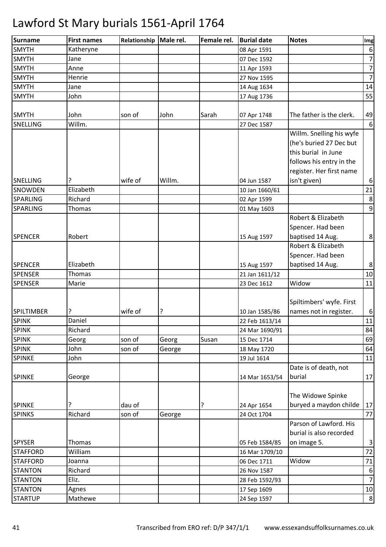| <b>Surname</b>    | <b>First names</b> | Relationship | Male rel. | Female rel. | <b>Burial date</b> | <b>Notes</b>             | Img                                |
|-------------------|--------------------|--------------|-----------|-------------|--------------------|--------------------------|------------------------------------|
| <b>SMYTH</b>      | Katheryne          |              |           |             | 08 Apr 1591        |                          | $\boldsymbol{6}$                   |
| <b>SMYTH</b>      | Jane               |              |           |             | 07 Dec 1592        |                          | $\overline{7}$                     |
| <b>SMYTH</b>      | Anne               |              |           |             | 11 Apr 1593        |                          | $\overline{7}$                     |
| <b>SMYTH</b>      | Henrie             |              |           |             | 27 Nov 1595        |                          | $\overline{7}$                     |
| <b>SMYTH</b>      | Jane               |              |           |             | 14 Aug 1634        |                          | 14                                 |
| <b>SMYTH</b>      | John               |              |           |             | 17 Aug 1736        |                          | 55                                 |
|                   |                    |              |           |             |                    |                          |                                    |
| <b>SMYTH</b>      | John               | son of       | John      | Sarah       | 07 Apr 1748        | The father is the clerk. | 49                                 |
| SNELLING          | Willm.             |              |           |             | 27 Dec 1587        |                          | 6                                  |
|                   |                    |              |           |             |                    | Willm. Snelling his wyfe |                                    |
|                   |                    |              |           |             |                    | (he's buried 27 Dec but  |                                    |
|                   |                    |              |           |             |                    | this burial in June      |                                    |
|                   |                    |              |           |             |                    | follows his entry in the |                                    |
|                   |                    |              |           |             |                    | register. Her first name |                                    |
| <b>SNELLING</b>   |                    | wife of      | Willm.    |             | 04 Jun 1587        | isn't given)             | $\boldsymbol{6}$                   |
| <b>SNOWDEN</b>    | Elizabeth          |              |           |             | 10 Jan 1660/61     |                          | 21                                 |
| <b>SPARLING</b>   | Richard            |              |           |             | 02 Apr 1599        |                          | $\bf 8$                            |
| <b>SPARLING</b>   | Thomas             |              |           |             | 01 May 1603        |                          | $\overline{9}$                     |
|                   |                    |              |           |             |                    | Robert & Elizabeth       |                                    |
|                   |                    |              |           |             |                    | Spencer. Had been        |                                    |
| <b>SPENCER</b>    | Robert             |              |           |             | 15 Aug 1597        | baptised 14 Aug.         | $\bf 8$                            |
|                   |                    |              |           |             |                    | Robert & Elizabeth       |                                    |
|                   |                    |              |           |             |                    | Spencer. Had been        |                                    |
| <b>SPENCER</b>    | Elizabeth          |              |           |             | 15 Aug 1597        | baptised 14 Aug.         | $\bf 8$                            |
| <b>SPENSER</b>    | Thomas             |              |           |             | 21 Jan 1611/12     |                          | $10\,$                             |
| <b>SPENSER</b>    | Marie              |              |           |             | 23 Dec 1612        | Widow                    | 11                                 |
|                   |                    |              |           |             |                    |                          |                                    |
|                   |                    |              |           |             |                    | Spiltimbers' wyfe. First |                                    |
| <b>SPILTIMBER</b> |                    | wife of      | ?         |             | 10 Jan 1585/86     | names not in register.   | $\boldsymbol{6}$                   |
| <b>SPINK</b>      | Daniel             |              |           |             | 22 Feb 1613/14     |                          | 11                                 |
| <b>SPINK</b>      | Richard            |              |           |             | 24 Mar 1690/91     |                          | 84                                 |
| <b>SPINK</b>      | Georg              | son of       | Georg     | Susan       | 15 Dec 1714        |                          | 69                                 |
| <b>SPINK</b>      | John               | son of       | George    |             | 18 May 1720        |                          | 64                                 |
| <b>SPINKE</b>     | John               |              |           |             | 19 Jul 1614        |                          | 11                                 |
|                   |                    |              |           |             |                    | Date is of death, not    |                                    |
| <b>SPINKE</b>     | George             |              |           |             | 14 Mar 1653/54     | burial                   | 17                                 |
|                   |                    |              |           |             |                    |                          |                                    |
|                   |                    |              |           |             |                    | The Widowe Spinke        |                                    |
| <b>SPINKE</b>     |                    | dau of       |           | ?           | 24 Apr 1654        | buryed a maydon childe   | 17                                 |
| <b>SPINKS</b>     | Richard            | son of       | George    |             | 24 Oct 1704        |                          | 77                                 |
|                   |                    |              |           |             |                    | Parson of Lawford. His   |                                    |
|                   |                    |              |           |             |                    | burial is also recorded  |                                    |
| <b>SPYSER</b>     | Thomas             |              |           |             | 05 Feb 1584/85     | on image 5.              | $\mathbf{3}$                       |
| <b>STAFFORD</b>   | William            |              |           |             | 16 Mar 1709/10     |                          | 72                                 |
| <b>STAFFORD</b>   | Joanna             |              |           |             | 06 Dec 1711        | Widow                    | $71\,$                             |
|                   | Richard            |              |           |             |                    |                          |                                    |
| <b>STANTON</b>    | Eliz.              |              |           |             | 26 Nov 1587        |                          | $\boldsymbol{6}$<br>$\overline{7}$ |
| <b>STANTON</b>    |                    |              |           |             | 28 Feb 1592/93     |                          |                                    |
| <b>STANTON</b>    | Agnes              |              |           |             | 17 Sep 1609        |                          | 10                                 |
| <b>STARTUP</b>    | Mathewe            |              |           |             | 24 Sep 1597        |                          | $\boldsymbol{8}$                   |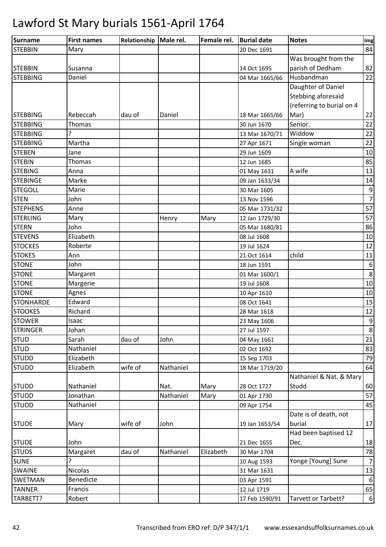| Surname          | <b>First names</b> | Relationship   Male rel. |           | Female rel. | <b>Burial date</b> | <b>Notes</b>              | Img              |
|------------------|--------------------|--------------------------|-----------|-------------|--------------------|---------------------------|------------------|
| <b>STEBBIN</b>   | Mary               |                          |           |             | 20 Dec 1691        |                           | 84               |
|                  |                    |                          |           |             |                    | Was brought from the      |                  |
| <b>STEBBIN</b>   | Susanna            |                          |           |             | 14 Oct 1695        | parish of Dedham          | 82               |
| <b>STEBBING</b>  | Daniel             |                          |           |             | 04 Mar 1665/66     | Husbandman                | 22               |
|                  |                    |                          |           |             |                    | Daughter of Daniel        |                  |
|                  |                    |                          |           |             |                    | Stebbing aforesaid        |                  |
|                  |                    |                          |           |             |                    | (referring to burial on 4 |                  |
| <b>STEBBING</b>  | Rebeccah           | dau of                   | Daniel    |             | 18 Mar 1665/66     | Mar)                      | 22               |
| <b>STEBBING</b>  | Thomas             |                          |           |             | 30 Jun 1670        | Senior.                   | 22               |
| <b>STEBBING</b>  | 7                  |                          |           |             | 13 Mar 1670/71     | Widdow                    | 22               |
| <b>STEBBING</b>  | Martha             |                          |           |             | 27 Apr 1671        | Single woman              | 22               |
| <b>STEBEN</b>    | Jane               |                          |           |             | 29 Jun 1609        |                           | 10               |
| <b>STEBIN</b>    | <b>Thomas</b>      |                          |           |             | 12 Jun 1685        |                           | 85               |
| <b>STEBING</b>   | Anna               |                          |           |             | 01 May 1631        | A wife                    | 13               |
| <b>STEBINGE</b>  | Marke              |                          |           |             | 09 Jan 1633/34     |                           | 14               |
| <b>STEGOLL</b>   | Marie              |                          |           |             | 30 Mar 1605        |                           | $\boldsymbol{9}$ |
| <b>STEN</b>      | John               |                          |           |             | 13 Nov 1596        |                           | $\overline{7}$   |
| <b>STEPHENS</b>  | Anne               |                          |           |             | 05 Mar 1731/32     |                           | 57               |
| <b>STERLING</b>  | Mary               |                          | Henry     | Mary        | 12 Jan 1729/30     |                           | 57               |
| <b>STERN</b>     | John               |                          |           |             | 05 Mar 1680/81     |                           | 86               |
| <b>STEVENS</b>   | Elizabeth          |                          |           |             | 08 Jul 1608        |                           | 10               |
| <b>STOCKES</b>   | Roberte            |                          |           |             | 19 Jul 1624        |                           | 12               |
| <b>STOKES</b>    | Ann                |                          |           |             | 21 Oct 1614        | child                     | 11               |
| <b>STONE</b>     | John               |                          |           |             | 18 Jun 1591        |                           | $\boldsymbol{6}$ |
| <b>STONE</b>     | Margaret           |                          |           |             | 01 Mar 1600/1      |                           | $\,8\,$          |
| <b>STONE</b>     | Margerie           |                          |           |             | 19 Jul 1608        |                           | 10               |
| <b>STONE</b>     | Agnes              |                          |           |             | 10 Apr 1610        |                           | 10               |
| <b>STONHARDE</b> | Edward             |                          |           |             | 08 Oct 1641        |                           | 15               |
| <b>STOOKES</b>   | Richard            |                          |           |             | 28 Mar 1618        |                           | 12               |
| <b>STOWER</b>    | Isaac              |                          |           |             | 23 May 1606        |                           | $\boldsymbol{9}$ |
| <b>STRINGER</b>  | Johan              |                          |           |             | 27 Jul 1597        |                           | $\bf 8$          |
| <b>STUD</b>      | Sarah              | dau of                   | John      |             | 04 May 1661        |                           | 21               |
| <b>STUD</b>      | Nathaniel          |                          |           |             | 02 Oct 1692        |                           | 83               |
| <b>STUDD</b>     | Elizabeth          |                          |           |             | 15 Sep 1703        |                           | 79               |
| <b>STUDD</b>     | Elizabeth          | wife of                  | Nathaniel |             | 18 Mar 1719/20     |                           | 64               |
|                  |                    |                          |           |             |                    | Nathaniel & Nat. & Mary   |                  |
| <b>STUDD</b>     | Nathaniel          |                          | Nat.      | Mary        | 28 Oct 1727        | Studd                     | 60               |
| <b>STUDD</b>     | Jonathan           |                          | Nathaniel | Mary        | 01 Apr 1730        |                           | 57               |
| <b>STUDD</b>     | Nathaniel          |                          |           |             | 09 Apr 1754        |                           | 45               |
|                  |                    |                          |           |             |                    | Date is of death, not     |                  |
| <b>STUDE</b>     | Mary               | wife of                  | John      |             | 19 Jan 1653/54     | burial                    | 17               |
|                  |                    |                          |           |             |                    | Had been baptised 12      |                  |
| <b>STUDE</b>     | John               |                          |           |             | 21 Dec 1655        | Dec.                      | 18               |
| <b>STUDS</b>     | Margaret           | dau of                   | Nathaniel | Elizabeth   | 30 Mar 1704        |                           | 78               |
| <b>SUNE</b>      | 5.                 |                          |           |             | 10 Aug 1593        | Yonge [Young] Sune        | $\overline{7}$   |
| SWAINE           | <b>Nicolas</b>     |                          |           |             | 31 Mar 1631        |                           | 13               |
| <b>SWETMAN</b>   | Benedicte          |                          |           |             | 03 Apr 1591        |                           | 6                |
| <b>TANNER</b>    | Francis            |                          |           |             | 12 Jul 1719        |                           | 65               |
| TARBETT?         | Robert             |                          |           |             | 17 Feb 1590/91     | Tarvett or Tarbett?       | $\boldsymbol{6}$ |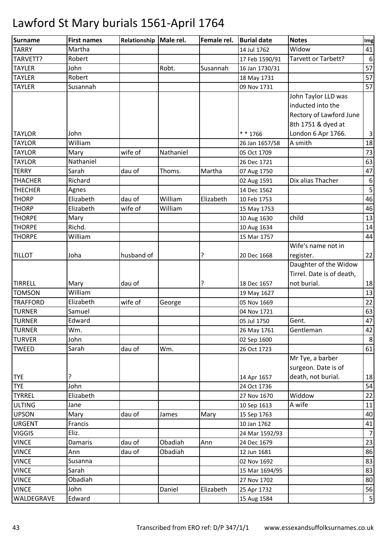| Martha<br>14 Jul 1762<br>Widow<br>41<br>Tarvett or Tarbett?<br>Robert<br>$6\,$<br>17 Feb 1590/91<br>57<br>John<br>Robt.<br>Susannah<br>16 Jan 1730/31<br>57<br>Robert<br>18 May 1731<br>57<br>Susannah<br>09 Nov 1731<br>John Taylor LLD was<br>inducted into the<br>Rectory of Lawford June<br>8th 1751 & dyed at<br>$* * 1766$<br>London 6 Apr 1766.<br>$\overline{3}$<br><b>TAYLOR</b><br>John<br><b>TAYLOR</b><br>William<br>A smith<br>18<br>26 Jan 1657/58<br>wife of<br>73<br><b>TAYLOR</b><br>Mary<br>Nathaniel<br>05 Oct 1709<br>63<br>Nathaniel<br><b>TAYLOR</b><br>26 Dec 1721<br><b>TERRY</b><br>Sarah<br>dau of<br>Thoms.<br>Martha<br>47<br>07 Aug 1750<br>Richard<br>Dix alias Thacher<br><b>THACHER</b><br>$\sqrt{6}$<br>02 Aug 1591<br>5<br>14 Dec 1562<br>Agnes<br>46<br>Elizabeth<br>dau of<br>William<br>Elizabeth<br>10 Feb 1753<br>46<br>wife of<br>William<br>Elizabeth<br>15 May 1753<br>child<br>13<br>Mary<br>10 Aug 1630<br>Richd.<br>14<br>10 Aug 1634<br>44<br>William<br>15 Mar 1757<br>Wife's name not in<br>22<br>Joha<br>husband of<br>?<br>20 Dec 1668<br>register.<br>Daughter of the Widow<br>Tirrel. Date is of death,<br>18<br>?<br>not burial.<br>Mary<br>dau of<br>18 Dec 1657<br>William<br>13<br>19 May 1627<br>22<br>wife of<br>Elizabeth<br>05 Nov 1669<br>George<br>Samuel<br>63<br>04 Nov 1721<br>47<br>Edward<br>Gent.<br>05 Jul 1750<br>Gentleman<br>Wm.<br>42<br>26 May 1761<br>John<br>02 Sep 1600<br>8<br>dau of<br>Wm.<br>Sarah<br>61<br>26 Oct 1723<br>Mr Tye, a barber<br>surgeon. Date is of<br>death, not burial.<br>?<br>18<br>14 Apr 1657<br>John<br>54<br>24 Oct 1736<br>Widdow<br>22<br>Elizabeth<br>27 Nov 1670<br>A wife<br>Jane<br>10 Sep 1613<br>11<br>dau of<br>40<br>Mary<br>Mary<br>James<br>15 Sep 1763<br>Francis<br>10 Jan 1762<br>41<br>Eliz.<br>24 Mar 1592/93<br>$\overline{7}$<br>dau of<br>Obadiah<br>Damaris<br>Ann<br>24 Dec 1679<br>23<br>Obadiah<br>86<br>Ann<br>dau of<br>12 Jun 1681<br>83<br>02 Nov 1692<br>Susanna<br>83<br>Sarah<br>15 Mar 1694/95<br>Obadiah<br>27 Nov 1702<br>80<br>John<br>Daniel<br>56<br>Elizabeth<br>25 Apr 1732<br>5<br>WALDEGRAVE<br>Edward<br>15 Aug 1584 | Surname         | <b>First names</b> | Relationship   Male rel. | Female rel. | <b>Burial date</b> | <b>Notes</b> | Img |
|------------------------------------------------------------------------------------------------------------------------------------------------------------------------------------------------------------------------------------------------------------------------------------------------------------------------------------------------------------------------------------------------------------------------------------------------------------------------------------------------------------------------------------------------------------------------------------------------------------------------------------------------------------------------------------------------------------------------------------------------------------------------------------------------------------------------------------------------------------------------------------------------------------------------------------------------------------------------------------------------------------------------------------------------------------------------------------------------------------------------------------------------------------------------------------------------------------------------------------------------------------------------------------------------------------------------------------------------------------------------------------------------------------------------------------------------------------------------------------------------------------------------------------------------------------------------------------------------------------------------------------------------------------------------------------------------------------------------------------------------------------------------------------------------------------------------------------------------------------------------------------------------------------------------------------------------------------------------------------------------------------------------------------------------------------------------------------------------------------------------------------------------------------------------|-----------------|--------------------|--------------------------|-------------|--------------------|--------------|-----|
|                                                                                                                                                                                                                                                                                                                                                                                                                                                                                                                                                                                                                                                                                                                                                                                                                                                                                                                                                                                                                                                                                                                                                                                                                                                                                                                                                                                                                                                                                                                                                                                                                                                                                                                                                                                                                                                                                                                                                                                                                                                                                                                                                                        | <b>TARRY</b>    |                    |                          |             |                    |              |     |
|                                                                                                                                                                                                                                                                                                                                                                                                                                                                                                                                                                                                                                                                                                                                                                                                                                                                                                                                                                                                                                                                                                                                                                                                                                                                                                                                                                                                                                                                                                                                                                                                                                                                                                                                                                                                                                                                                                                                                                                                                                                                                                                                                                        | TARVETT?        |                    |                          |             |                    |              |     |
|                                                                                                                                                                                                                                                                                                                                                                                                                                                                                                                                                                                                                                                                                                                                                                                                                                                                                                                                                                                                                                                                                                                                                                                                                                                                                                                                                                                                                                                                                                                                                                                                                                                                                                                                                                                                                                                                                                                                                                                                                                                                                                                                                                        | <b>TAYLER</b>   |                    |                          |             |                    |              |     |
|                                                                                                                                                                                                                                                                                                                                                                                                                                                                                                                                                                                                                                                                                                                                                                                                                                                                                                                                                                                                                                                                                                                                                                                                                                                                                                                                                                                                                                                                                                                                                                                                                                                                                                                                                                                                                                                                                                                                                                                                                                                                                                                                                                        | <b>TAYLER</b>   |                    |                          |             |                    |              |     |
|                                                                                                                                                                                                                                                                                                                                                                                                                                                                                                                                                                                                                                                                                                                                                                                                                                                                                                                                                                                                                                                                                                                                                                                                                                                                                                                                                                                                                                                                                                                                                                                                                                                                                                                                                                                                                                                                                                                                                                                                                                                                                                                                                                        | <b>TAYLER</b>   |                    |                          |             |                    |              |     |
|                                                                                                                                                                                                                                                                                                                                                                                                                                                                                                                                                                                                                                                                                                                                                                                                                                                                                                                                                                                                                                                                                                                                                                                                                                                                                                                                                                                                                                                                                                                                                                                                                                                                                                                                                                                                                                                                                                                                                                                                                                                                                                                                                                        |                 |                    |                          |             |                    |              |     |
|                                                                                                                                                                                                                                                                                                                                                                                                                                                                                                                                                                                                                                                                                                                                                                                                                                                                                                                                                                                                                                                                                                                                                                                                                                                                                                                                                                                                                                                                                                                                                                                                                                                                                                                                                                                                                                                                                                                                                                                                                                                                                                                                                                        |                 |                    |                          |             |                    |              |     |
|                                                                                                                                                                                                                                                                                                                                                                                                                                                                                                                                                                                                                                                                                                                                                                                                                                                                                                                                                                                                                                                                                                                                                                                                                                                                                                                                                                                                                                                                                                                                                                                                                                                                                                                                                                                                                                                                                                                                                                                                                                                                                                                                                                        |                 |                    |                          |             |                    |              |     |
|                                                                                                                                                                                                                                                                                                                                                                                                                                                                                                                                                                                                                                                                                                                                                                                                                                                                                                                                                                                                                                                                                                                                                                                                                                                                                                                                                                                                                                                                                                                                                                                                                                                                                                                                                                                                                                                                                                                                                                                                                                                                                                                                                                        |                 |                    |                          |             |                    |              |     |
|                                                                                                                                                                                                                                                                                                                                                                                                                                                                                                                                                                                                                                                                                                                                                                                                                                                                                                                                                                                                                                                                                                                                                                                                                                                                                                                                                                                                                                                                                                                                                                                                                                                                                                                                                                                                                                                                                                                                                                                                                                                                                                                                                                        |                 |                    |                          |             |                    |              |     |
|                                                                                                                                                                                                                                                                                                                                                                                                                                                                                                                                                                                                                                                                                                                                                                                                                                                                                                                                                                                                                                                                                                                                                                                                                                                                                                                                                                                                                                                                                                                                                                                                                                                                                                                                                                                                                                                                                                                                                                                                                                                                                                                                                                        |                 |                    |                          |             |                    |              |     |
|                                                                                                                                                                                                                                                                                                                                                                                                                                                                                                                                                                                                                                                                                                                                                                                                                                                                                                                                                                                                                                                                                                                                                                                                                                                                                                                                                                                                                                                                                                                                                                                                                                                                                                                                                                                                                                                                                                                                                                                                                                                                                                                                                                        |                 |                    |                          |             |                    |              |     |
|                                                                                                                                                                                                                                                                                                                                                                                                                                                                                                                                                                                                                                                                                                                                                                                                                                                                                                                                                                                                                                                                                                                                                                                                                                                                                                                                                                                                                                                                                                                                                                                                                                                                                                                                                                                                                                                                                                                                                                                                                                                                                                                                                                        |                 |                    |                          |             |                    |              |     |
|                                                                                                                                                                                                                                                                                                                                                                                                                                                                                                                                                                                                                                                                                                                                                                                                                                                                                                                                                                                                                                                                                                                                                                                                                                                                                                                                                                                                                                                                                                                                                                                                                                                                                                                                                                                                                                                                                                                                                                                                                                                                                                                                                                        |                 |                    |                          |             |                    |              |     |
|                                                                                                                                                                                                                                                                                                                                                                                                                                                                                                                                                                                                                                                                                                                                                                                                                                                                                                                                                                                                                                                                                                                                                                                                                                                                                                                                                                                                                                                                                                                                                                                                                                                                                                                                                                                                                                                                                                                                                                                                                                                                                                                                                                        |                 |                    |                          |             |                    |              |     |
|                                                                                                                                                                                                                                                                                                                                                                                                                                                                                                                                                                                                                                                                                                                                                                                                                                                                                                                                                                                                                                                                                                                                                                                                                                                                                                                                                                                                                                                                                                                                                                                                                                                                                                                                                                                                                                                                                                                                                                                                                                                                                                                                                                        | <b>THECHER</b>  |                    |                          |             |                    |              |     |
|                                                                                                                                                                                                                                                                                                                                                                                                                                                                                                                                                                                                                                                                                                                                                                                                                                                                                                                                                                                                                                                                                                                                                                                                                                                                                                                                                                                                                                                                                                                                                                                                                                                                                                                                                                                                                                                                                                                                                                                                                                                                                                                                                                        | <b>THORP</b>    |                    |                          |             |                    |              |     |
|                                                                                                                                                                                                                                                                                                                                                                                                                                                                                                                                                                                                                                                                                                                                                                                                                                                                                                                                                                                                                                                                                                                                                                                                                                                                                                                                                                                                                                                                                                                                                                                                                                                                                                                                                                                                                                                                                                                                                                                                                                                                                                                                                                        | <b>THORP</b>    |                    |                          |             |                    |              |     |
|                                                                                                                                                                                                                                                                                                                                                                                                                                                                                                                                                                                                                                                                                                                                                                                                                                                                                                                                                                                                                                                                                                                                                                                                                                                                                                                                                                                                                                                                                                                                                                                                                                                                                                                                                                                                                                                                                                                                                                                                                                                                                                                                                                        | <b>THORPE</b>   |                    |                          |             |                    |              |     |
|                                                                                                                                                                                                                                                                                                                                                                                                                                                                                                                                                                                                                                                                                                                                                                                                                                                                                                                                                                                                                                                                                                                                                                                                                                                                                                                                                                                                                                                                                                                                                                                                                                                                                                                                                                                                                                                                                                                                                                                                                                                                                                                                                                        | <b>THORPE</b>   |                    |                          |             |                    |              |     |
|                                                                                                                                                                                                                                                                                                                                                                                                                                                                                                                                                                                                                                                                                                                                                                                                                                                                                                                                                                                                                                                                                                                                                                                                                                                                                                                                                                                                                                                                                                                                                                                                                                                                                                                                                                                                                                                                                                                                                                                                                                                                                                                                                                        | <b>THORPE</b>   |                    |                          |             |                    |              |     |
|                                                                                                                                                                                                                                                                                                                                                                                                                                                                                                                                                                                                                                                                                                                                                                                                                                                                                                                                                                                                                                                                                                                                                                                                                                                                                                                                                                                                                                                                                                                                                                                                                                                                                                                                                                                                                                                                                                                                                                                                                                                                                                                                                                        |                 |                    |                          |             |                    |              |     |
|                                                                                                                                                                                                                                                                                                                                                                                                                                                                                                                                                                                                                                                                                                                                                                                                                                                                                                                                                                                                                                                                                                                                                                                                                                                                                                                                                                                                                                                                                                                                                                                                                                                                                                                                                                                                                                                                                                                                                                                                                                                                                                                                                                        | <b>TILLOT</b>   |                    |                          |             |                    |              |     |
|                                                                                                                                                                                                                                                                                                                                                                                                                                                                                                                                                                                                                                                                                                                                                                                                                                                                                                                                                                                                                                                                                                                                                                                                                                                                                                                                                                                                                                                                                                                                                                                                                                                                                                                                                                                                                                                                                                                                                                                                                                                                                                                                                                        |                 |                    |                          |             |                    |              |     |
|                                                                                                                                                                                                                                                                                                                                                                                                                                                                                                                                                                                                                                                                                                                                                                                                                                                                                                                                                                                                                                                                                                                                                                                                                                                                                                                                                                                                                                                                                                                                                                                                                                                                                                                                                                                                                                                                                                                                                                                                                                                                                                                                                                        |                 |                    |                          |             |                    |              |     |
|                                                                                                                                                                                                                                                                                                                                                                                                                                                                                                                                                                                                                                                                                                                                                                                                                                                                                                                                                                                                                                                                                                                                                                                                                                                                                                                                                                                                                                                                                                                                                                                                                                                                                                                                                                                                                                                                                                                                                                                                                                                                                                                                                                        | <b>TIRRELL</b>  |                    |                          |             |                    |              |     |
|                                                                                                                                                                                                                                                                                                                                                                                                                                                                                                                                                                                                                                                                                                                                                                                                                                                                                                                                                                                                                                                                                                                                                                                                                                                                                                                                                                                                                                                                                                                                                                                                                                                                                                                                                                                                                                                                                                                                                                                                                                                                                                                                                                        | <b>TOMSON</b>   |                    |                          |             |                    |              |     |
|                                                                                                                                                                                                                                                                                                                                                                                                                                                                                                                                                                                                                                                                                                                                                                                                                                                                                                                                                                                                                                                                                                                                                                                                                                                                                                                                                                                                                                                                                                                                                                                                                                                                                                                                                                                                                                                                                                                                                                                                                                                                                                                                                                        | <b>TRAFFORD</b> |                    |                          |             |                    |              |     |
|                                                                                                                                                                                                                                                                                                                                                                                                                                                                                                                                                                                                                                                                                                                                                                                                                                                                                                                                                                                                                                                                                                                                                                                                                                                                                                                                                                                                                                                                                                                                                                                                                                                                                                                                                                                                                                                                                                                                                                                                                                                                                                                                                                        | <b>TURNER</b>   |                    |                          |             |                    |              |     |
|                                                                                                                                                                                                                                                                                                                                                                                                                                                                                                                                                                                                                                                                                                                                                                                                                                                                                                                                                                                                                                                                                                                                                                                                                                                                                                                                                                                                                                                                                                                                                                                                                                                                                                                                                                                                                                                                                                                                                                                                                                                                                                                                                                        | <b>TURNER</b>   |                    |                          |             |                    |              |     |
|                                                                                                                                                                                                                                                                                                                                                                                                                                                                                                                                                                                                                                                                                                                                                                                                                                                                                                                                                                                                                                                                                                                                                                                                                                                                                                                                                                                                                                                                                                                                                                                                                                                                                                                                                                                                                                                                                                                                                                                                                                                                                                                                                                        | <b>TURNER</b>   |                    |                          |             |                    |              |     |
|                                                                                                                                                                                                                                                                                                                                                                                                                                                                                                                                                                                                                                                                                                                                                                                                                                                                                                                                                                                                                                                                                                                                                                                                                                                                                                                                                                                                                                                                                                                                                                                                                                                                                                                                                                                                                                                                                                                                                                                                                                                                                                                                                                        | <b>TURVER</b>   |                    |                          |             |                    |              |     |
|                                                                                                                                                                                                                                                                                                                                                                                                                                                                                                                                                                                                                                                                                                                                                                                                                                                                                                                                                                                                                                                                                                                                                                                                                                                                                                                                                                                                                                                                                                                                                                                                                                                                                                                                                                                                                                                                                                                                                                                                                                                                                                                                                                        | <b>TWEED</b>    |                    |                          |             |                    |              |     |
|                                                                                                                                                                                                                                                                                                                                                                                                                                                                                                                                                                                                                                                                                                                                                                                                                                                                                                                                                                                                                                                                                                                                                                                                                                                                                                                                                                                                                                                                                                                                                                                                                                                                                                                                                                                                                                                                                                                                                                                                                                                                                                                                                                        |                 |                    |                          |             |                    |              |     |
|                                                                                                                                                                                                                                                                                                                                                                                                                                                                                                                                                                                                                                                                                                                                                                                                                                                                                                                                                                                                                                                                                                                                                                                                                                                                                                                                                                                                                                                                                                                                                                                                                                                                                                                                                                                                                                                                                                                                                                                                                                                                                                                                                                        |                 |                    |                          |             |                    |              |     |
|                                                                                                                                                                                                                                                                                                                                                                                                                                                                                                                                                                                                                                                                                                                                                                                                                                                                                                                                                                                                                                                                                                                                                                                                                                                                                                                                                                                                                                                                                                                                                                                                                                                                                                                                                                                                                                                                                                                                                                                                                                                                                                                                                                        | <b>TYE</b>      |                    |                          |             |                    |              |     |
|                                                                                                                                                                                                                                                                                                                                                                                                                                                                                                                                                                                                                                                                                                                                                                                                                                                                                                                                                                                                                                                                                                                                                                                                                                                                                                                                                                                                                                                                                                                                                                                                                                                                                                                                                                                                                                                                                                                                                                                                                                                                                                                                                                        | <b>TYE</b>      |                    |                          |             |                    |              |     |
|                                                                                                                                                                                                                                                                                                                                                                                                                                                                                                                                                                                                                                                                                                                                                                                                                                                                                                                                                                                                                                                                                                                                                                                                                                                                                                                                                                                                                                                                                                                                                                                                                                                                                                                                                                                                                                                                                                                                                                                                                                                                                                                                                                        | <b>TYRREL</b>   |                    |                          |             |                    |              |     |
|                                                                                                                                                                                                                                                                                                                                                                                                                                                                                                                                                                                                                                                                                                                                                                                                                                                                                                                                                                                                                                                                                                                                                                                                                                                                                                                                                                                                                                                                                                                                                                                                                                                                                                                                                                                                                                                                                                                                                                                                                                                                                                                                                                        | <b>ULTING</b>   |                    |                          |             |                    |              |     |
|                                                                                                                                                                                                                                                                                                                                                                                                                                                                                                                                                                                                                                                                                                                                                                                                                                                                                                                                                                                                                                                                                                                                                                                                                                                                                                                                                                                                                                                                                                                                                                                                                                                                                                                                                                                                                                                                                                                                                                                                                                                                                                                                                                        | <b>UPSON</b>    |                    |                          |             |                    |              |     |
|                                                                                                                                                                                                                                                                                                                                                                                                                                                                                                                                                                                                                                                                                                                                                                                                                                                                                                                                                                                                                                                                                                                                                                                                                                                                                                                                                                                                                                                                                                                                                                                                                                                                                                                                                                                                                                                                                                                                                                                                                                                                                                                                                                        | <b>URGENT</b>   |                    |                          |             |                    |              |     |
|                                                                                                                                                                                                                                                                                                                                                                                                                                                                                                                                                                                                                                                                                                                                                                                                                                                                                                                                                                                                                                                                                                                                                                                                                                                                                                                                                                                                                                                                                                                                                                                                                                                                                                                                                                                                                                                                                                                                                                                                                                                                                                                                                                        | <b>VIGGIS</b>   |                    |                          |             |                    |              |     |
|                                                                                                                                                                                                                                                                                                                                                                                                                                                                                                                                                                                                                                                                                                                                                                                                                                                                                                                                                                                                                                                                                                                                                                                                                                                                                                                                                                                                                                                                                                                                                                                                                                                                                                                                                                                                                                                                                                                                                                                                                                                                                                                                                                        | <b>VINCE</b>    |                    |                          |             |                    |              |     |
|                                                                                                                                                                                                                                                                                                                                                                                                                                                                                                                                                                                                                                                                                                                                                                                                                                                                                                                                                                                                                                                                                                                                                                                                                                                                                                                                                                                                                                                                                                                                                                                                                                                                                                                                                                                                                                                                                                                                                                                                                                                                                                                                                                        | <b>VINCE</b>    |                    |                          |             |                    |              |     |
|                                                                                                                                                                                                                                                                                                                                                                                                                                                                                                                                                                                                                                                                                                                                                                                                                                                                                                                                                                                                                                                                                                                                                                                                                                                                                                                                                                                                                                                                                                                                                                                                                                                                                                                                                                                                                                                                                                                                                                                                                                                                                                                                                                        | <b>VINCE</b>    |                    |                          |             |                    |              |     |
|                                                                                                                                                                                                                                                                                                                                                                                                                                                                                                                                                                                                                                                                                                                                                                                                                                                                                                                                                                                                                                                                                                                                                                                                                                                                                                                                                                                                                                                                                                                                                                                                                                                                                                                                                                                                                                                                                                                                                                                                                                                                                                                                                                        | <b>VINCE</b>    |                    |                          |             |                    |              |     |
|                                                                                                                                                                                                                                                                                                                                                                                                                                                                                                                                                                                                                                                                                                                                                                                                                                                                                                                                                                                                                                                                                                                                                                                                                                                                                                                                                                                                                                                                                                                                                                                                                                                                                                                                                                                                                                                                                                                                                                                                                                                                                                                                                                        | <b>VINCE</b>    |                    |                          |             |                    |              |     |
|                                                                                                                                                                                                                                                                                                                                                                                                                                                                                                                                                                                                                                                                                                                                                                                                                                                                                                                                                                                                                                                                                                                                                                                                                                                                                                                                                                                                                                                                                                                                                                                                                                                                                                                                                                                                                                                                                                                                                                                                                                                                                                                                                                        | <b>VINCE</b>    |                    |                          |             |                    |              |     |
|                                                                                                                                                                                                                                                                                                                                                                                                                                                                                                                                                                                                                                                                                                                                                                                                                                                                                                                                                                                                                                                                                                                                                                                                                                                                                                                                                                                                                                                                                                                                                                                                                                                                                                                                                                                                                                                                                                                                                                                                                                                                                                                                                                        |                 |                    |                          |             |                    |              |     |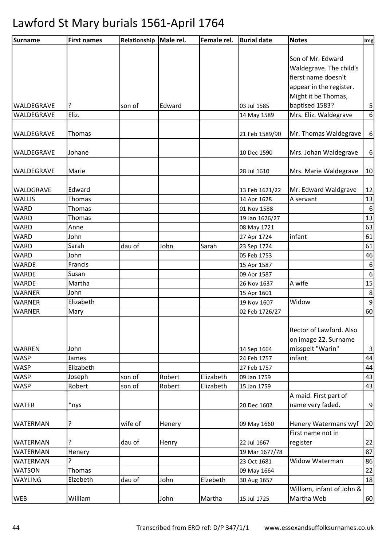| <b>Surname</b>  | <b>First names</b> | Relationship | Male rel. | Female rel. | <b>Burial date</b> | <b>Notes</b>                   | Img                     |
|-----------------|--------------------|--------------|-----------|-------------|--------------------|--------------------------------|-------------------------|
|                 |                    |              |           |             |                    |                                |                         |
|                 |                    |              |           |             |                    | Son of Mr. Edward              |                         |
|                 |                    |              |           |             |                    | Waldegrave. The child's        |                         |
|                 |                    |              |           |             |                    | fierst name doesn't            |                         |
|                 |                    |              |           |             |                    | appear in the register.        |                         |
|                 |                    |              |           |             |                    | Might it be Thomas,            |                         |
| WALDEGRAVE      | ?                  | son of       | Edward    |             | 03 Jul 1585        | baptised 1583?                 | $\overline{\mathbf{5}}$ |
| WALDEGRAVE      | Eliz.              |              |           |             | 14 May 1589        | Mrs. Eliz. Waldegrave          | 6                       |
|                 |                    |              |           |             |                    |                                |                         |
| WALDEGRAVE      | Thomas             |              |           |             | 21 Feb 1589/90     | Mr. Thomas Waldegrave          | $\boldsymbol{6}$        |
| WALDEGRAVE      | Johane             |              |           |             | 10 Dec 1590        | Mrs. Johan Waldegrave          | $\boldsymbol{6}$        |
|                 |                    |              |           |             |                    |                                |                         |
| WALDEGRAVE      | Marie              |              |           |             | 28 Jul 1610        | Mrs. Marie Waldegrave          | 10                      |
| WALDGRAVE       | Edward             |              |           |             | 13 Feb 1621/22     | Mr. Edward Waldgrave           | 12                      |
| <b>WALLIS</b>   | <b>Thomas</b>      |              |           |             | 14 Apr 1628        | A servant                      | 13                      |
| <b>WARD</b>     | Thomas             |              |           |             | 01 Nov 1588        |                                | $6\,$                   |
| <b>WARD</b>     | Thomas             |              |           |             | 19 Jan 1626/27     |                                | 13                      |
| <b>WARD</b>     | Anne               |              |           |             | 08 May 1721        |                                | 63                      |
| <b>WARD</b>     | John               |              |           |             | 27 Apr 1724        | infant                         | 61                      |
| <b>WARD</b>     | Sarah              | dau of       | John      | Sarah       | 23 Sep 1724        |                                | 61                      |
| <b>WARD</b>     | John               |              |           |             | 05 Feb 1753        |                                | 46                      |
| <b>WARDE</b>    | Francis            |              |           |             | 15 Apr 1587        |                                | $\boldsymbol{6}$        |
| <b>WARDE</b>    | Susan              |              |           |             | 09 Apr 1587        |                                | $\boldsymbol{6}$        |
| <b>WARDE</b>    | Martha             |              |           |             | 26 Nov 1637        | A wife                         | 15                      |
| <b>WARNER</b>   | John               |              |           |             | 15 Apr 1601        |                                | $\bf 8$                 |
| <b>WARNER</b>   | Elizabeth          |              |           |             | 19 Nov 1607        | Widow                          | $\boldsymbol{9}$        |
| WARNER          | Mary               |              |           |             | 02 Feb 1726/27     |                                | 60                      |
|                 |                    |              |           |             |                    |                                |                         |
|                 |                    |              |           |             |                    | <b>Rector of Lawford. Also</b> |                         |
|                 |                    |              |           |             |                    | on image 22. Surname           |                         |
| <b>WARREN</b>   | John               |              |           |             | 14 Sep 1664        | misspelt "Warin"               | $\mathsf 3$             |
| <b>WASP</b>     | James              |              |           |             | 24 Feb 1757        | infant                         | 44                      |
| <b>WASP</b>     | Elizabeth          |              |           |             | 27 Feb 1757        |                                | 44                      |
| <b>WASP</b>     | Joseph             | son of       | Robert    | Elizabeth   | 09 Jan 1759        |                                | 43                      |
| <b>WASP</b>     | Robert             | son of       | Robert    | Elizabeth   | 15 Jan 1759        |                                | 43                      |
|                 |                    |              |           |             |                    | A maid. First part of          |                         |
| <b>WATER</b>    | *nys               |              |           |             | 20 Dec 1602        | name very faded.               | $\overline{9}$          |
| WATERMAN        | ?                  | wife of      | Henery    |             | 09 May 1660        | Henery Watermans wyf           | 20                      |
|                 |                    |              |           |             |                    | First name not in              |                         |
| WATERMAN        | ?                  | dau of       | Henry     |             | 22 Jul 1667        | register                       | 22                      |
| <b>WATERMAN</b> | Henery             |              |           |             | 19 Mar 1677/78     |                                | 87                      |
| WATERMAN        | 5                  |              |           |             | 23 Oct 1681        | Widow Waterman                 | 86                      |
| <b>WATSON</b>   | Thomas             |              |           |             | 09 May 1664        |                                | 22                      |
| <b>WAYLING</b>  | Elzebeth           | dau of       | John      | Elzebeth    | 30 Aug 1657        |                                | 18                      |
|                 |                    |              |           |             |                    | William, infant of John &      |                         |
| WEB             | William            |              | John      | Martha      | 15 Jul 1725        | Martha Web                     | 60                      |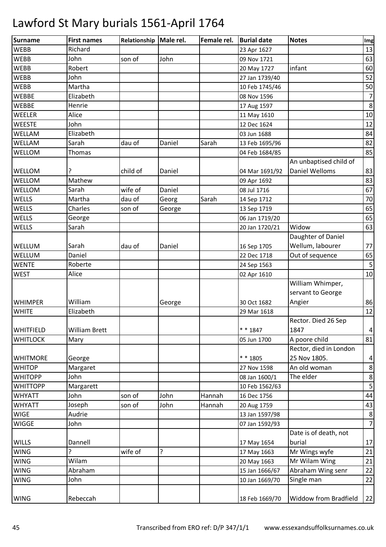| Surname         | <b>First names</b>   | Relationship | Male rel. | Female rel. | <b>Burial date</b> | <b>Notes</b>                 | Img            |
|-----------------|----------------------|--------------|-----------|-------------|--------------------|------------------------------|----------------|
| <b>WEBB</b>     | Richard              |              |           |             | 23 Apr 1627        |                              | 13             |
| <b>WEBB</b>     | John                 | son of       | John      |             | 09 Nov 1721        |                              | 63             |
| <b>WEBB</b>     | Robert               |              |           |             | 20 May 1727        | infant                       | 60             |
| <b>WEBB</b>     | John                 |              |           |             | 27 Jan 1739/40     |                              | 52             |
| <b>WEBB</b>     | Martha               |              |           |             | 10 Feb 1745/46     |                              | 50             |
| <b>WEBBE</b>    | Elizabeth            |              |           |             | 08 Nov 1596        |                              | $\overline{7}$ |
| <b>WEBBE</b>    | Henrie               |              |           |             | 17 Aug 1597        |                              | 8              |
| <b>WEELER</b>   | Alice                |              |           |             | 11 May 1610        |                              | 10             |
| <b>WEESTE</b>   | John                 |              |           |             | 12 Dec 1624        |                              | 12             |
| WELLAM          | Elizabeth            |              |           |             | 03 Jun 1688        |                              | 84             |
| WELLAM          | Sarah                | dau of       | Daniel    | Sarah       | 13 Feb 1695/96     |                              | 82             |
| WELLOM          | Thomas               |              |           |             | 04 Feb 1684/85     |                              | 85             |
|                 |                      |              |           |             |                    | An unbaptised child of       |                |
| <b>WELLOM</b>   | ŗ                    | child of     | Daniel    |             | 04 Mar 1691/92     | <b>Daniel Welloms</b>        | 83             |
| WELLOM          | Mathew               |              |           |             | 09 Apr 1692        |                              | 83             |
| WELLOM          | Sarah                | wife of      | Daniel    |             | 08 Jul 1716        |                              | 67             |
| <b>WELLS</b>    | Martha               | dau of       | Georg     | Sarah       | 14 Sep 1712        |                              | 70             |
| <b>WELLS</b>    | Charles              | son of       | George    |             | 13 Sep 1719        |                              | 65             |
| <b>WELLS</b>    | George               |              |           |             | 06 Jan 1719/20     |                              | 65             |
| <b>WELLS</b>    | Sarah                |              |           |             | 20 Jan 1720/21     | Widow                        | 63             |
|                 |                      |              |           |             |                    | Daughter of Daniel           |                |
| <b>WELLUM</b>   | Sarah                | dau of       | Daniel    |             | 16 Sep 1705        | Wellum, labourer             | 77             |
| WELLUM          | Daniel               |              |           |             | 22 Dec 1718        | Out of sequence              | 65             |
| <b>WENTE</b>    | Roberte              |              |           |             | 24 Sep 1563        |                              | 5              |
| <b>WEST</b>     | Alice                |              |           |             | 02 Apr 1610        |                              | 10             |
|                 |                      |              |           |             |                    | William Whimper,             |                |
|                 |                      |              |           |             |                    | servant to George            |                |
| <b>WHIMPER</b>  | William              |              | George    |             | 30 Oct 1682        | Angier                       | 86             |
| <b>WHITE</b>    | Elizabeth            |              |           |             | 29 Mar 1618        |                              | 12             |
|                 |                      |              |           |             |                    | Rector. Died 26 Sep          |                |
| WHITFIELD       | <b>William Brett</b> |              |           |             | $* * 1847$         | 1847                         | $\overline{4}$ |
| <b>WHITLOCK</b> | Mary                 |              |           |             | 05 Jun 1700        | A poore child                | 81             |
|                 |                      |              |           |             |                    | Rector, died in London       |                |
| <b>WHITMORE</b> | George               |              |           |             | * * 1805           | 25 Nov 1805.                 | 4              |
| <b>WHITOP</b>   | Margaret             |              |           |             | 27 Nov 1598        | An old woman                 | 8              |
| <b>WHITOPP</b>  | John                 |              |           |             | 08 Jan 1600/1      | The elder                    | 8              |
| <b>WHITTOPP</b> | Margarett            |              |           |             | 10 Feb 1562/63     |                              | 5              |
| <b>WHYATT</b>   | John                 | son of       | John      | Hannah      | 16 Dec 1756        |                              | 44             |
| <b>WHYATT</b>   | Joseph               | son of       | John      | Hannah      | 20 Aug 1759        |                              | 43             |
| <b>WIGE</b>     | Audrie               |              |           |             | 13 Jan 1597/98     |                              | 8              |
| <b>WIGGE</b>    | John                 |              |           |             | 07 Jan 1592/93     |                              | $\overline{7}$ |
|                 |                      |              |           |             |                    | Date is of death, not        |                |
| <b>WILLS</b>    | Dannell              |              |           |             | 17 May 1654        | burial                       | 17             |
| <b>WING</b>     | ?                    | wife of      | ŗ         |             | 17 May 1663        | Mr Wings wyfe                | 21             |
| <b>WING</b>     | Wilam                |              |           |             | 20 May 1663        | Mr Wilam Wing                | 21             |
| <b>WING</b>     | Abraham              |              |           |             | 15 Jan 1666/67     | Abraham Wing senr            | 22             |
| <b>WING</b>     | John                 |              |           |             | 10 Jan 1669/70     | Single man                   | 22             |
|                 |                      |              |           |             |                    |                              |                |
| <b>WING</b>     | Rebeccah             |              |           |             | 18 Feb 1669/70     | <b>Widdow from Bradfield</b> | 22             |